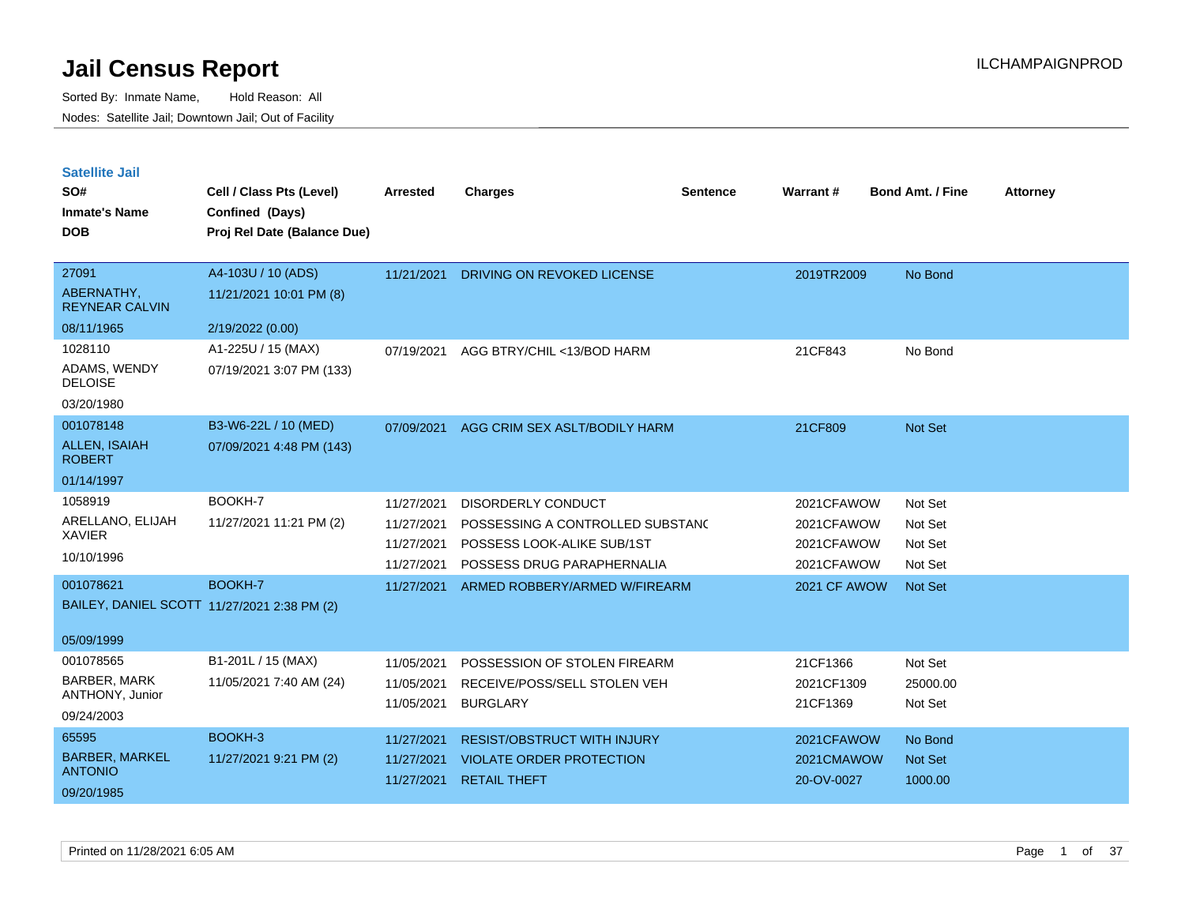| <b>Satellite Jail</b> |  |
|-----------------------|--|
|                       |  |

| SO#<br><b>Inmate's Name</b><br><b>DOB</b> | Cell / Class Pts (Level)<br>Confined (Days)<br>Proj Rel Date (Balance Due) | Arrested   | <b>Charges</b>                     | <b>Sentence</b> | Warrant#     | <b>Bond Amt. / Fine</b> | <b>Attorney</b> |
|-------------------------------------------|----------------------------------------------------------------------------|------------|------------------------------------|-----------------|--------------|-------------------------|-----------------|
| 27091                                     | A4-103U / 10 (ADS)                                                         | 11/21/2021 | DRIVING ON REVOKED LICENSE         |                 | 2019TR2009   | No Bond                 |                 |
| ABERNATHY,<br><b>REYNEAR CALVIN</b>       | 11/21/2021 10:01 PM (8)                                                    |            |                                    |                 |              |                         |                 |
| 08/11/1965                                | 2/19/2022 (0.00)                                                           |            |                                    |                 |              |                         |                 |
| 1028110                                   | A1-225U / 15 (MAX)                                                         | 07/19/2021 | AGG BTRY/CHIL <13/BOD HARM         |                 | 21CF843      | No Bond                 |                 |
| ADAMS, WENDY<br><b>DELOISE</b>            | 07/19/2021 3:07 PM (133)                                                   |            |                                    |                 |              |                         |                 |
| 03/20/1980                                |                                                                            |            |                                    |                 |              |                         |                 |
| 001078148                                 | B3-W6-22L / 10 (MED)                                                       | 07/09/2021 | AGG CRIM SEX ASLT/BODILY HARM      |                 | 21CF809      | <b>Not Set</b>          |                 |
| ALLEN, ISAIAH<br><b>ROBERT</b>            | 07/09/2021 4:48 PM (143)                                                   |            |                                    |                 |              |                         |                 |
| 01/14/1997                                |                                                                            |            |                                    |                 |              |                         |                 |
| 1058919                                   | BOOKH-7                                                                    | 11/27/2021 | DISORDERLY CONDUCT                 |                 | 2021CFAWOW   | Not Set                 |                 |
| ARELLANO, ELIJAH                          | 11/27/2021 11:21 PM (2)                                                    | 11/27/2021 | POSSESSING A CONTROLLED SUBSTANC   |                 | 2021CFAWOW   | Not Set                 |                 |
| <b>XAVIER</b>                             |                                                                            | 11/27/2021 | POSSESS LOOK-ALIKE SUB/1ST         |                 | 2021CFAWOW   | Not Set                 |                 |
| 10/10/1996                                |                                                                            | 11/27/2021 | POSSESS DRUG PARAPHERNALIA         |                 | 2021CFAWOW   | Not Set                 |                 |
| 001078621                                 | BOOKH-7                                                                    | 11/27/2021 | ARMED ROBBERY/ARMED W/FIREARM      |                 | 2021 CF AWOW | Not Set                 |                 |
|                                           | BAILEY, DANIEL SCOTT 11/27/2021 2:38 PM (2)                                |            |                                    |                 |              |                         |                 |
| 05/09/1999                                |                                                                            |            |                                    |                 |              |                         |                 |
| 001078565                                 | B1-201L / 15 (MAX)                                                         | 11/05/2021 | POSSESSION OF STOLEN FIREARM       |                 | 21CF1366     | Not Set                 |                 |
| <b>BARBER, MARK</b>                       | 11/05/2021 7:40 AM (24)                                                    | 11/05/2021 | RECEIVE/POSS/SELL STOLEN VEH       |                 | 2021CF1309   | 25000.00                |                 |
| ANTHONY, Junior                           |                                                                            | 11/05/2021 | <b>BURGLARY</b>                    |                 | 21CF1369     | Not Set                 |                 |
| 09/24/2003                                |                                                                            |            |                                    |                 |              |                         |                 |
| 65595                                     | BOOKH-3                                                                    | 11/27/2021 | <b>RESIST/OBSTRUCT WITH INJURY</b> |                 | 2021CFAWOW   | No Bond                 |                 |
| <b>BARBER, MARKEL</b><br><b>ANTONIO</b>   | 11/27/2021 9:21 PM (2)                                                     | 11/27/2021 | <b>VIOLATE ORDER PROTECTION</b>    |                 | 2021CMAWOW   | <b>Not Set</b>          |                 |
| 09/20/1985                                |                                                                            | 11/27/2021 | <b>RETAIL THEFT</b>                |                 | 20-OV-0027   | 1000.00                 |                 |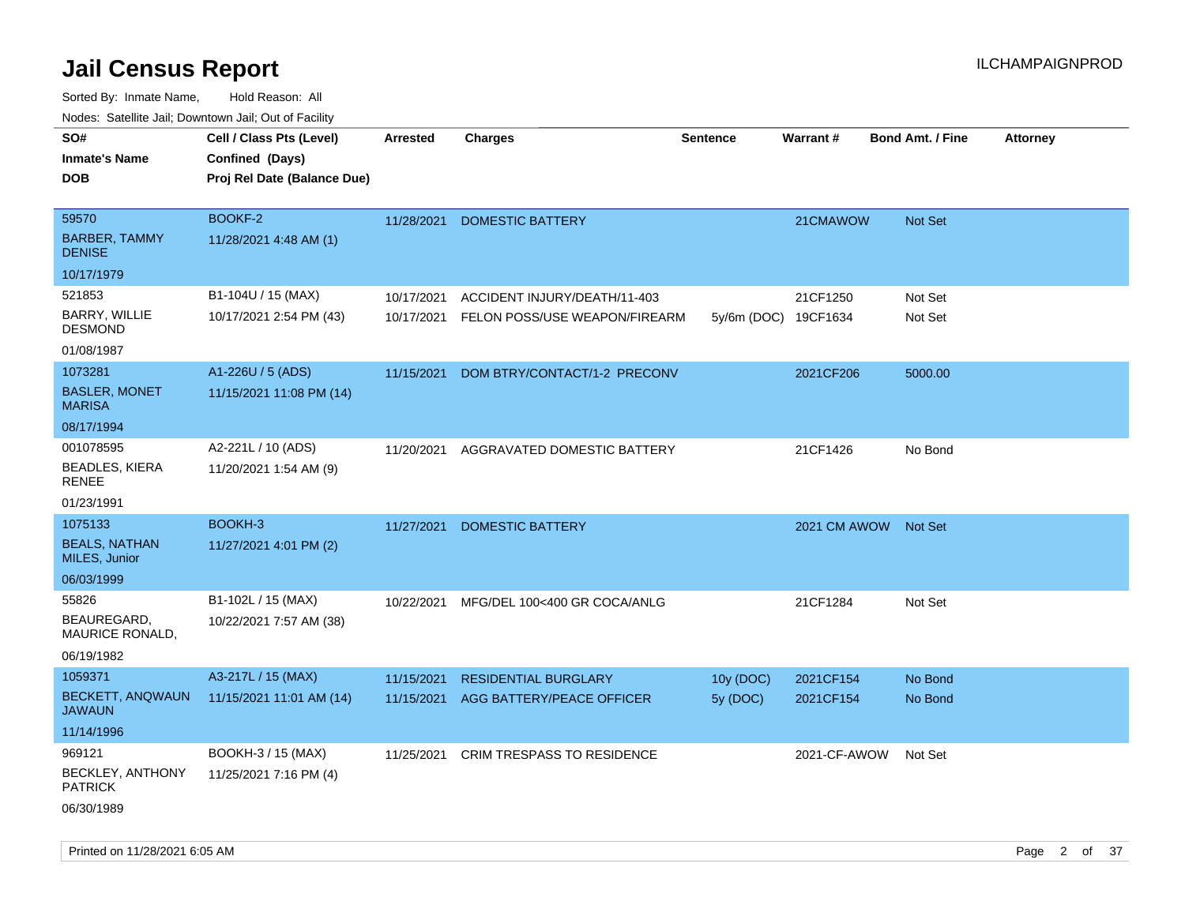| ivuutos. Saltiilit Jall, Duwilluwii Jall, Oul of Facility |                             |                 |                               |                      |              |                         |                 |
|-----------------------------------------------------------|-----------------------------|-----------------|-------------------------------|----------------------|--------------|-------------------------|-----------------|
| SO#                                                       | Cell / Class Pts (Level)    | <b>Arrested</b> | <b>Charges</b>                | <b>Sentence</b>      | Warrant#     | <b>Bond Amt. / Fine</b> | <b>Attorney</b> |
| <b>Inmate's Name</b>                                      | Confined (Days)             |                 |                               |                      |              |                         |                 |
| <b>DOB</b>                                                | Proj Rel Date (Balance Due) |                 |                               |                      |              |                         |                 |
|                                                           |                             |                 |                               |                      |              |                         |                 |
| 59570                                                     | BOOKF-2                     | 11/28/2021      | <b>DOMESTIC BATTERY</b>       |                      | 21CMAWOW     | Not Set                 |                 |
| <b>BARBER, TAMMY</b><br><b>DENISE</b>                     | 11/28/2021 4:48 AM (1)      |                 |                               |                      |              |                         |                 |
| 10/17/1979                                                |                             |                 |                               |                      |              |                         |                 |
| 521853                                                    | B1-104U / 15 (MAX)          | 10/17/2021      | ACCIDENT INJURY/DEATH/11-403  |                      | 21CF1250     | Not Set                 |                 |
| BARRY, WILLIE<br><b>DESMOND</b>                           | 10/17/2021 2:54 PM (43)     | 10/17/2021      | FELON POSS/USE WEAPON/FIREARM | 5y/6m (DOC) 19CF1634 |              | Not Set                 |                 |
| 01/08/1987                                                |                             |                 |                               |                      |              |                         |                 |
| 1073281                                                   | A1-226U / 5 (ADS)           | 11/15/2021      | DOM BTRY/CONTACT/1-2 PRECONV  |                      | 2021CF206    | 5000.00                 |                 |
| <b>BASLER, MONET</b><br><b>MARISA</b>                     | 11/15/2021 11:08 PM (14)    |                 |                               |                      |              |                         |                 |
| 08/17/1994                                                |                             |                 |                               |                      |              |                         |                 |
| 001078595                                                 | A2-221L / 10 (ADS)          | 11/20/2021      | AGGRAVATED DOMESTIC BATTERY   |                      | 21CF1426     | No Bond                 |                 |
| <b>BEADLES, KIERA</b><br><b>RENEE</b>                     | 11/20/2021 1:54 AM (9)      |                 |                               |                      |              |                         |                 |
| 01/23/1991                                                |                             |                 |                               |                      |              |                         |                 |
| 1075133                                                   | BOOKH-3                     | 11/27/2021      | <b>DOMESTIC BATTERY</b>       |                      | 2021 CM AWOW | <b>Not Set</b>          |                 |
| <b>BEALS, NATHAN</b><br>MILES, Junior                     | 11/27/2021 4:01 PM (2)      |                 |                               |                      |              |                         |                 |
| 06/03/1999                                                |                             |                 |                               |                      |              |                         |                 |
| 55826                                                     | B1-102L / 15 (MAX)          | 10/22/2021      | MFG/DEL 100<400 GR COCA/ANLG  |                      | 21CF1284     | Not Set                 |                 |
| BEAUREGARD,<br>MAURICE RONALD,                            | 10/22/2021 7:57 AM (38)     |                 |                               |                      |              |                         |                 |
| 06/19/1982                                                |                             |                 |                               |                      |              |                         |                 |
| 1059371                                                   | A3-217L / 15 (MAX)          | 11/15/2021      | <b>RESIDENTIAL BURGLARY</b>   | 10y (DOC)            | 2021CF154    | No Bond                 |                 |
| BECKETT, ANQWAUN<br><b>JAWAUN</b>                         | 11/15/2021 11:01 AM (14)    | 11/15/2021      | AGG BATTERY/PEACE OFFICER     | 5y (DOC)             | 2021CF154    | No Bond                 |                 |
| 11/14/1996                                                |                             |                 |                               |                      |              |                         |                 |
| 969121                                                    | BOOKH-3 / 15 (MAX)          | 11/25/2021      | CRIM TRESPASS TO RESIDENCE    |                      | 2021-CF-AWOW | Not Set                 |                 |
| BECKLEY, ANTHONY<br><b>PATRICK</b>                        | 11/25/2021 7:16 PM (4)      |                 |                               |                      |              |                         |                 |
| 06/30/1989                                                |                             |                 |                               |                      |              |                         |                 |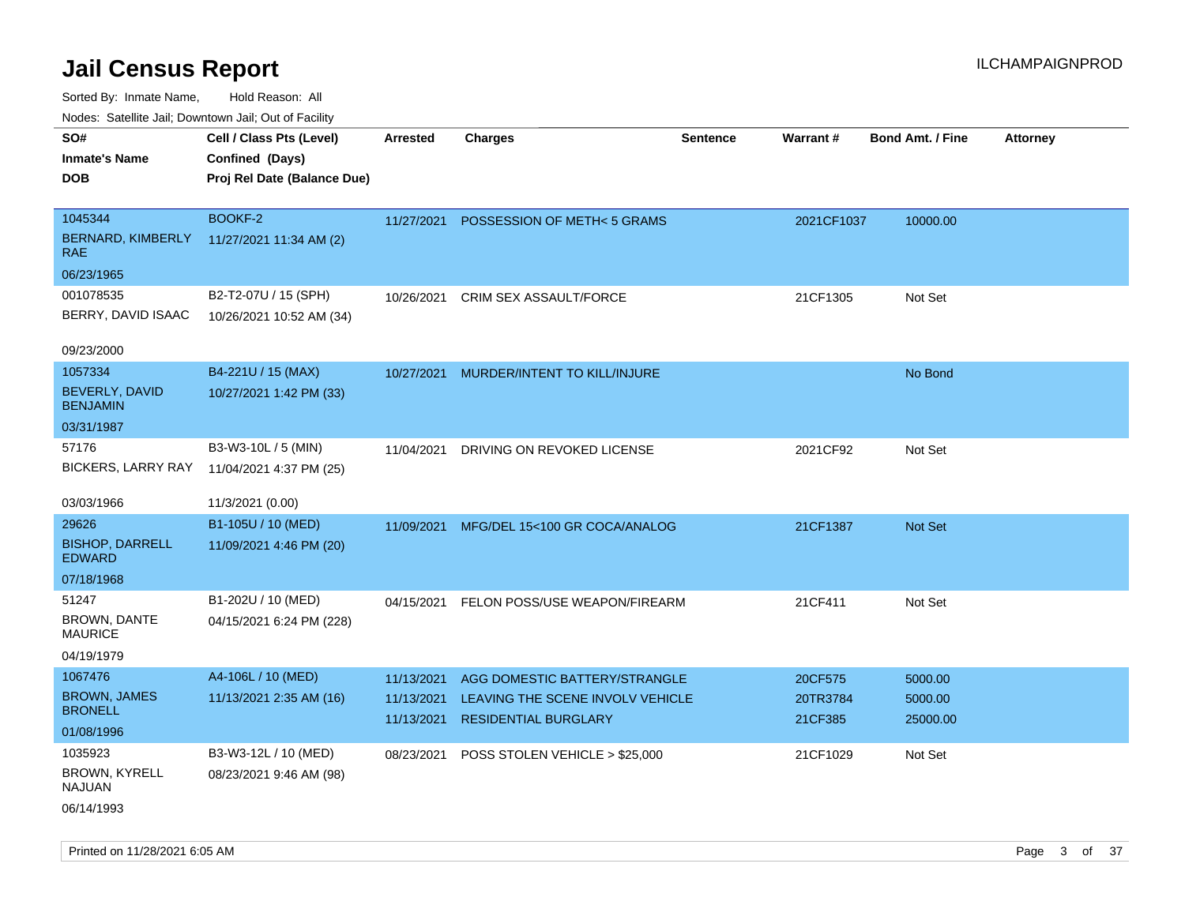| Nudes. Satellite Jali, Downtown Jali, Out of Facility |                             |            |                                          |          |                 |                         |                 |
|-------------------------------------------------------|-----------------------------|------------|------------------------------------------|----------|-----------------|-------------------------|-----------------|
| SO#                                                   | Cell / Class Pts (Level)    | Arrested   | <b>Charges</b>                           | Sentence | <b>Warrant#</b> | <b>Bond Amt. / Fine</b> | <b>Attorney</b> |
| <b>Inmate's Name</b>                                  | Confined (Days)             |            |                                          |          |                 |                         |                 |
| <b>DOB</b>                                            | Proj Rel Date (Balance Due) |            |                                          |          |                 |                         |                 |
|                                                       |                             |            |                                          |          |                 |                         |                 |
| 1045344                                               | BOOKF-2                     | 11/27/2021 | POSSESSION OF METH<5 GRAMS               |          | 2021CF1037      | 10000.00                |                 |
| BERNARD, KIMBERLY<br>RAE                              | 11/27/2021 11:34 AM (2)     |            |                                          |          |                 |                         |                 |
| 06/23/1965                                            |                             |            |                                          |          |                 |                         |                 |
| 001078535                                             | B2-T2-07U / 15 (SPH)        | 10/26/2021 | CRIM SEX ASSAULT/FORCE                   |          | 21CF1305        | Not Set                 |                 |
| BERRY, DAVID ISAAC                                    | 10/26/2021 10:52 AM (34)    |            |                                          |          |                 |                         |                 |
|                                                       |                             |            |                                          |          |                 |                         |                 |
| 09/23/2000                                            |                             |            |                                          |          |                 |                         |                 |
| 1057334                                               | B4-221U / 15 (MAX)          | 10/27/2021 | MURDER/INTENT TO KILL/INJURE             |          |                 | No Bond                 |                 |
| BEVERLY, DAVID<br><b>BENJAMIN</b>                     | 10/27/2021 1:42 PM (33)     |            |                                          |          |                 |                         |                 |
| 03/31/1987                                            |                             |            |                                          |          |                 |                         |                 |
| 57176                                                 | B3-W3-10L / 5 (MIN)         | 11/04/2021 | DRIVING ON REVOKED LICENSE               |          | 2021CF92        | Not Set                 |                 |
| <b>BICKERS, LARRY RAY</b>                             | 11/04/2021 4:37 PM (25)     |            |                                          |          |                 |                         |                 |
|                                                       |                             |            |                                          |          |                 |                         |                 |
| 03/03/1966                                            | 11/3/2021 (0.00)            |            |                                          |          |                 |                         |                 |
| 29626                                                 | B1-105U / 10 (MED)          |            | 11/09/2021 MFG/DEL 15<100 GR COCA/ANALOG |          | 21CF1387        | <b>Not Set</b>          |                 |
| <b>BISHOP, DARRELL</b><br><b>EDWARD</b>               | 11/09/2021 4:46 PM (20)     |            |                                          |          |                 |                         |                 |
| 07/18/1968                                            |                             |            |                                          |          |                 |                         |                 |
| 51247                                                 | B1-202U / 10 (MED)          | 04/15/2021 | FELON POSS/USE WEAPON/FIREARM            |          | 21CF411         | Not Set                 |                 |
| <b>BROWN, DANTE</b><br><b>MAURICE</b>                 | 04/15/2021 6:24 PM (228)    |            |                                          |          |                 |                         |                 |
| 04/19/1979                                            |                             |            |                                          |          |                 |                         |                 |
| 1067476                                               | A4-106L / 10 (MED)          | 11/13/2021 | AGG DOMESTIC BATTERY/STRANGLE            |          | 20CF575         | 5000.00                 |                 |
| <b>BROWN, JAMES</b>                                   | 11/13/2021 2:35 AM (16)     | 11/13/2021 | LEAVING THE SCENE INVOLV VEHICLE         |          | 20TR3784        | 5000.00                 |                 |
| <b>BRONELL</b>                                        |                             | 11/13/2021 | <b>RESIDENTIAL BURGLARY</b>              |          | 21CF385         | 25000.00                |                 |
| 01/08/1996                                            |                             |            |                                          |          |                 |                         |                 |
| 1035923                                               | B3-W3-12L / 10 (MED)        | 08/23/2021 | POSS STOLEN VEHICLE > \$25,000           |          | 21CF1029        | Not Set                 |                 |
| BROWN, KYRELL<br>NAJUAN                               | 08/23/2021 9:46 AM (98)     |            |                                          |          |                 |                         |                 |
| 06/14/1993                                            |                             |            |                                          |          |                 |                         |                 |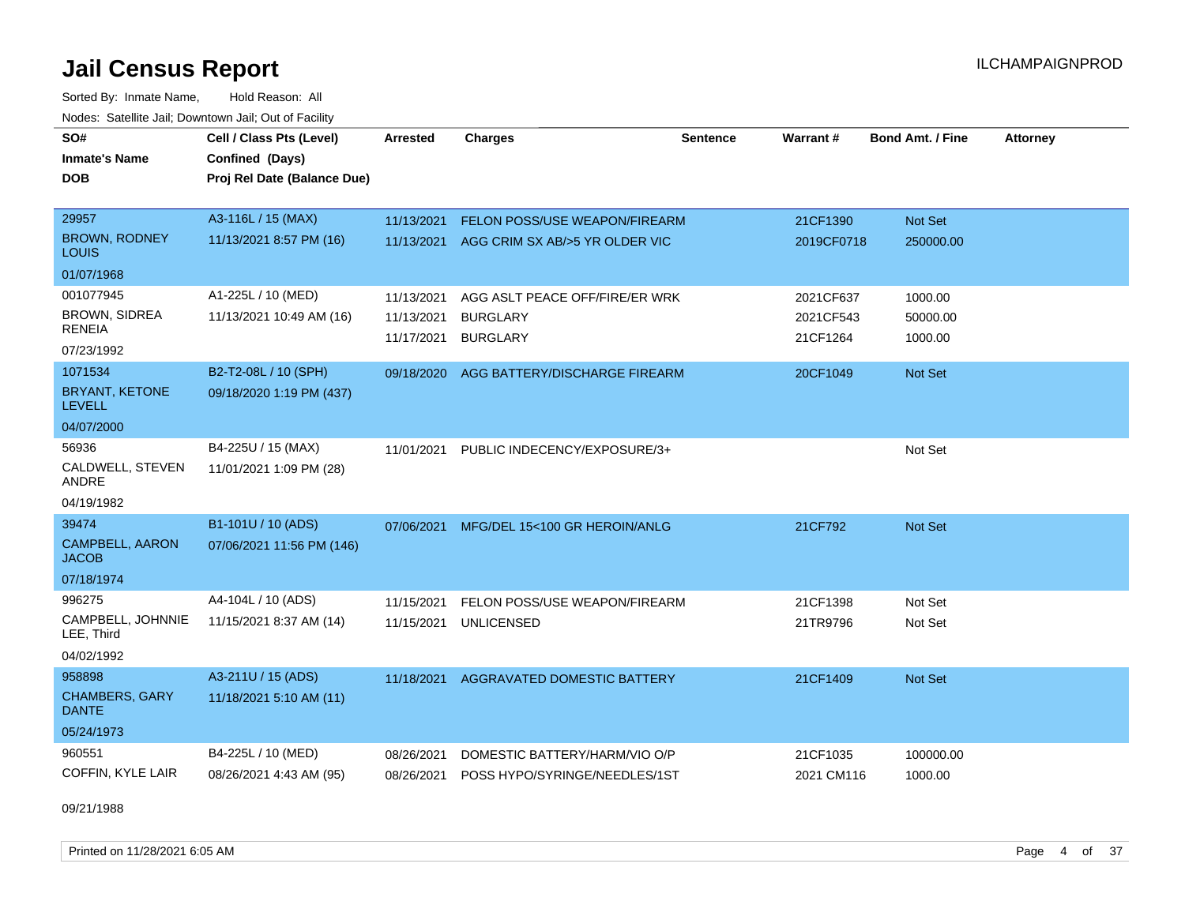Sorted By: Inmate Name, Hold Reason: All Nodes: Satellite Jail; Downtown Jail; Out of Facility

| SO#<br><b>Inmate's Name</b><br><b>DOB</b> | Cell / Class Pts (Level)<br>Confined (Days)<br>Proj Rel Date (Balance Due) | <b>Arrested</b> | <b>Charges</b>                 | <b>Sentence</b> | Warrant#   | <b>Bond Amt. / Fine</b> | <b>Attorney</b> |
|-------------------------------------------|----------------------------------------------------------------------------|-----------------|--------------------------------|-----------------|------------|-------------------------|-----------------|
| 29957                                     | A3-116L / 15 (MAX)                                                         | 11/13/2021      | FELON POSS/USE WEAPON/FIREARM  |                 | 21CF1390   | Not Set                 |                 |
| <b>BROWN, RODNEY</b><br>LOUIS             | 11/13/2021 8:57 PM (16)                                                    | 11/13/2021      | AGG CRIM SX AB/>5 YR OLDER VIC |                 | 2019CF0718 | 250000.00               |                 |
| 01/07/1968                                |                                                                            |                 |                                |                 |            |                         |                 |
| 001077945                                 | A1-225L / 10 (MED)                                                         | 11/13/2021      | AGG ASLT PEACE OFF/FIRE/ER WRK |                 | 2021CF637  | 1000.00                 |                 |
| BROWN, SIDREA                             | 11/13/2021 10:49 AM (16)                                                   | 11/13/2021      | <b>BURGLARY</b>                |                 | 2021CF543  | 50000.00                |                 |
| <b>RENEIA</b><br>07/23/1992               |                                                                            | 11/17/2021      | <b>BURGLARY</b>                |                 | 21CF1264   | 1000.00                 |                 |
| 1071534                                   | B2-T2-08L / 10 (SPH)                                                       | 09/18/2020      | AGG BATTERY/DISCHARGE FIREARM  |                 | 20CF1049   | <b>Not Set</b>          |                 |
| <b>BRYANT, KETONE</b><br><b>LEVELL</b>    | 09/18/2020 1:19 PM (437)                                                   |                 |                                |                 |            |                         |                 |
| 04/07/2000                                |                                                                            |                 |                                |                 |            |                         |                 |
| 56936                                     | B4-225U / 15 (MAX)                                                         | 11/01/2021      | PUBLIC INDECENCY/EXPOSURE/3+   |                 |            | Not Set                 |                 |
| CALDWELL, STEVEN<br>ANDRE                 | 11/01/2021 1:09 PM (28)                                                    |                 |                                |                 |            |                         |                 |
| 04/19/1982                                |                                                                            |                 |                                |                 |            |                         |                 |
| 39474                                     | B1-101U / 10 (ADS)                                                         | 07/06/2021      | MFG/DEL 15<100 GR HEROIN/ANLG  |                 | 21CF792    | <b>Not Set</b>          |                 |
| <b>CAMPBELL, AARON</b><br><b>JACOB</b>    | 07/06/2021 11:56 PM (146)                                                  |                 |                                |                 |            |                         |                 |
| 07/18/1974                                |                                                                            |                 |                                |                 |            |                         |                 |
| 996275                                    | A4-104L / 10 (ADS)                                                         | 11/15/2021      | FELON POSS/USE WEAPON/FIREARM  |                 | 21CF1398   | Not Set                 |                 |
| CAMPBELL, JOHNNIE<br>LEE, Third           | 11/15/2021 8:37 AM (14)                                                    | 11/15/2021      | <b>UNLICENSED</b>              |                 | 21TR9796   | Not Set                 |                 |
| 04/02/1992                                |                                                                            |                 |                                |                 |            |                         |                 |
| 958898                                    | A3-211U / 15 (ADS)                                                         | 11/18/2021      | AGGRAVATED DOMESTIC BATTERY    |                 | 21CF1409   | Not Set                 |                 |
| <b>CHAMBERS, GARY</b><br><b>DANTE</b>     | 11/18/2021 5:10 AM (11)                                                    |                 |                                |                 |            |                         |                 |
| 05/24/1973                                |                                                                            |                 |                                |                 |            |                         |                 |
| 960551                                    | B4-225L / 10 (MED)                                                         | 08/26/2021      | DOMESTIC BATTERY/HARM/VIO O/P  |                 | 21CF1035   | 100000.00               |                 |
| COFFIN, KYLE LAIR                         | 08/26/2021 4:43 AM (95)                                                    | 08/26/2021      | POSS HYPO/SYRINGE/NEEDLES/1ST  |                 | 2021 CM116 | 1000.00                 |                 |

09/21/1988

Printed on 11/28/2021 6:05 AM **Page 4 of 37**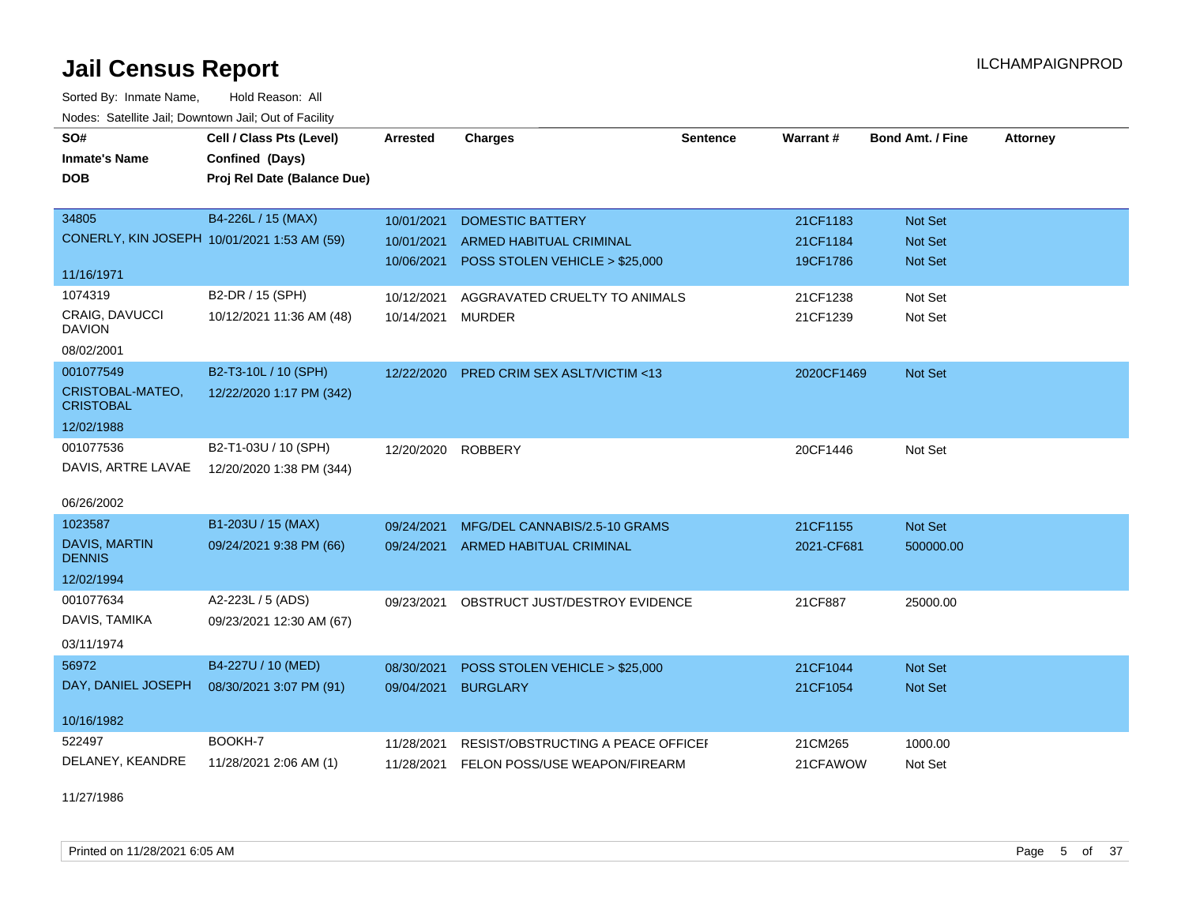Sorted By: Inmate Name, Hold Reason: All Nodes: Satellite Jail; Downtown Jail; Out of Facility

| SO#                                  | Cell / Class Pts (Level)                    | Arrested   | <b>Charges</b>                     | <b>Sentence</b> | Warrant#   | <b>Bond Amt. / Fine</b> | <b>Attorney</b> |
|--------------------------------------|---------------------------------------------|------------|------------------------------------|-----------------|------------|-------------------------|-----------------|
| <b>Inmate's Name</b>                 | Confined (Days)                             |            |                                    |                 |            |                         |                 |
| <b>DOB</b>                           | Proj Rel Date (Balance Due)                 |            |                                    |                 |            |                         |                 |
|                                      |                                             |            |                                    |                 |            |                         |                 |
| 34805                                | B4-226L / 15 (MAX)                          | 10/01/2021 | <b>DOMESTIC BATTERY</b>            |                 | 21CF1183   | Not Set                 |                 |
|                                      | CONERLY, KIN JOSEPH 10/01/2021 1:53 AM (59) | 10/01/2021 | <b>ARMED HABITUAL CRIMINAL</b>     |                 | 21CF1184   | Not Set                 |                 |
| 11/16/1971                           |                                             | 10/06/2021 | POSS STOLEN VEHICLE > \$25,000     |                 | 19CF1786   | <b>Not Set</b>          |                 |
| 1074319                              | B2-DR / 15 (SPH)                            | 10/12/2021 | AGGRAVATED CRUELTY TO ANIMALS      |                 | 21CF1238   | Not Set                 |                 |
| CRAIG, DAVUCCI<br><b>DAVION</b>      | 10/12/2021 11:36 AM (48)                    | 10/14/2021 | <b>MURDER</b>                      |                 | 21CF1239   | Not Set                 |                 |
| 08/02/2001                           |                                             |            |                                    |                 |            |                         |                 |
| 001077549                            | B2-T3-10L / 10 (SPH)                        | 12/22/2020 | PRED CRIM SEX ASLT/VICTIM <13      |                 | 2020CF1469 | Not Set                 |                 |
| CRISTOBAL-MATEO,<br><b>CRISTOBAL</b> | 12/22/2020 1:17 PM (342)                    |            |                                    |                 |            |                         |                 |
| 12/02/1988                           |                                             |            |                                    |                 |            |                         |                 |
| 001077536                            | B2-T1-03U / 10 (SPH)                        | 12/20/2020 | <b>ROBBERY</b>                     |                 | 20CF1446   | Not Set                 |                 |
| DAVIS, ARTRE LAVAE                   | 12/20/2020 1:38 PM (344)                    |            |                                    |                 |            |                         |                 |
| 06/26/2002                           |                                             |            |                                    |                 |            |                         |                 |
| 1023587                              | B1-203U / 15 (MAX)                          | 09/24/2021 | MFG/DEL CANNABIS/2.5-10 GRAMS      |                 | 21CF1155   | Not Set                 |                 |
| DAVIS, MARTIN<br><b>DENNIS</b>       | 09/24/2021 9:38 PM (66)                     | 09/24/2021 | ARMED HABITUAL CRIMINAL            |                 | 2021-CF681 | 500000.00               |                 |
| 12/02/1994                           |                                             |            |                                    |                 |            |                         |                 |
| 001077634                            | A2-223L / 5 (ADS)                           | 09/23/2021 | OBSTRUCT JUST/DESTROY EVIDENCE     |                 | 21CF887    | 25000.00                |                 |
| DAVIS, TAMIKA                        | 09/23/2021 12:30 AM (67)                    |            |                                    |                 |            |                         |                 |
| 03/11/1974                           |                                             |            |                                    |                 |            |                         |                 |
| 56972                                | B4-227U / 10 (MED)                          | 08/30/2021 | POSS STOLEN VEHICLE > \$25,000     |                 | 21CF1044   | Not Set                 |                 |
| DAY, DANIEL JOSEPH                   | 08/30/2021 3:07 PM (91)                     | 09/04/2021 | <b>BURGLARY</b>                    |                 | 21CF1054   | Not Set                 |                 |
| 10/16/1982                           |                                             |            |                                    |                 |            |                         |                 |
| 522497                               | BOOKH-7                                     | 11/28/2021 | RESIST/OBSTRUCTING A PEACE OFFICEF |                 | 21CM265    | 1000.00                 |                 |
| DELANEY, KEANDRE                     | 11/28/2021 2:06 AM (1)                      | 11/28/2021 | FELON POSS/USE WEAPON/FIREARM      |                 | 21CFAWOW   | Not Set                 |                 |

11/27/1986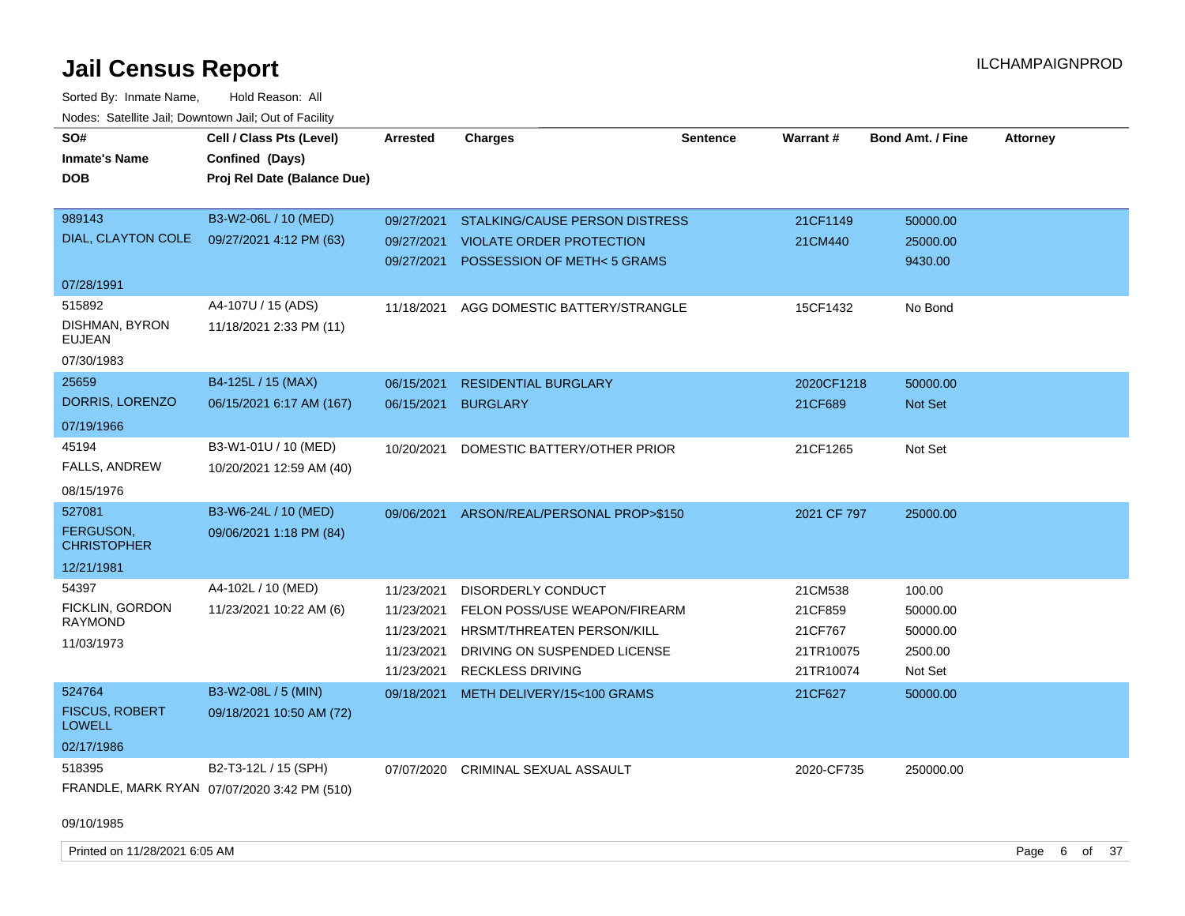Sorted By: Inmate Name, Hold Reason: All Nodes: Satellite Jail; Downtown Jail; Out of Facility

| SO#<br><b>Inmate's Name</b><br><b>DOB</b>                      | Cell / Class Pts (Level)<br>Confined (Days)<br>Proj Rel Date (Balance Due) | Arrested                                                           | <b>Charges</b>                                                                                                                                      | <b>Sentence</b> | Warrant#                                                | <b>Bond Amt. / Fine</b>                              | <b>Attorney</b> |
|----------------------------------------------------------------|----------------------------------------------------------------------------|--------------------------------------------------------------------|-----------------------------------------------------------------------------------------------------------------------------------------------------|-----------------|---------------------------------------------------------|------------------------------------------------------|-----------------|
| 989143<br>DIAL, CLAYTON COLE                                   | B3-W2-06L / 10 (MED)<br>09/27/2021 4:12 PM (63)                            | 09/27/2021<br>09/27/2021                                           | 09/27/2021 STALKING/CAUSE PERSON DISTRESS<br>VIOLATE ORDER PROTECTION<br>POSSESSION OF METH<5 GRAMS                                                 |                 | 21CF1149<br>21CM440                                     | 50000.00<br>25000.00<br>9430.00                      |                 |
| 07/28/1991                                                     |                                                                            |                                                                    |                                                                                                                                                     |                 |                                                         |                                                      |                 |
| 515892<br>DISHMAN, BYRON<br><b>EUJEAN</b>                      | A4-107U / 15 (ADS)<br>11/18/2021 2:33 PM (11)                              |                                                                    | 11/18/2021 AGG DOMESTIC BATTERY/STRANGLE                                                                                                            |                 | 15CF1432                                                | No Bond                                              |                 |
| 07/30/1983                                                     |                                                                            |                                                                    |                                                                                                                                                     |                 |                                                         |                                                      |                 |
| 25659<br>DORRIS, LORENZO                                       | B4-125L / 15 (MAX)                                                         | 06/15/2021                                                         | <b>RESIDENTIAL BURGLARY</b>                                                                                                                         |                 | 2020CF1218                                              | 50000.00                                             |                 |
| 07/19/1966                                                     | 06/15/2021 6:17 AM (167)                                                   | 06/15/2021                                                         | <b>BURGLARY</b>                                                                                                                                     |                 | 21CF689                                                 | Not Set                                              |                 |
| 45194<br>FALLS, ANDREW                                         | B3-W1-01U / 10 (MED)<br>10/20/2021 12:59 AM (40)                           | 10/20/2021                                                         | DOMESTIC BATTERY/OTHER PRIOR                                                                                                                        |                 | 21CF1265                                                | Not Set                                              |                 |
| 08/15/1976                                                     |                                                                            |                                                                    |                                                                                                                                                     |                 |                                                         |                                                      |                 |
| 527081<br>FERGUSON,<br><b>CHRISTOPHER</b>                      | B3-W6-24L / 10 (MED)<br>09/06/2021 1:18 PM (84)                            |                                                                    | 09/06/2021 ARSON/REAL/PERSONAL PROP>\$150                                                                                                           |                 | 2021 CF 797                                             | 25000.00                                             |                 |
| 12/21/1981                                                     |                                                                            |                                                                    |                                                                                                                                                     |                 |                                                         |                                                      |                 |
| 54397<br>FICKLIN, GORDON<br><b>RAYMOND</b><br>11/03/1973       | A4-102L / 10 (MED)<br>11/23/2021 10:22 AM (6)                              | 11/23/2021<br>11/23/2021<br>11/23/2021<br>11/23/2021<br>11/23/2021 | <b>DISORDERLY CONDUCT</b><br>FELON POSS/USE WEAPON/FIREARM<br>HRSMT/THREATEN PERSON/KILL<br>DRIVING ON SUSPENDED LICENSE<br><b>RECKLESS DRIVING</b> |                 | 21CM538<br>21CF859<br>21CF767<br>21TR10075<br>21TR10074 | 100.00<br>50000.00<br>50000.00<br>2500.00<br>Not Set |                 |
| 524764<br><b>FISCUS, ROBERT</b><br><b>LOWELL</b><br>02/17/1986 | B3-W2-08L / 5 (MIN)<br>09/18/2021 10:50 AM (72)                            | 09/18/2021                                                         | METH DELIVERY/15<100 GRAMS                                                                                                                          |                 | 21CF627                                                 | 50000.00                                             |                 |
| 518395                                                         | B2-T3-12L / 15 (SPH)<br>FRANDLE, MARK RYAN 07/07/2020 3:42 PM (510)        | 07/07/2020                                                         | CRIMINAL SEXUAL ASSAULT                                                                                                                             |                 | 2020-CF735                                              | 250000.00                                            |                 |

09/10/1985

Printed on 11/28/2021 6:05 AM **Page 6** of 37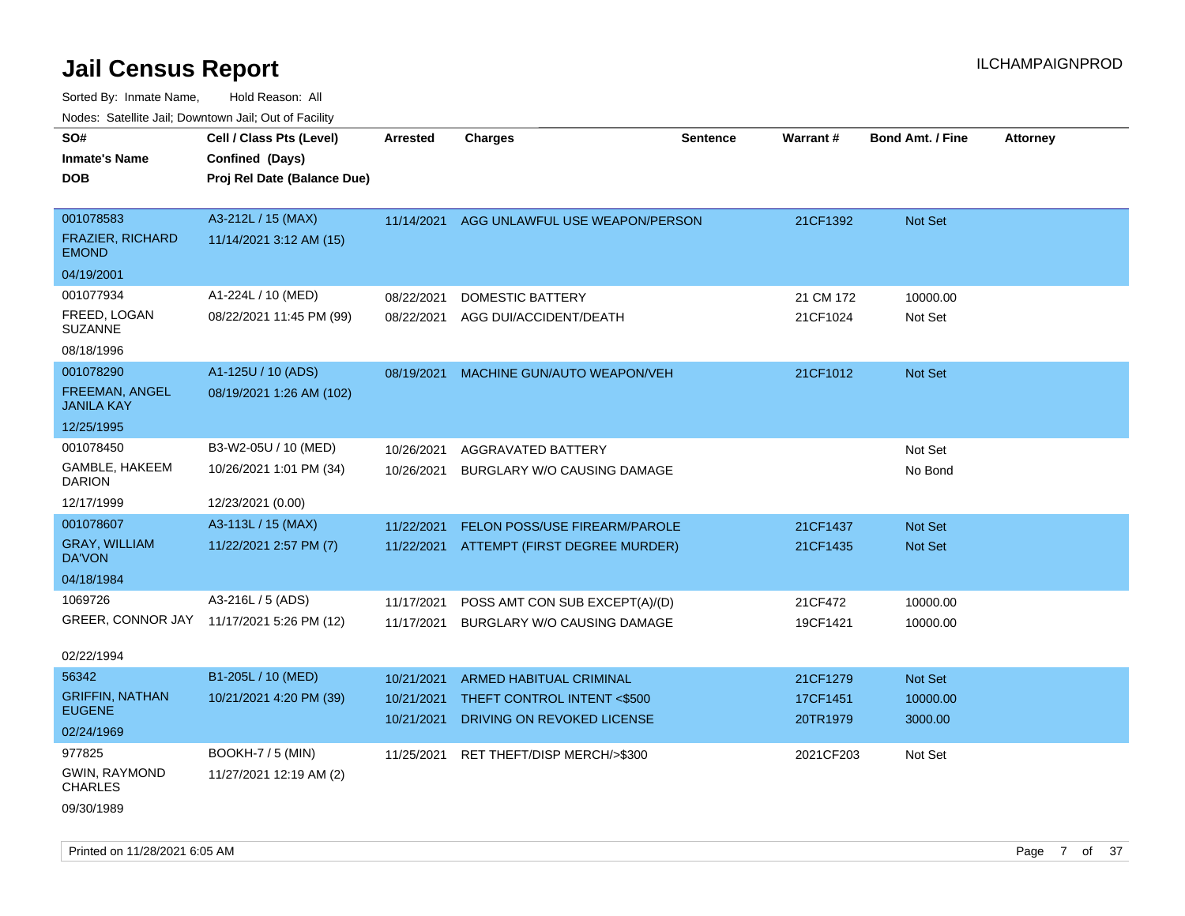| SO#                                        | Cell / Class Pts (Level)                  | <b>Arrested</b> | <b>Charges</b>                       | <b>Sentence</b> | Warrant#  | <b>Bond Amt. / Fine</b> | <b>Attorney</b> |
|--------------------------------------------|-------------------------------------------|-----------------|--------------------------------------|-----------------|-----------|-------------------------|-----------------|
| <b>Inmate's Name</b>                       | Confined (Days)                           |                 |                                      |                 |           |                         |                 |
| <b>DOB</b>                                 | Proj Rel Date (Balance Due)               |                 |                                      |                 |           |                         |                 |
|                                            |                                           |                 |                                      |                 |           |                         |                 |
| 001078583                                  | A3-212L / 15 (MAX)                        | 11/14/2021      | AGG UNLAWFUL USE WEAPON/PERSON       |                 | 21CF1392  | Not Set                 |                 |
| <b>FRAZIER, RICHARD</b><br><b>EMOND</b>    | 11/14/2021 3:12 AM (15)                   |                 |                                      |                 |           |                         |                 |
| 04/19/2001                                 |                                           |                 |                                      |                 |           |                         |                 |
| 001077934                                  | A1-224L / 10 (MED)                        | 08/22/2021      | <b>DOMESTIC BATTERY</b>              |                 | 21 CM 172 | 10000.00                |                 |
| FREED, LOGAN<br><b>SUZANNE</b>             | 08/22/2021 11:45 PM (99)                  | 08/22/2021      | AGG DUI/ACCIDENT/DEATH               |                 | 21CF1024  | Not Set                 |                 |
| 08/18/1996                                 |                                           |                 |                                      |                 |           |                         |                 |
| 001078290                                  | A1-125U / 10 (ADS)                        | 08/19/2021      | MACHINE GUN/AUTO WEAPON/VEH          |                 | 21CF1012  | Not Set                 |                 |
| <b>FREEMAN, ANGEL</b><br><b>JANILA KAY</b> | 08/19/2021 1:26 AM (102)                  |                 |                                      |                 |           |                         |                 |
| 12/25/1995                                 |                                           |                 |                                      |                 |           |                         |                 |
| 001078450                                  | B3-W2-05U / 10 (MED)                      | 10/26/2021      | AGGRAVATED BATTERY                   |                 |           | Not Set                 |                 |
| GAMBLE, HAKEEM<br><b>DARION</b>            | 10/26/2021 1:01 PM (34)                   | 10/26/2021      | BURGLARY W/O CAUSING DAMAGE          |                 |           | No Bond                 |                 |
| 12/17/1999                                 | 12/23/2021 (0.00)                         |                 |                                      |                 |           |                         |                 |
| 001078607                                  | A3-113L / 15 (MAX)                        | 11/22/2021      | <b>FELON POSS/USE FIREARM/PAROLE</b> |                 | 21CF1437  | <b>Not Set</b>          |                 |
| <b>GRAY, WILLIAM</b><br>DA'VON             | 11/22/2021 2:57 PM (7)                    | 11/22/2021      | ATTEMPT (FIRST DEGREE MURDER)        |                 | 21CF1435  | Not Set                 |                 |
| 04/18/1984                                 |                                           |                 |                                      |                 |           |                         |                 |
| 1069726                                    | A3-216L / 5 (ADS)                         | 11/17/2021      | POSS AMT CON SUB EXCEPT(A)/(D)       |                 | 21CF472   | 10000.00                |                 |
|                                            | GREER, CONNOR JAY 11/17/2021 5:26 PM (12) | 11/17/2021      | BURGLARY W/O CAUSING DAMAGE          |                 | 19CF1421  | 10000.00                |                 |
| 02/22/1994                                 |                                           |                 |                                      |                 |           |                         |                 |
| 56342                                      | B1-205L / 10 (MED)                        | 10/21/2021      | <b>ARMED HABITUAL CRIMINAL</b>       |                 | 21CF1279  | Not Set                 |                 |
| <b>GRIFFIN, NATHAN</b>                     | 10/21/2021 4:20 PM (39)                   | 10/21/2021      | THEFT CONTROL INTENT <\$500          |                 | 17CF1451  | 10000.00                |                 |
| <b>EUGENE</b>                              |                                           | 10/21/2021      | DRIVING ON REVOKED LICENSE           |                 | 20TR1979  | 3000.00                 |                 |
| 02/24/1969                                 |                                           |                 |                                      |                 |           |                         |                 |
| 977825                                     | <b>BOOKH-7 / 5 (MIN)</b>                  | 11/25/2021      | RET THEFT/DISP MERCH/>\$300          |                 | 2021CF203 | Not Set                 |                 |
| <b>GWIN, RAYMOND</b><br><b>CHARLES</b>     | 11/27/2021 12:19 AM (2)                   |                 |                                      |                 |           |                         |                 |
| 09/30/1989                                 |                                           |                 |                                      |                 |           |                         |                 |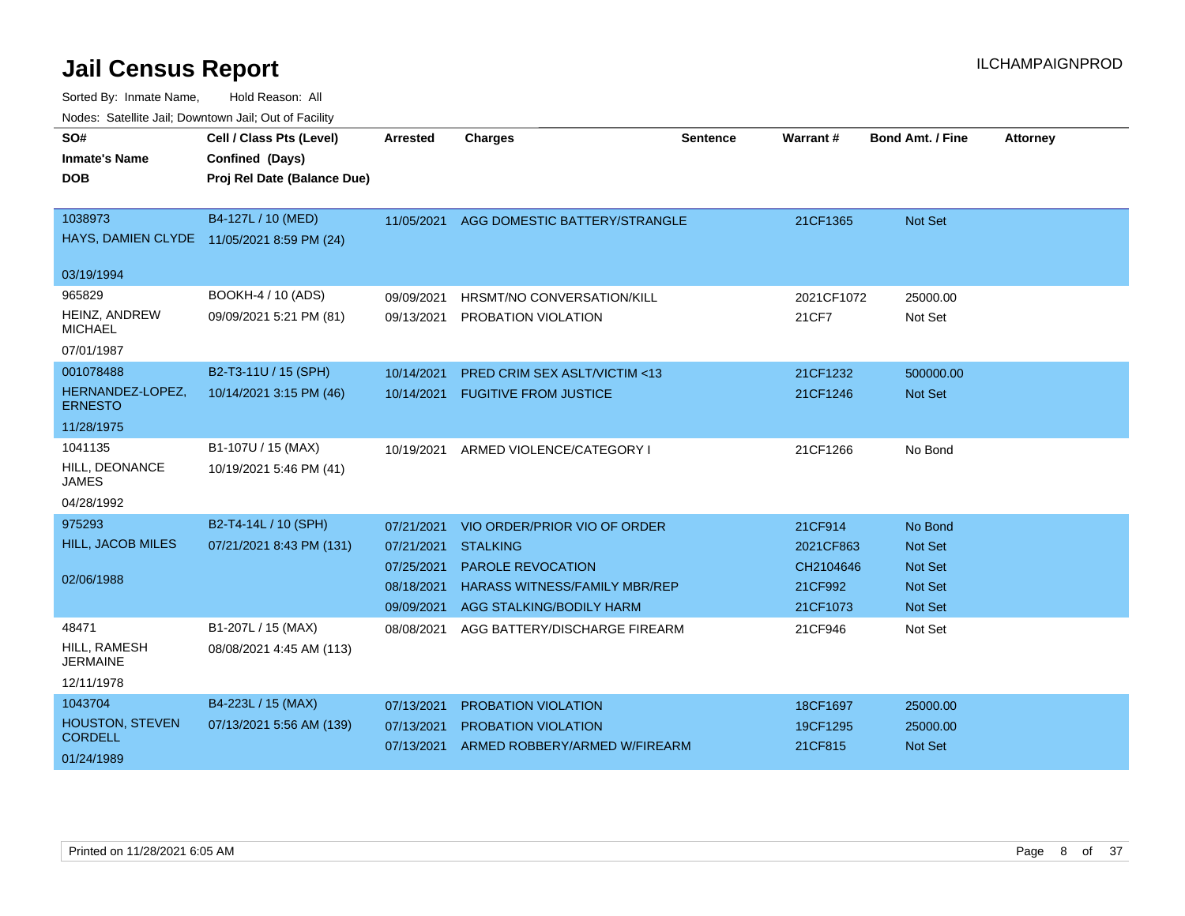| SO#<br><b>Inmate's Name</b><br><b>DOB</b> | Cell / Class Pts (Level)<br>Confined (Days)<br>Proj Rel Date (Balance Due) | <b>Arrested</b> | <b>Charges</b>                          | <b>Sentence</b> | Warrant#   | <b>Bond Amt. / Fine</b> | <b>Attorney</b> |
|-------------------------------------------|----------------------------------------------------------------------------|-----------------|-----------------------------------------|-----------------|------------|-------------------------|-----------------|
|                                           |                                                                            |                 |                                         |                 |            |                         |                 |
| 1038973                                   | B4-127L / 10 (MED)                                                         | 11/05/2021      | AGG DOMESTIC BATTERY/STRANGLE           |                 | 21CF1365   | Not Set                 |                 |
|                                           | HAYS, DAMIEN CLYDE 11/05/2021 8:59 PM (24)                                 |                 |                                         |                 |            |                         |                 |
| 03/19/1994                                |                                                                            |                 |                                         |                 |            |                         |                 |
| 965829                                    | BOOKH-4 / 10 (ADS)                                                         | 09/09/2021      | HRSMT/NO CONVERSATION/KILL              |                 | 2021CF1072 | 25000.00                |                 |
| HEINZ, ANDREW<br><b>MICHAEL</b>           | 09/09/2021 5:21 PM (81)                                                    | 09/13/2021      | PROBATION VIOLATION                     |                 | 21CF7      | Not Set                 |                 |
| 07/01/1987                                |                                                                            |                 |                                         |                 |            |                         |                 |
| 001078488                                 | B2-T3-11U / 15 (SPH)                                                       | 10/14/2021      | <b>PRED CRIM SEX ASLT/VICTIM &lt;13</b> |                 | 21CF1232   | 500000.00               |                 |
| HERNANDEZ-LOPEZ,<br><b>ERNESTO</b>        | 10/14/2021 3:15 PM (46)                                                    | 10/14/2021      | <b>FUGITIVE FROM JUSTICE</b>            |                 | 21CF1246   | Not Set                 |                 |
| 11/28/1975                                |                                                                            |                 |                                         |                 |            |                         |                 |
| 1041135                                   | B1-107U / 15 (MAX)                                                         | 10/19/2021      | ARMED VIOLENCE/CATEGORY I               |                 | 21CF1266   | No Bond                 |                 |
| HILL, DEONANCE<br>JAMES                   | 10/19/2021 5:46 PM (41)                                                    |                 |                                         |                 |            |                         |                 |
| 04/28/1992                                |                                                                            |                 |                                         |                 |            |                         |                 |
| 975293                                    | B2-T4-14L / 10 (SPH)                                                       | 07/21/2021      | VIO ORDER/PRIOR VIO OF ORDER            |                 | 21CF914    | No Bond                 |                 |
| <b>HILL, JACOB MILES</b>                  | 07/21/2021 8:43 PM (131)                                                   | 07/21/2021      | <b>STALKING</b>                         |                 | 2021CF863  | <b>Not Set</b>          |                 |
|                                           |                                                                            | 07/25/2021      | <b>PAROLE REVOCATION</b>                |                 | CH2104646  | <b>Not Set</b>          |                 |
| 02/06/1988                                |                                                                            | 08/18/2021      | <b>HARASS WITNESS/FAMILY MBR/REP</b>    |                 | 21CF992    | <b>Not Set</b>          |                 |
|                                           |                                                                            | 09/09/2021      | AGG STALKING/BODILY HARM                |                 | 21CF1073   | Not Set                 |                 |
| 48471                                     | B1-207L / 15 (MAX)                                                         | 08/08/2021      | AGG BATTERY/DISCHARGE FIREARM           |                 | 21CF946    | Not Set                 |                 |
| HILL, RAMESH<br><b>JERMAINE</b>           | 08/08/2021 4:45 AM (113)                                                   |                 |                                         |                 |            |                         |                 |
| 12/11/1978                                |                                                                            |                 |                                         |                 |            |                         |                 |
| 1043704                                   | B4-223L / 15 (MAX)                                                         | 07/13/2021      | <b>PROBATION VIOLATION</b>              |                 | 18CF1697   | 25000.00                |                 |
| HOUSTON, STEVEN<br><b>CORDELL</b>         | 07/13/2021 5:56 AM (139)                                                   | 07/13/2021      | <b>PROBATION VIOLATION</b>              |                 | 19CF1295   | 25000.00                |                 |
| 01/24/1989                                |                                                                            | 07/13/2021      | ARMED ROBBERY/ARMED W/FIREARM           |                 | 21CF815    | Not Set                 |                 |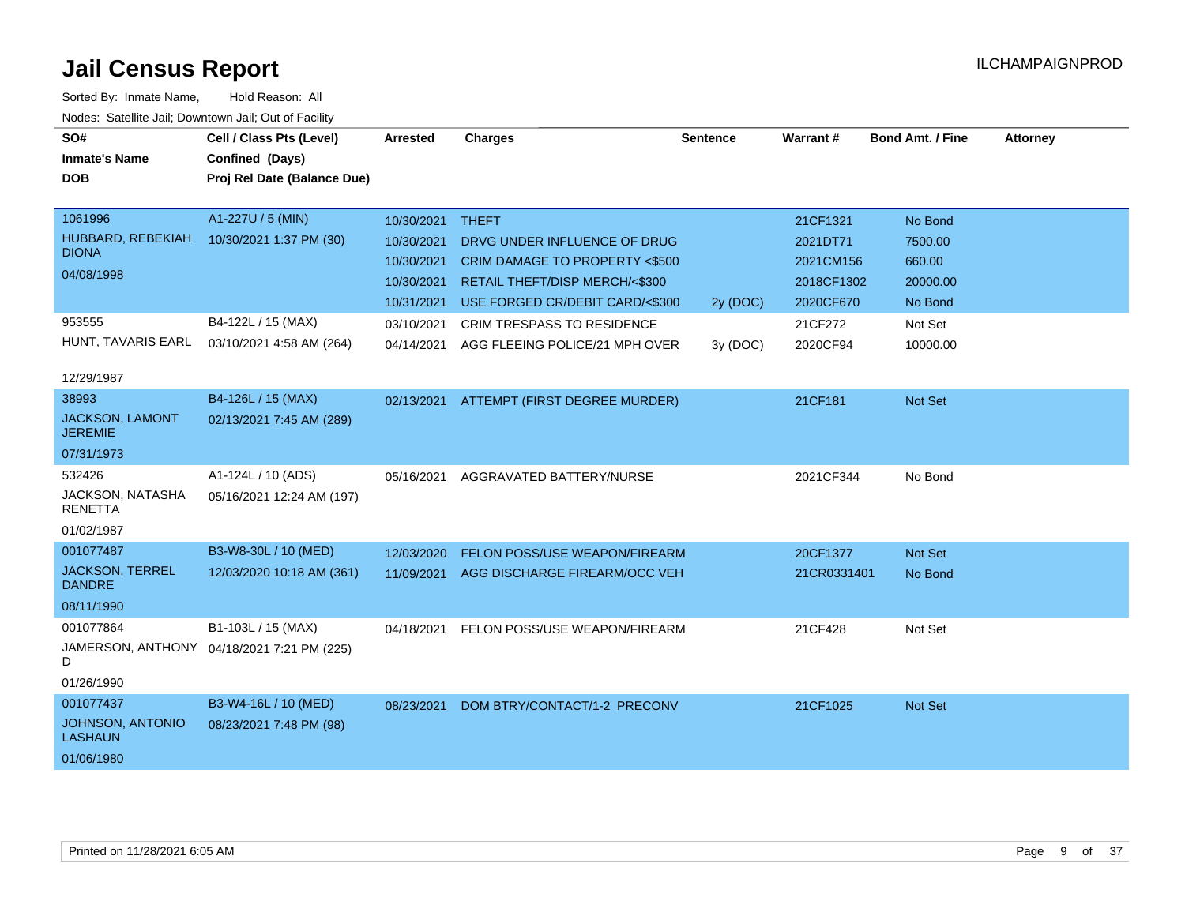| SO#                                      | Cell / Class Pts (Level)                   | <b>Arrested</b> | <b>Charges</b>                       | <b>Sentence</b> | Warrant#    | <b>Bond Amt. / Fine</b> | <b>Attorney</b> |
|------------------------------------------|--------------------------------------------|-----------------|--------------------------------------|-----------------|-------------|-------------------------|-----------------|
| <b>Inmate's Name</b>                     | Confined (Days)                            |                 |                                      |                 |             |                         |                 |
| <b>DOB</b>                               | Proj Rel Date (Balance Due)                |                 |                                      |                 |             |                         |                 |
|                                          |                                            |                 |                                      |                 |             |                         |                 |
| 1061996                                  | A1-227U / 5 (MIN)                          | 10/30/2021      | <b>THEFT</b>                         |                 | 21CF1321    | No Bond                 |                 |
| HUBBARD, REBEKIAH                        | 10/30/2021 1:37 PM (30)                    | 10/30/2021      | DRVG UNDER INFLUENCE OF DRUG         |                 | 2021DT71    | 7500.00                 |                 |
| <b>DIONA</b>                             |                                            | 10/30/2021      | CRIM DAMAGE TO PROPERTY <\$500       |                 | 2021CM156   | 660.00                  |                 |
| 04/08/1998                               |                                            | 10/30/2021      | RETAIL THEFT/DISP MERCH/<\$300       |                 | 2018CF1302  | 20000.00                |                 |
|                                          |                                            | 10/31/2021      | USE FORGED CR/DEBIT CARD/<\$300      | 2y (DOC)        | 2020CF670   | No Bond                 |                 |
| 953555                                   | B4-122L / 15 (MAX)                         | 03/10/2021      | CRIM TRESPASS TO RESIDENCE           |                 | 21CF272     | Not Set                 |                 |
| HUNT, TAVARIS EARL                       | 03/10/2021 4:58 AM (264)                   | 04/14/2021      | AGG FLEEING POLICE/21 MPH OVER       | 3y(DOC)         | 2020CF94    | 10000.00                |                 |
| 12/29/1987                               |                                            |                 |                                      |                 |             |                         |                 |
| 38993                                    | B4-126L / 15 (MAX)                         | 02/13/2021      | ATTEMPT (FIRST DEGREE MURDER)        |                 | 21CF181     | Not Set                 |                 |
| <b>JACKSON, LAMONT</b><br><b>JEREMIE</b> | 02/13/2021 7:45 AM (289)                   |                 |                                      |                 |             |                         |                 |
| 07/31/1973                               |                                            |                 |                                      |                 |             |                         |                 |
| 532426                                   | A1-124L / 10 (ADS)                         | 05/16/2021      | AGGRAVATED BATTERY/NURSE             |                 | 2021CF344   | No Bond                 |                 |
| JACKSON, NATASHA<br><b>RENETTA</b>       | 05/16/2021 12:24 AM (197)                  |                 |                                      |                 |             |                         |                 |
| 01/02/1987                               |                                            |                 |                                      |                 |             |                         |                 |
| 001077487                                | B3-W8-30L / 10 (MED)                       | 12/03/2020      | <b>FELON POSS/USE WEAPON/FIREARM</b> |                 | 20CF1377    | <b>Not Set</b>          |                 |
| <b>JACKSON, TERREL</b><br><b>DANDRE</b>  | 12/03/2020 10:18 AM (361)                  | 11/09/2021      | AGG DISCHARGE FIREARM/OCC VEH        |                 | 21CR0331401 | No Bond                 |                 |
| 08/11/1990                               |                                            |                 |                                      |                 |             |                         |                 |
| 001077864                                | B1-103L / 15 (MAX)                         | 04/18/2021      | FELON POSS/USE WEAPON/FIREARM        |                 | 21CF428     | Not Set                 |                 |
| D                                        | JAMERSON, ANTHONY 04/18/2021 7:21 PM (225) |                 |                                      |                 |             |                         |                 |
| 01/26/1990                               |                                            |                 |                                      |                 |             |                         |                 |
| 001077437                                | B3-W4-16L / 10 (MED)                       | 08/23/2021      | DOM BTRY/CONTACT/1-2 PRECONV         |                 | 21CF1025    | <b>Not Set</b>          |                 |
| JOHNSON, ANTONIO<br>LASHAUN              | 08/23/2021 7:48 PM (98)                    |                 |                                      |                 |             |                         |                 |
| 01/06/1980                               |                                            |                 |                                      |                 |             |                         |                 |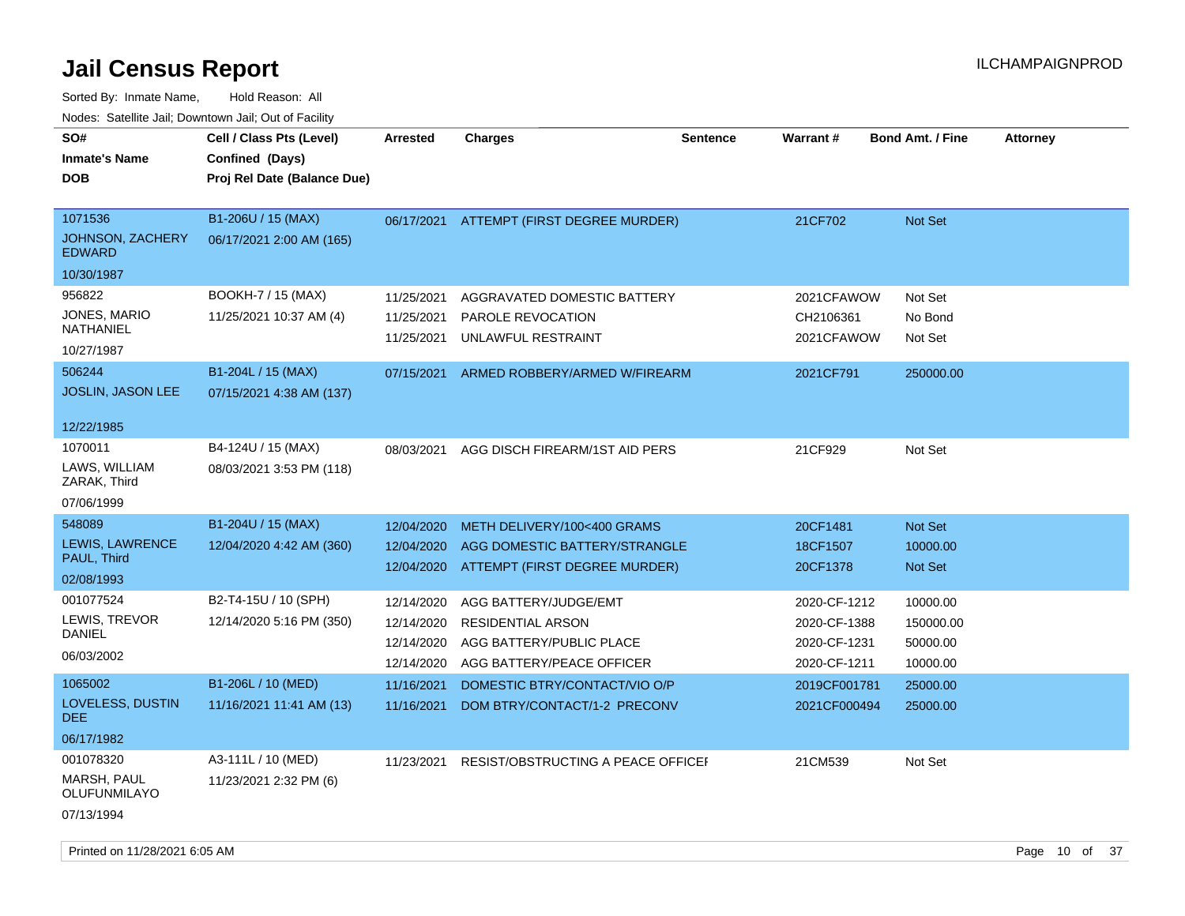| SO#<br><b>Inmate's Name</b><br><b>DOB</b>                     | Cell / Class Pts (Level)<br>Confined (Days)<br>Proj Rel Date (Balance Due) | <b>Arrested</b>                                      | <b>Charges</b>                                                                                             | <b>Sentence</b> | Warrant#                                                     | <b>Bond Amt. / Fine</b>                       | <b>Attorney</b> |
|---------------------------------------------------------------|----------------------------------------------------------------------------|------------------------------------------------------|------------------------------------------------------------------------------------------------------------|-----------------|--------------------------------------------------------------|-----------------------------------------------|-----------------|
| 1071536<br>JOHNSON, ZACHERY<br><b>EDWARD</b><br>10/30/1987    | B1-206U / 15 (MAX)<br>06/17/2021 2:00 AM (165)                             | 06/17/2021                                           | ATTEMPT (FIRST DEGREE MURDER)                                                                              |                 | 21CF702                                                      | <b>Not Set</b>                                |                 |
| 956822<br>JONES, MARIO<br>NATHANIEL<br>10/27/1987             | BOOKH-7 / 15 (MAX)<br>11/25/2021 10:37 AM (4)                              | 11/25/2021<br>11/25/2021<br>11/25/2021               | AGGRAVATED DOMESTIC BATTERY<br>PAROLE REVOCATION<br>UNLAWFUL RESTRAINT                                     |                 | 2021CFAWOW<br>CH2106361<br>2021CFAWOW                        | Not Set<br>No Bond<br>Not Set                 |                 |
| 506244<br>JOSLIN, JASON LEE<br>12/22/1985                     | B1-204L / 15 (MAX)<br>07/15/2021 4:38 AM (137)                             | 07/15/2021                                           | ARMED ROBBERY/ARMED W/FIREARM                                                                              |                 | 2021CF791                                                    | 250000.00                                     |                 |
| 1070011<br>LAWS, WILLIAM<br>ZARAK, Third<br>07/06/1999        | B4-124U / 15 (MAX)<br>08/03/2021 3:53 PM (118)                             | 08/03/2021                                           | AGG DISCH FIREARM/1ST AID PERS                                                                             |                 | 21CF929                                                      | Not Set                                       |                 |
| 548089<br>LEWIS, LAWRENCE<br>PAUL, Third<br>02/08/1993        | B1-204U / 15 (MAX)<br>12/04/2020 4:42 AM (360)                             | 12/04/2020<br>12/04/2020<br>12/04/2020               | METH DELIVERY/100<400 GRAMS<br>AGG DOMESTIC BATTERY/STRANGLE<br>ATTEMPT (FIRST DEGREE MURDER)              |                 | 20CF1481<br>18CF1507<br>20CF1378                             | <b>Not Set</b><br>10000.00<br>Not Set         |                 |
| 001077524<br>LEWIS, TREVOR<br><b>DANIEL</b><br>06/03/2002     | B2-T4-15U / 10 (SPH)<br>12/14/2020 5:16 PM (350)                           | 12/14/2020<br>12/14/2020<br>12/14/2020<br>12/14/2020 | AGG BATTERY/JUDGE/EMT<br><b>RESIDENTIAL ARSON</b><br>AGG BATTERY/PUBLIC PLACE<br>AGG BATTERY/PEACE OFFICER |                 | 2020-CF-1212<br>2020-CF-1388<br>2020-CF-1231<br>2020-CF-1211 | 10000.00<br>150000.00<br>50000.00<br>10000.00 |                 |
| 1065002<br>LOVELESS, DUSTIN<br><b>DEE</b><br>06/17/1982       | B1-206L / 10 (MED)<br>11/16/2021 11:41 AM (13)                             | 11/16/2021<br>11/16/2021                             | DOMESTIC BTRY/CONTACT/VIO O/P<br>DOM BTRY/CONTACT/1-2 PRECONV                                              |                 | 2019CF001781<br>2021CF000494                                 | 25000.00<br>25000.00                          |                 |
| 001078320<br><b>MARSH, PAUL</b><br>OLUFUNMILAYO<br>07/13/1994 | A3-111L / 10 (MED)<br>11/23/2021 2:32 PM (6)                               | 11/23/2021                                           | RESIST/OBSTRUCTING A PEACE OFFICEF                                                                         |                 | 21CM539                                                      | Not Set                                       |                 |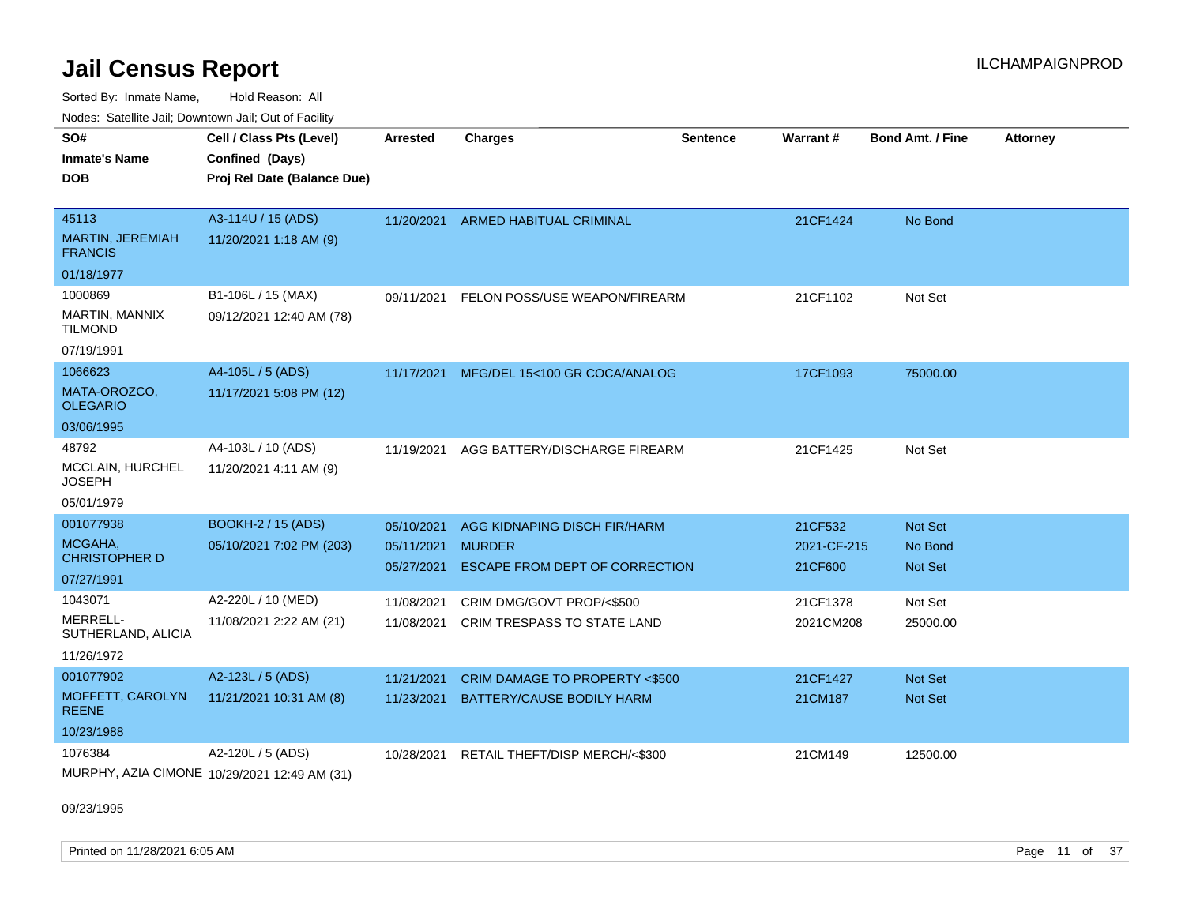Sorted By: Inmate Name, Hold Reason: All Node

|                                           | Nodes: Satellite Jail; Downtown Jail; Out of Facility |            |                               |                 |             |                         |                 |
|-------------------------------------------|-------------------------------------------------------|------------|-------------------------------|-----------------|-------------|-------------------------|-----------------|
| SO#                                       | Cell / Class Pts (Level)                              | Arrested   | <b>Charges</b>                | <b>Sentence</b> | Warrant#    | <b>Bond Amt. / Fine</b> | <b>Attorney</b> |
| <b>Inmate's Name</b>                      | Confined (Days)                                       |            |                               |                 |             |                         |                 |
| <b>DOB</b>                                | Proj Rel Date (Balance Due)                           |            |                               |                 |             |                         |                 |
|                                           |                                                       |            |                               |                 |             |                         |                 |
| 45113                                     | A3-114U / 15 (ADS)                                    | 11/20/2021 | ARMED HABITUAL CRIMINAL       |                 | 21CF1424    | No Bond                 |                 |
| <b>MARTIN, JEREMIAH</b><br><b>FRANCIS</b> | 11/20/2021 1:18 AM (9)                                |            |                               |                 |             |                         |                 |
| 01/18/1977                                |                                                       |            |                               |                 |             |                         |                 |
| 1000869                                   | B1-106L / 15 (MAX)                                    | 09/11/2021 | FELON POSS/USE WEAPON/FIREARM |                 | 21CF1102    | Not Set                 |                 |
| <b>MARTIN, MANNIX</b><br><b>TILMOND</b>   | 09/12/2021 12:40 AM (78)                              |            |                               |                 |             |                         |                 |
| 07/19/1991                                |                                                       |            |                               |                 |             |                         |                 |
| 1066623                                   | A4-105L / 5 (ADS)                                     | 11/17/2021 | MFG/DEL 15<100 GR COCA/ANALOG |                 | 17CF1093    | 75000.00                |                 |
| MATA-OROZCO.<br><b>OLEGARIO</b>           | 11/17/2021 5:08 PM (12)                               |            |                               |                 |             |                         |                 |
| 03/06/1995                                |                                                       |            |                               |                 |             |                         |                 |
| 48792                                     | A4-103L / 10 (ADS)                                    | 11/19/2021 | AGG BATTERY/DISCHARGE FIREARM |                 | 21CF1425    | Not Set                 |                 |
| <b>MCCLAIN, HURCHEL</b><br><b>JOSEPH</b>  | 11/20/2021 4:11 AM (9)                                |            |                               |                 |             |                         |                 |
| 05/01/1979                                |                                                       |            |                               |                 |             |                         |                 |
| 001077938                                 | <b>BOOKH-2 / 15 (ADS)</b>                             | 05/10/2021 | AGG KIDNAPING DISCH FIR/HARM  |                 | 21CF532     | Not Set                 |                 |
| MCGAHA,                                   | 05/10/2021 7:02 PM (203)                              | 05/11/2021 | <b>MURDER</b>                 |                 | 2021-CF-215 | No Bond                 |                 |

CHRISTOPHER D 05/10/2021 7:02 PM (203) 07/27/1991 05/11/2021 MURDER 2021-CF-215 No Bond 05/27/2021 ESCAPE FROM DEPT OF CORRECTION 21CF600 Not Set

MERRELL-SUTHERLAND, ALICIA 1043071 A2-220L / 10 (MED) 11/08/2021 2:22 AM (21)

| 11/26/1972                       |                                             |            |                                |          |          |
|----------------------------------|---------------------------------------------|------------|--------------------------------|----------|----------|
| 001077902                        | A2-123L / 5 (ADS)                           | 11/21/2021 | CRIM DAMAGE TO PROPERTY <\$500 | 21CF1427 | Not Set  |
| MOFFETT, CAROLYN<br><b>REENE</b> | 11/21/2021 10:31 AM (8)                     | 11/23/2021 | BATTERY/CAUSE BODILY HARM      | 21CM187  | Not Set  |
| 10/23/1988                       |                                             |            |                                |          |          |
| 1076384                          | A2-120L / 5 (ADS)                           | 10/28/2021 | RETAIL THEFT/DISP MERCH/<\$300 | 21CM149  | 12500.00 |
|                                  | MUDDHY AZIA CIMONE 40/00/0004 40:40 AM (04) |            |                                |          |          |

11/08/2021 CRIM DMG/GOVT PROP/<\$500 21CF1378 Not Set 11/08/2021 CRIM TRESPASS TO STATE LAND 2021CM208 25000.00

MURPHY, AZIA CIMONE 10/29/2021 12:49 AM (31)

09/23/1995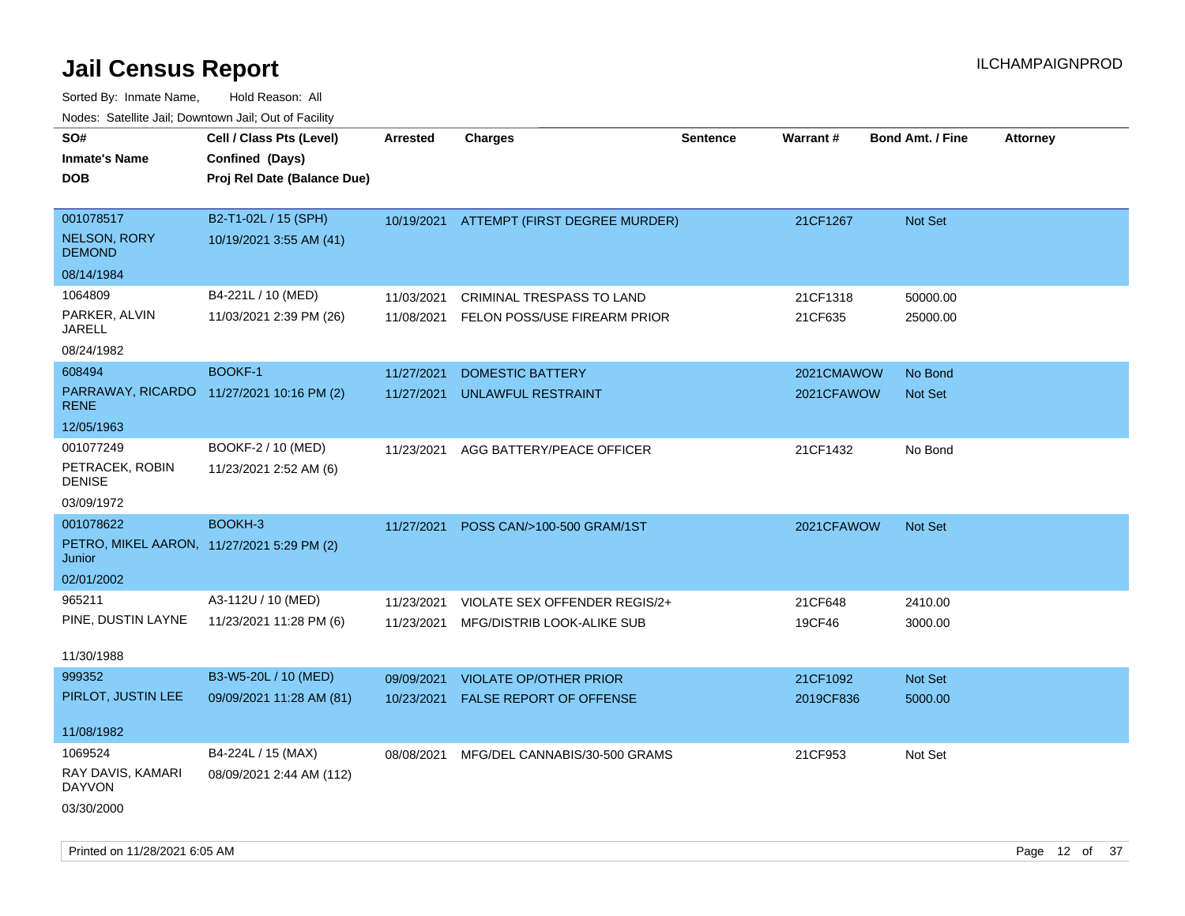| Nuuts. Saltiille Jall, Duwilluwii Jall, Oul of Facility |                                           |            |                                  |          |            |                         |                 |
|---------------------------------------------------------|-------------------------------------------|------------|----------------------------------|----------|------------|-------------------------|-----------------|
| SO#                                                     | Cell / Class Pts (Level)                  | Arrested   | <b>Charges</b>                   | Sentence | Warrant#   | <b>Bond Amt. / Fine</b> | <b>Attorney</b> |
| <b>Inmate's Name</b>                                    | Confined (Days)                           |            |                                  |          |            |                         |                 |
| <b>DOB</b>                                              | Proj Rel Date (Balance Due)               |            |                                  |          |            |                         |                 |
|                                                         |                                           |            |                                  |          |            |                         |                 |
| 001078517                                               | B2-T1-02L / 15 (SPH)                      | 10/19/2021 | ATTEMPT (FIRST DEGREE MURDER)    |          | 21CF1267   | <b>Not Set</b>          |                 |
| <b>NELSON, RORY</b><br><b>DEMOND</b>                    | 10/19/2021 3:55 AM (41)                   |            |                                  |          |            |                         |                 |
| 08/14/1984                                              |                                           |            |                                  |          |            |                         |                 |
| 1064809                                                 | B4-221L / 10 (MED)                        | 11/03/2021 | <b>CRIMINAL TRESPASS TO LAND</b> |          | 21CF1318   | 50000.00                |                 |
| PARKER, ALVIN<br>JARELL                                 | 11/03/2021 2:39 PM (26)                   | 11/08/2021 | FELON POSS/USE FIREARM PRIOR     |          | 21CF635    | 25000.00                |                 |
| 08/24/1982                                              |                                           |            |                                  |          |            |                         |                 |
| 608494                                                  | <b>BOOKF-1</b>                            | 11/27/2021 | <b>DOMESTIC BATTERY</b>          |          | 2021CMAWOW | No Bond                 |                 |
| <b>RENE</b>                                             | PARRAWAY, RICARDO 11/27/2021 10:16 PM (2) | 11/27/2021 | UNLAWFUL RESTRAINT               |          | 2021CFAWOW | <b>Not Set</b>          |                 |
| 12/05/1963                                              |                                           |            |                                  |          |            |                         |                 |
| 001077249                                               | BOOKF-2 / 10 (MED)                        | 11/23/2021 | AGG BATTERY/PEACE OFFICER        |          | 21CF1432   | No Bond                 |                 |
| PETRACEK, ROBIN<br><b>DENISE</b>                        | 11/23/2021 2:52 AM (6)                    |            |                                  |          |            |                         |                 |
| 03/09/1972                                              |                                           |            |                                  |          |            |                         |                 |
| 001078622                                               | BOOKH-3                                   | 11/27/2021 | POSS CAN/>100-500 GRAM/1ST       |          | 2021CFAWOW | <b>Not Set</b>          |                 |
| PETRO, MIKEL AARON, 11/27/2021 5:29 PM (2)<br>Junior    |                                           |            |                                  |          |            |                         |                 |
| 02/01/2002                                              |                                           |            |                                  |          |            |                         |                 |
| 965211                                                  | A3-112U / 10 (MED)                        | 11/23/2021 | VIOLATE SEX OFFENDER REGIS/2+    |          | 21CF648    | 2410.00                 |                 |
| PINE, DUSTIN LAYNE                                      | 11/23/2021 11:28 PM (6)                   | 11/23/2021 | MFG/DISTRIB LOOK-ALIKE SUB       |          | 19CF46     | 3000.00                 |                 |
|                                                         |                                           |            |                                  |          |            |                         |                 |
| 11/30/1988                                              |                                           |            |                                  |          |            |                         |                 |
| 999352                                                  | B3-W5-20L / 10 (MED)                      | 09/09/2021 | <b>VIOLATE OP/OTHER PRIOR</b>    |          | 21CF1092   | Not Set                 |                 |
| PIRLOT, JUSTIN LEE                                      | 09/09/2021 11:28 AM (81)                  | 10/23/2021 | FALSE REPORT OF OFFENSE          |          | 2019CF836  | 5000.00                 |                 |
| 11/08/1982                                              |                                           |            |                                  |          |            |                         |                 |
| 1069524                                                 | B4-224L / 15 (MAX)                        | 08/08/2021 | MFG/DEL CANNABIS/30-500 GRAMS    |          | 21CF953    | Not Set                 |                 |
| RAY DAVIS, KAMARI<br><b>DAYVON</b>                      | 08/09/2021 2:44 AM (112)                  |            |                                  |          |            |                         |                 |
| 03/30/2000                                              |                                           |            |                                  |          |            |                         |                 |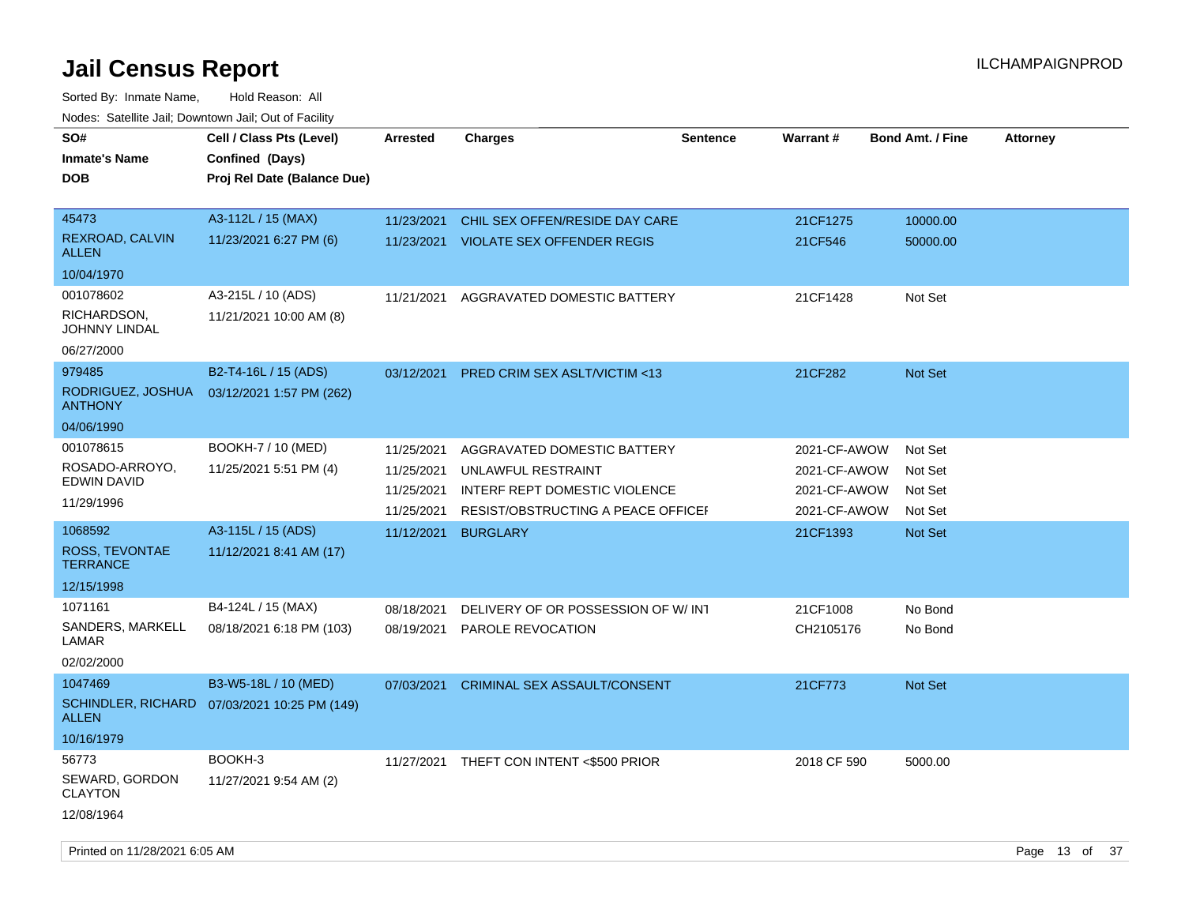| SO#<br><b>Inmate's Name</b>               | Cell / Class Pts (Level)<br>Confined (Days) | <b>Arrested</b> | <b>Charges</b>                          | <b>Sentence</b> | Warrant#     | <b>Bond Amt. / Fine</b> | <b>Attorney</b> |
|-------------------------------------------|---------------------------------------------|-----------------|-----------------------------------------|-----------------|--------------|-------------------------|-----------------|
| <b>DOB</b>                                | Proj Rel Date (Balance Due)                 |                 |                                         |                 |              |                         |                 |
| 45473                                     | A3-112L / 15 (MAX)                          | 11/23/2021      | CHIL SEX OFFEN/RESIDE DAY CARE          |                 | 21CF1275     | 10000.00                |                 |
| REXROAD, CALVIN<br><b>ALLEN</b>           | 11/23/2021 6:27 PM (6)                      | 11/23/2021      | <b>VIOLATE SEX OFFENDER REGIS</b>       |                 | 21CF546      | 50000.00                |                 |
| 10/04/1970                                |                                             |                 |                                         |                 |              |                         |                 |
| 001078602                                 | A3-215L / 10 (ADS)                          | 11/21/2021      | AGGRAVATED DOMESTIC BATTERY             |                 | 21CF1428     | Not Set                 |                 |
| RICHARDSON,<br>JOHNNY LINDAL              | 11/21/2021 10:00 AM (8)                     |                 |                                         |                 |              |                         |                 |
| 06/27/2000                                |                                             |                 |                                         |                 |              |                         |                 |
| 979485                                    | B2-T4-16L / 15 (ADS)                        | 03/12/2021      | <b>PRED CRIM SEX ASLT/VICTIM &lt;13</b> |                 | 21CF282      | <b>Not Set</b>          |                 |
| RODRIGUEZ, JOSHUA<br><b>ANTHONY</b>       | 03/12/2021 1:57 PM (262)                    |                 |                                         |                 |              |                         |                 |
| 04/06/1990                                |                                             |                 |                                         |                 |              |                         |                 |
| 001078615                                 | BOOKH-7 / 10 (MED)                          | 11/25/2021      | AGGRAVATED DOMESTIC BATTERY             |                 | 2021-CF-AWOW | Not Set                 |                 |
| ROSADO-ARROYO,<br>EDWIN DAVID             | 11/25/2021 5:51 PM (4)                      | 11/25/2021      | UNLAWFUL RESTRAINT                      |                 | 2021-CF-AWOW | Not Set                 |                 |
|                                           |                                             | 11/25/2021      | INTERF REPT DOMESTIC VIOLENCE           |                 | 2021-CF-AWOW | Not Set                 |                 |
| 11/29/1996                                |                                             | 11/25/2021      | RESIST/OBSTRUCTING A PEACE OFFICEI      |                 | 2021-CF-AWOW | Not Set                 |                 |
| 1068592                                   | A3-115L / 15 (ADS)                          | 11/12/2021      | <b>BURGLARY</b>                         |                 | 21CF1393     | <b>Not Set</b>          |                 |
| ROSS, TEVONTAE<br><b>TERRANCE</b>         | 11/12/2021 8:41 AM (17)                     |                 |                                         |                 |              |                         |                 |
| 12/15/1998                                |                                             |                 |                                         |                 |              |                         |                 |
| 1071161                                   | B4-124L / 15 (MAX)                          | 08/18/2021      | DELIVERY OF OR POSSESSION OF W/INT      |                 | 21CF1008     | No Bond                 |                 |
| SANDERS, MARKELL<br>LAMAR                 | 08/18/2021 6:18 PM (103)                    | 08/19/2021      | PAROLE REVOCATION                       |                 | CH2105176    | No Bond                 |                 |
| 02/02/2000                                |                                             |                 |                                         |                 |              |                         |                 |
| 1047469                                   | B3-W5-18L / 10 (MED)                        | 07/03/2021      | <b>CRIMINAL SEX ASSAULT/CONSENT</b>     |                 | 21CF773      | <b>Not Set</b>          |                 |
| <b>SCHINDLER, RICHARD</b><br><b>ALLEN</b> | 07/03/2021 10:25 PM (149)                   |                 |                                         |                 |              |                         |                 |
| 10/16/1979                                |                                             |                 |                                         |                 |              |                         |                 |
| 56773                                     | BOOKH-3                                     | 11/27/2021      | THEFT CON INTENT <\$500 PRIOR           |                 | 2018 CF 590  | 5000.00                 |                 |
| SEWARD, GORDON<br><b>CLAYTON</b>          | 11/27/2021 9:54 AM (2)                      |                 |                                         |                 |              |                         |                 |
| 12/08/1964                                |                                             |                 |                                         |                 |              |                         |                 |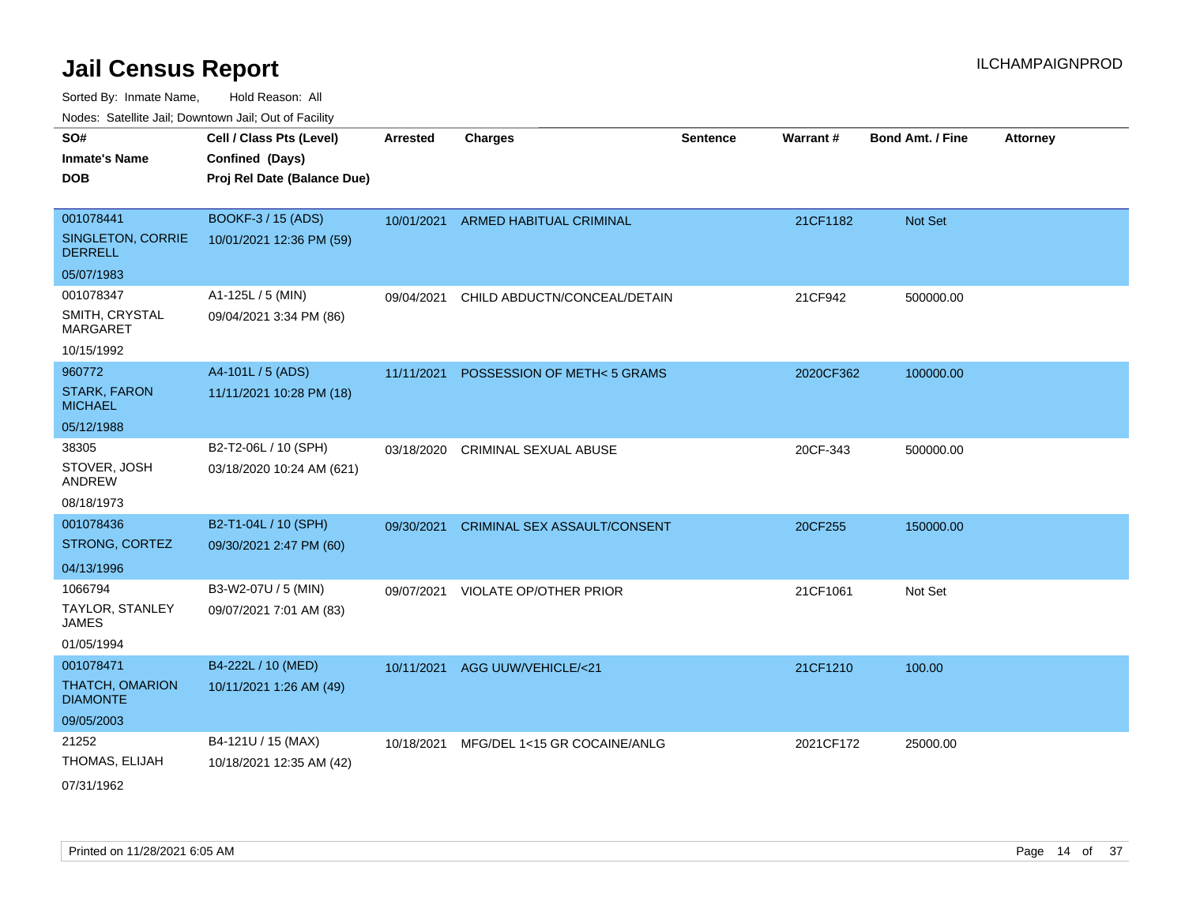Sorted By: Inmate Name, Hold Reason: All

Nodes: Satellite Jail; Downtown Jail; Out of Facility

| SO#                                   | Cell / Class Pts (Level)    | <b>Arrested</b> | <b>Charges</b>                     | <b>Sentence</b> | Warrant#  | <b>Bond Amt. / Fine</b> | <b>Attorney</b> |
|---------------------------------------|-----------------------------|-----------------|------------------------------------|-----------------|-----------|-------------------------|-----------------|
| <b>Inmate's Name</b>                  | Confined (Days)             |                 |                                    |                 |           |                         |                 |
| <b>DOB</b>                            | Proj Rel Date (Balance Due) |                 |                                    |                 |           |                         |                 |
|                                       |                             |                 |                                    |                 |           |                         |                 |
| 001078441                             | <b>BOOKF-3 / 15 (ADS)</b>   |                 | 10/01/2021 ARMED HABITUAL CRIMINAL |                 | 21CF1182  | Not Set                 |                 |
| SINGLETON, CORRIE<br><b>DERRELL</b>   | 10/01/2021 12:36 PM (59)    |                 |                                    |                 |           |                         |                 |
| 05/07/1983                            |                             |                 |                                    |                 |           |                         |                 |
| 001078347                             | A1-125L / 5 (MIN)           | 09/04/2021      | CHILD ABDUCTN/CONCEAL/DETAIN       |                 | 21CF942   | 500000.00               |                 |
| SMITH, CRYSTAL<br><b>MARGARET</b>     | 09/04/2021 3:34 PM (86)     |                 |                                    |                 |           |                         |                 |
| 10/15/1992                            |                             |                 |                                    |                 |           |                         |                 |
| 960772                                | A4-101L / 5 (ADS)           | 11/11/2021      | POSSESSION OF METH<5 GRAMS         |                 | 2020CF362 | 100000.00               |                 |
| <b>STARK, FARON</b><br><b>MICHAEL</b> | 11/11/2021 10:28 PM (18)    |                 |                                    |                 |           |                         |                 |
| 05/12/1988                            |                             |                 |                                    |                 |           |                         |                 |
| 38305                                 | B2-T2-06L / 10 (SPH)        | 03/18/2020      | <b>CRIMINAL SEXUAL ABUSE</b>       |                 | 20CF-343  | 500000.00               |                 |
| STOVER, JOSH<br><b>ANDREW</b>         | 03/18/2020 10:24 AM (621)   |                 |                                    |                 |           |                         |                 |
| 08/18/1973                            |                             |                 |                                    |                 |           |                         |                 |
| 001078436                             | B2-T1-04L / 10 (SPH)        | 09/30/2021      | CRIMINAL SEX ASSAULT/CONSENT       |                 | 20CF255   | 150000.00               |                 |
| STRONG, CORTEZ                        | 09/30/2021 2:47 PM (60)     |                 |                                    |                 |           |                         |                 |
| 04/13/1996                            |                             |                 |                                    |                 |           |                         |                 |
| 1066794                               | B3-W2-07U / 5 (MIN)         | 09/07/2021      | <b>VIOLATE OP/OTHER PRIOR</b>      |                 | 21CF1061  | Not Set                 |                 |
| TAYLOR, STANLEY<br><b>JAMES</b>       | 09/07/2021 7:01 AM (83)     |                 |                                    |                 |           |                         |                 |
| 01/05/1994                            |                             |                 |                                    |                 |           |                         |                 |
| 001078471                             | B4-222L / 10 (MED)          | 10/11/2021      | AGG UUW/VEHICLE/<21                |                 | 21CF1210  | 100.00                  |                 |
| THATCH, OMARION<br><b>DIAMONTE</b>    | 10/11/2021 1:26 AM (49)     |                 |                                    |                 |           |                         |                 |
| 09/05/2003                            |                             |                 |                                    |                 |           |                         |                 |
| 21252                                 | B4-121U / 15 (MAX)          | 10/18/2021      | MFG/DEL 1<15 GR COCAINE/ANLG       |                 | 2021CF172 | 25000.00                |                 |
| THOMAS, ELIJAH                        | 10/18/2021 12:35 AM (42)    |                 |                                    |                 |           |                         |                 |
| 07/31/1962                            |                             |                 |                                    |                 |           |                         |                 |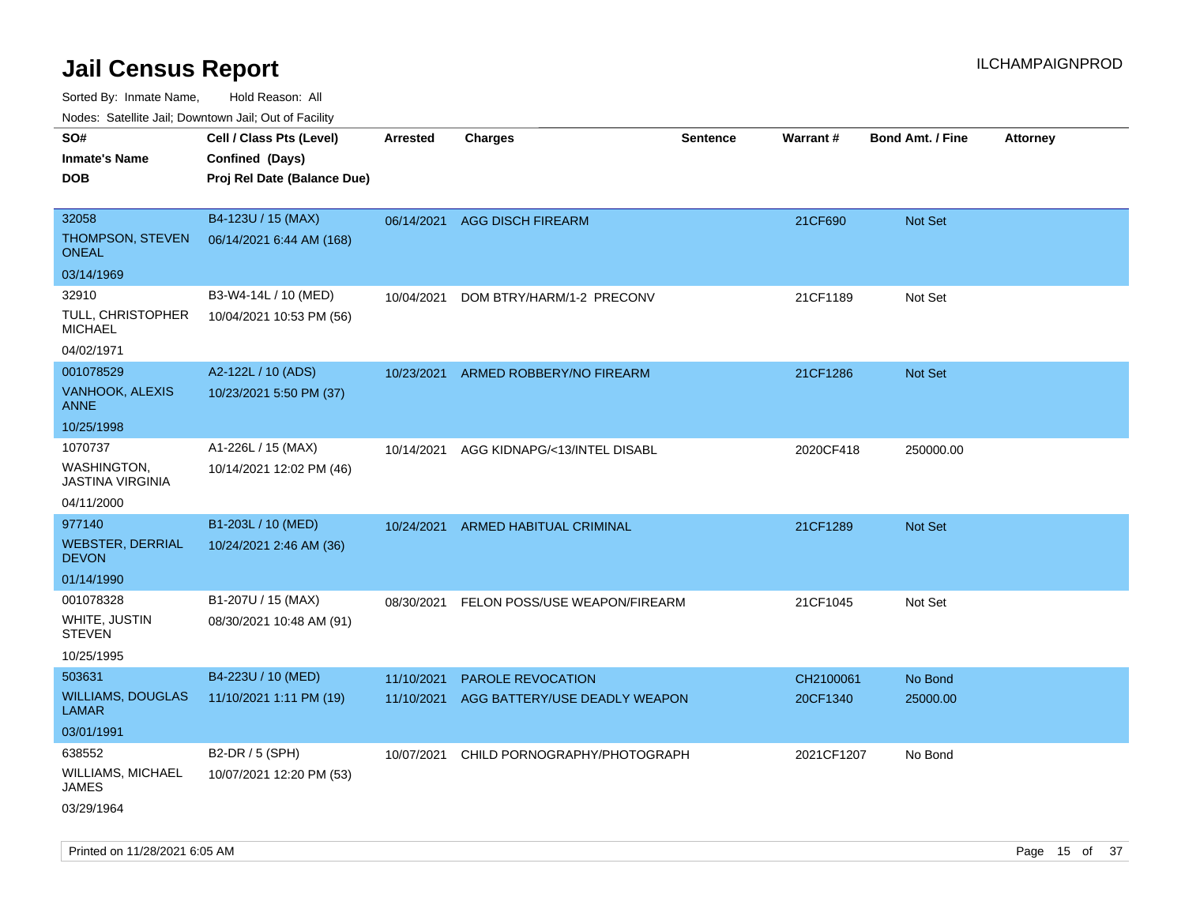Sorted By: Inmate Name, Hold Reason: All

Nodes: Satellite Jail; Downtown Jail; Out of Facility

| rouco. Calcinic Jan, Downtown Jan, Out of Facility |                             |                 |                                      |                 |            |                         |                 |
|----------------------------------------------------|-----------------------------|-----------------|--------------------------------------|-----------------|------------|-------------------------|-----------------|
| SO#                                                | Cell / Class Pts (Level)    | <b>Arrested</b> | <b>Charges</b>                       | <b>Sentence</b> | Warrant#   | <b>Bond Amt. / Fine</b> | <b>Attorney</b> |
| <b>Inmate's Name</b>                               | Confined (Days)             |                 |                                      |                 |            |                         |                 |
| <b>DOB</b>                                         | Proj Rel Date (Balance Due) |                 |                                      |                 |            |                         |                 |
|                                                    |                             |                 |                                      |                 |            |                         |                 |
| 32058                                              | B4-123U / 15 (MAX)          | 06/14/2021      | <b>AGG DISCH FIREARM</b>             |                 | 21CF690    | Not Set                 |                 |
| THOMPSON, STEVEN<br><b>ONEAL</b>                   | 06/14/2021 6:44 AM (168)    |                 |                                      |                 |            |                         |                 |
| 03/14/1969                                         |                             |                 |                                      |                 |            |                         |                 |
| 32910                                              | B3-W4-14L / 10 (MED)        | 10/04/2021      | DOM BTRY/HARM/1-2 PRECONV            |                 | 21CF1189   | Not Set                 |                 |
| TULL, CHRISTOPHER<br><b>MICHAEL</b>                | 10/04/2021 10:53 PM (56)    |                 |                                      |                 |            |                         |                 |
| 04/02/1971                                         |                             |                 |                                      |                 |            |                         |                 |
| 001078529                                          | A2-122L / 10 (ADS)          | 10/23/2021      | ARMED ROBBERY/NO FIREARM             |                 | 21CF1286   | Not Set                 |                 |
| VANHOOK, ALEXIS<br><b>ANNE</b>                     | 10/23/2021 5:50 PM (37)     |                 |                                      |                 |            |                         |                 |
| 10/25/1998                                         |                             |                 |                                      |                 |            |                         |                 |
| 1070737                                            | A1-226L / 15 (MAX)          | 10/14/2021      | AGG KIDNAPG/<13/INTEL DISABL         |                 | 2020CF418  | 250000.00               |                 |
| <b>WASHINGTON,</b><br><b>JASTINA VIRGINIA</b>      | 10/14/2021 12:02 PM (46)    |                 |                                      |                 |            |                         |                 |
| 04/11/2000                                         |                             |                 |                                      |                 |            |                         |                 |
| 977140                                             | B1-203L / 10 (MED)          | 10/24/2021      | ARMED HABITUAL CRIMINAL              |                 | 21CF1289   | Not Set                 |                 |
| <b>WEBSTER, DERRIAL</b><br><b>DEVON</b>            | 10/24/2021 2:46 AM (36)     |                 |                                      |                 |            |                         |                 |
| 01/14/1990                                         |                             |                 |                                      |                 |            |                         |                 |
| 001078328                                          | B1-207U / 15 (MAX)          | 08/30/2021      | <b>FELON POSS/USE WEAPON/FIREARM</b> |                 | 21CF1045   | Not Set                 |                 |
| WHITE, JUSTIN<br><b>STEVEN</b>                     | 08/30/2021 10:48 AM (91)    |                 |                                      |                 |            |                         |                 |
| 10/25/1995                                         |                             |                 |                                      |                 |            |                         |                 |
| 503631                                             | B4-223U / 10 (MED)          | 11/10/2021      | PAROLE REVOCATION                    |                 | CH2100061  | No Bond                 |                 |
| <b>WILLIAMS, DOUGLAS</b><br><b>LAMAR</b>           | 11/10/2021 1:11 PM (19)     | 11/10/2021      | AGG BATTERY/USE DEADLY WEAPON        |                 | 20CF1340   | 25000.00                |                 |
| 03/01/1991                                         |                             |                 |                                      |                 |            |                         |                 |
| 638552                                             | B2-DR / 5 (SPH)             | 10/07/2021      | CHILD PORNOGRAPHY/PHOTOGRAPH         |                 | 2021CF1207 | No Bond                 |                 |
| WILLIAMS, MICHAEL<br><b>JAMES</b>                  | 10/07/2021 12:20 PM (53)    |                 |                                      |                 |            |                         |                 |
| 03/29/1964                                         |                             |                 |                                      |                 |            |                         |                 |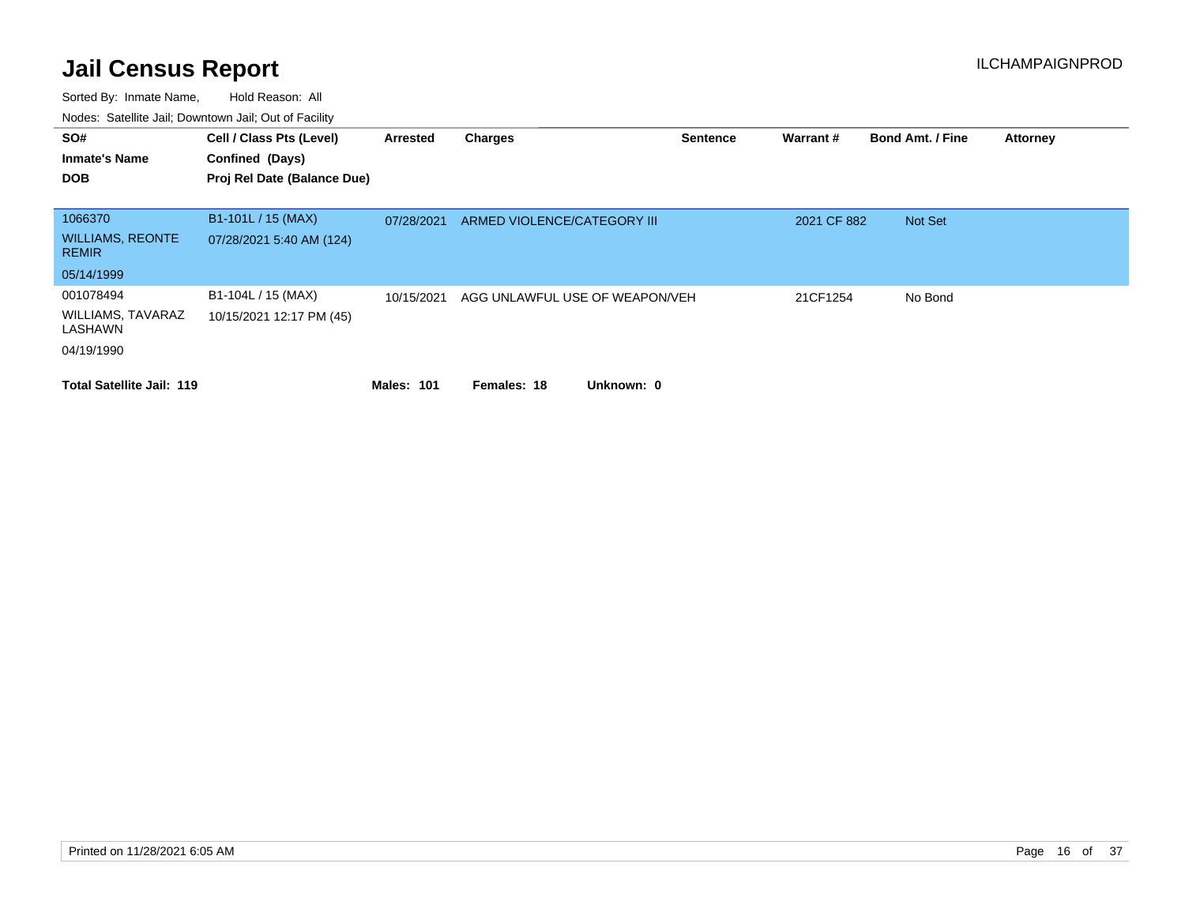| SO#<br><b>Inmate's Name</b>             | Cell / Class Pts (Level)<br>Confined (Days) | Arrested          | <b>Charges</b>                 | <b>Sentence</b> | Warrant#    | <b>Bond Amt. / Fine</b> | <b>Attorney</b> |
|-----------------------------------------|---------------------------------------------|-------------------|--------------------------------|-----------------|-------------|-------------------------|-----------------|
| <b>DOB</b>                              | Proj Rel Date (Balance Due)                 |                   |                                |                 |             |                         |                 |
| 1066370                                 | B1-101L / 15 (MAX)                          | 07/28/2021        | ARMED VIOLENCE/CATEGORY III    |                 | 2021 CF 882 | Not Set                 |                 |
| <b>WILLIAMS, REONTE</b><br><b>REMIR</b> | 07/28/2021 5:40 AM (124)                    |                   |                                |                 |             |                         |                 |
| 05/14/1999                              |                                             |                   |                                |                 |             |                         |                 |
| 001078494                               | B1-104L / 15 (MAX)                          | 10/15/2021        | AGG UNLAWFUL USE OF WEAPON/VEH |                 | 21CF1254    | No Bond                 |                 |
| WILLIAMS, TAVARAZ<br>LASHAWN            | 10/15/2021 12:17 PM (45)                    |                   |                                |                 |             |                         |                 |
| 04/19/1990                              |                                             |                   |                                |                 |             |                         |                 |
| <b>Total Satellite Jail: 119</b>        |                                             | <b>Males: 101</b> | Unknown: 0<br>Females: 18      |                 |             |                         |                 |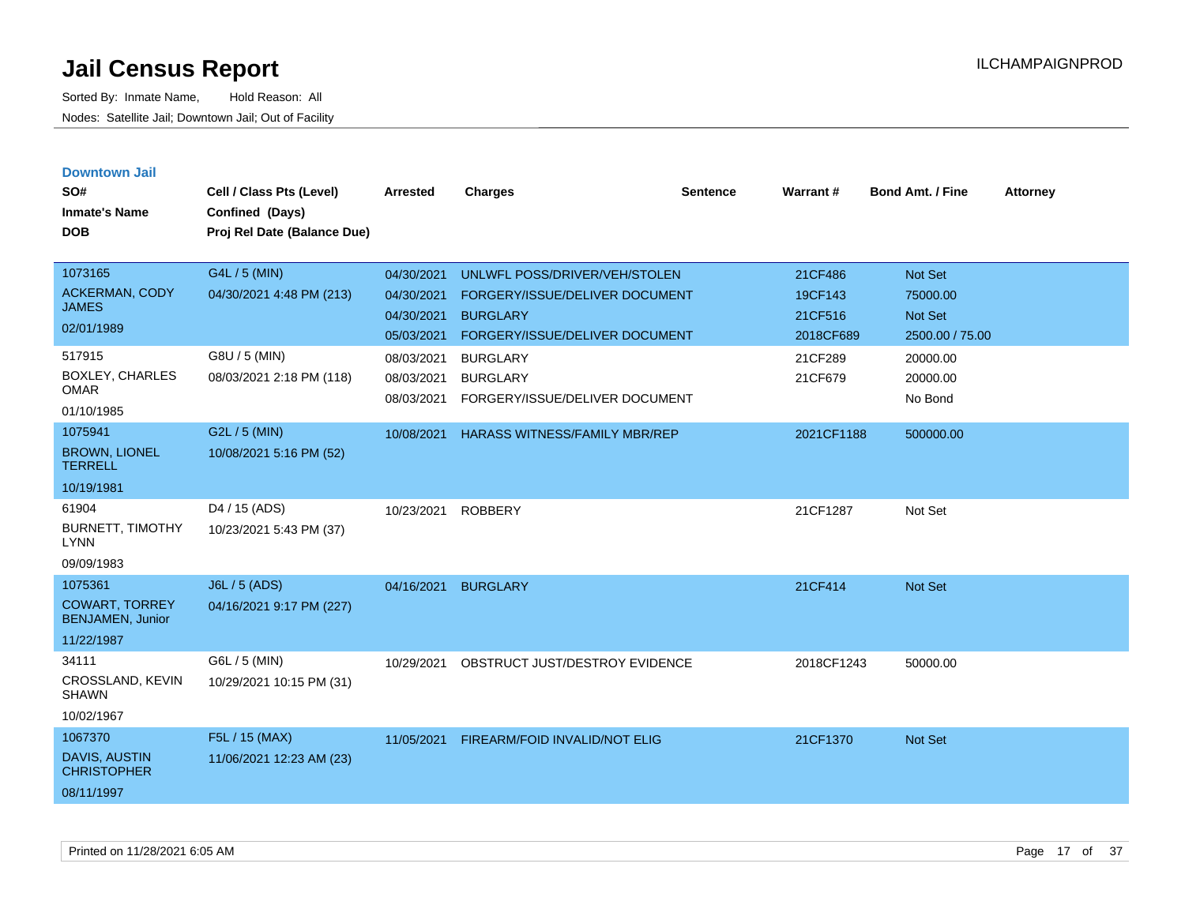| <b>Downtown Jail</b><br>SO#<br><b>Inmate's Name</b><br><b>DOB</b> | Cell / Class Pts (Level)<br>Confined (Days)<br>Proj Rel Date (Balance Due) | <b>Arrested</b>                        | <b>Charges</b>                                                       | <b>Sentence</b> | Warrant#           | Bond Amt. / Fine                | <b>Attorney</b> |
|-------------------------------------------------------------------|----------------------------------------------------------------------------|----------------------------------------|----------------------------------------------------------------------|-----------------|--------------------|---------------------------------|-----------------|
| 1073165                                                           | G4L / 5 (MIN)                                                              | 04/30/2021                             | UNLWFL POSS/DRIVER/VEH/STOLEN                                        |                 | 21CF486            | Not Set                         |                 |
| <b>ACKERMAN, CODY</b><br><b>JAMES</b>                             | 04/30/2021 4:48 PM (213)                                                   | 04/30/2021<br>04/30/2021               | FORGERY/ISSUE/DELIVER DOCUMENT<br><b>BURGLARY</b>                    |                 | 19CF143<br>21CF516 | 75000.00<br>Not Set             |                 |
| 02/01/1989                                                        |                                                                            | 05/03/2021                             | FORGERY/ISSUE/DELIVER DOCUMENT                                       |                 | 2018CF689          | 2500.00 / 75.00                 |                 |
| 517915<br><b>BOXLEY, CHARLES</b><br><b>OMAR</b><br>01/10/1985     | G8U / 5 (MIN)<br>08/03/2021 2:18 PM (118)                                  | 08/03/2021<br>08/03/2021<br>08/03/2021 | <b>BURGLARY</b><br><b>BURGLARY</b><br>FORGERY/ISSUE/DELIVER DOCUMENT |                 | 21CF289<br>21CF679 | 20000.00<br>20000.00<br>No Bond |                 |
| 1075941                                                           | G2L / 5 (MIN)                                                              | 10/08/2021                             | <b>HARASS WITNESS/FAMILY MBR/REP</b>                                 |                 | 2021CF1188         | 500000.00                       |                 |
| <b>BROWN, LIONEL</b><br><b>TERRELL</b>                            | 10/08/2021 5:16 PM (52)                                                    |                                        |                                                                      |                 |                    |                                 |                 |
| 10/19/1981                                                        |                                                                            |                                        |                                                                      |                 |                    |                                 |                 |
| 61904<br><b>BURNETT, TIMOTHY</b><br><b>LYNN</b><br>09/09/1983     | D4 / 15 (ADS)<br>10/23/2021 5:43 PM (37)                                   | 10/23/2021                             | <b>ROBBERY</b>                                                       |                 | 21CF1287           | Not Set                         |                 |
| 1075361                                                           | J6L / 5 (ADS)                                                              | 04/16/2021                             | <b>BURGLARY</b>                                                      |                 | 21CF414            | Not Set                         |                 |
| <b>COWART, TORREY</b><br><b>BENJAMEN, Junior</b>                  | 04/16/2021 9:17 PM (227)                                                   |                                        |                                                                      |                 |                    |                                 |                 |
| 11/22/1987                                                        |                                                                            |                                        |                                                                      |                 |                    |                                 |                 |
| 34111<br>CROSSLAND, KEVIN<br><b>SHAWN</b><br>10/02/1967           | G6L / 5 (MIN)<br>10/29/2021 10:15 PM (31)                                  | 10/29/2021                             | OBSTRUCT JUST/DESTROY EVIDENCE                                       |                 | 2018CF1243         | 50000.00                        |                 |
| 1067370                                                           | F5L / 15 (MAX)                                                             | 11/05/2021                             | FIREARM/FOID INVALID/NOT ELIG                                        |                 | 21CF1370           | Not Set                         |                 |
| <b>DAVIS, AUSTIN</b><br><b>CHRISTOPHER</b><br>08/11/1997          | 11/06/2021 12:23 AM (23)                                                   |                                        |                                                                      |                 |                    |                                 |                 |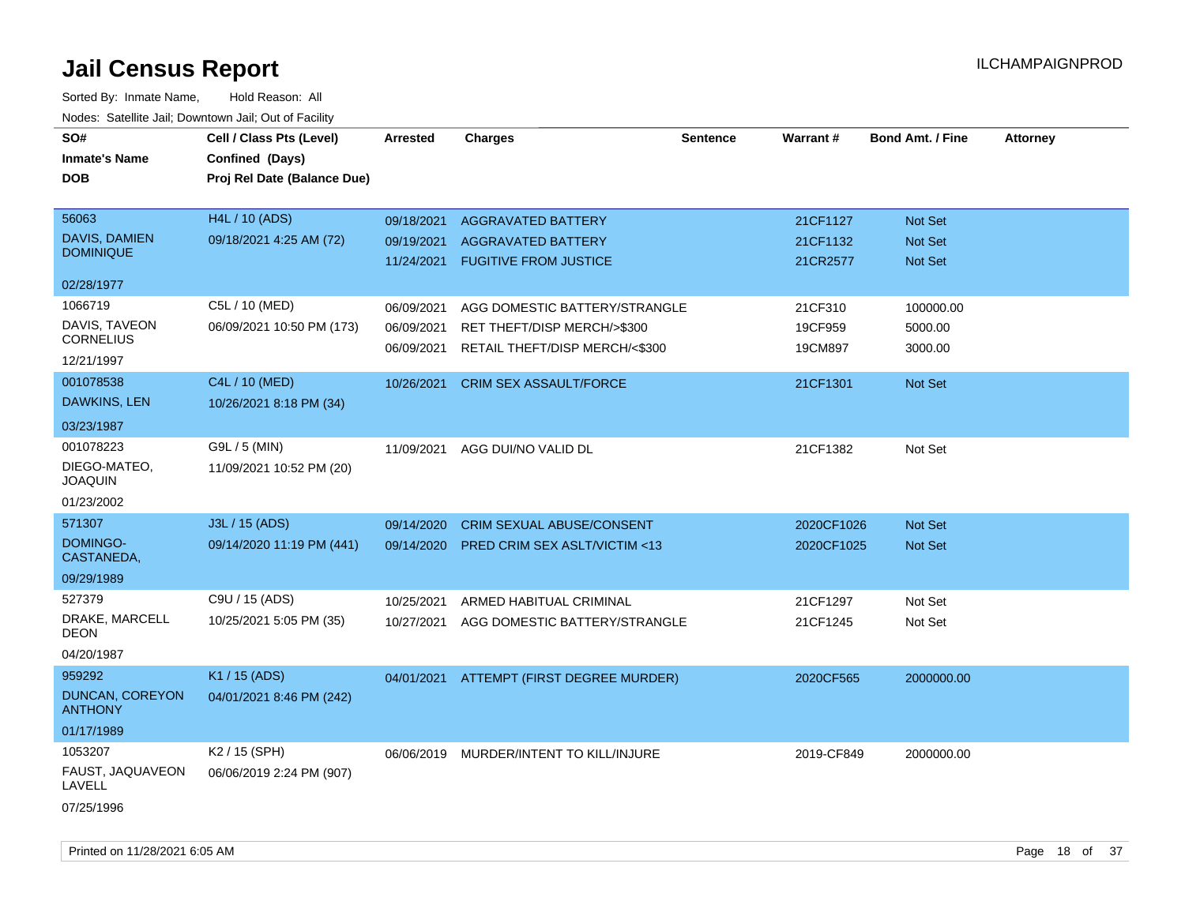| SO#<br><b>Inmate's Name</b><br><b>DOB</b>                               | Cell / Class Pts (Level)<br>Confined (Days)<br>Proj Rel Date (Balance Due) | <b>Arrested</b>                        | <b>Charges</b>                                                                                 | <b>Sentence</b> | <b>Warrant#</b>                  | <b>Bond Amt. / Fine</b>                            | <b>Attorney</b> |
|-------------------------------------------------------------------------|----------------------------------------------------------------------------|----------------------------------------|------------------------------------------------------------------------------------------------|-----------------|----------------------------------|----------------------------------------------------|-----------------|
| 56063<br>DAVIS, DAMIEN<br><b>DOMINIQUE</b>                              | H4L / 10 (ADS)<br>09/18/2021 4:25 AM (72)                                  | 09/18/2021<br>09/19/2021<br>11/24/2021 | <b>AGGRAVATED BATTERY</b><br><b>AGGRAVATED BATTERY</b><br><b>FUGITIVE FROM JUSTICE</b>         |                 | 21CF1127<br>21CF1132<br>21CR2577 | <b>Not Set</b><br><b>Not Set</b><br><b>Not Set</b> |                 |
| 02/28/1977                                                              |                                                                            |                                        |                                                                                                |                 |                                  |                                                    |                 |
| 1066719<br>DAVIS, TAVEON<br><b>CORNELIUS</b><br>12/21/1997              | C5L / 10 (MED)<br>06/09/2021 10:50 PM (173)                                | 06/09/2021<br>06/09/2021<br>06/09/2021 | AGG DOMESTIC BATTERY/STRANGLE<br>RET THEFT/DISP MERCH/>\$300<br>RETAIL THEFT/DISP MERCH/<\$300 |                 | 21CF310<br>19CF959<br>19CM897    | 100000.00<br>5000.00<br>3000.00                    |                 |
| 001078538<br>DAWKINS, LEN                                               | C4L / 10 (MED)<br>10/26/2021 8:18 PM (34)                                  | 10/26/2021                             | <b>CRIM SEX ASSAULT/FORCE</b>                                                                  |                 | 21CF1301                         | Not Set                                            |                 |
| 03/23/1987<br>001078223<br>DIEGO-MATEO,<br><b>JOAQUIN</b><br>01/23/2002 | G9L / 5 (MIN)<br>11/09/2021 10:52 PM (20)                                  | 11/09/2021                             | AGG DUI/NO VALID DL                                                                            |                 | 21CF1382                         | Not Set                                            |                 |
| 571307<br>DOMINGO-<br>CASTANEDA,<br>09/29/1989                          | J3L / 15 (ADS)<br>09/14/2020 11:19 PM (441)                                | 09/14/2020<br>09/14/2020               | <b>CRIM SEXUAL ABUSE/CONSENT</b><br><b>PRED CRIM SEX ASLT/VICTIM &lt;13</b>                    |                 | 2020CF1026<br>2020CF1025         | Not Set<br><b>Not Set</b>                          |                 |
| 527379<br>DRAKE, MARCELL<br>DEON<br>04/20/1987                          | C9U / 15 (ADS)<br>10/25/2021 5:05 PM (35)                                  | 10/25/2021<br>10/27/2021               | ARMED HABITUAL CRIMINAL<br>AGG DOMESTIC BATTERY/STRANGLE                                       |                 | 21CF1297<br>21CF1245             | Not Set<br>Not Set                                 |                 |
| 959292<br>DUNCAN, COREYON<br><b>ANTHONY</b><br>01/17/1989               | K1 / 15 (ADS)<br>04/01/2021 8:46 PM (242)                                  |                                        | 04/01/2021 ATTEMPT (FIRST DEGREE MURDER)                                                       |                 | 2020CF565                        | 2000000.00                                         |                 |
| 1053207<br>FAUST, JAQUAVEON<br>LAVELL<br>07/25/1996                     | K2 / 15 (SPH)<br>06/06/2019 2:24 PM (907)                                  | 06/06/2019                             | MURDER/INTENT TO KILL/INJURE                                                                   |                 | 2019-CF849                       | 2000000.00                                         |                 |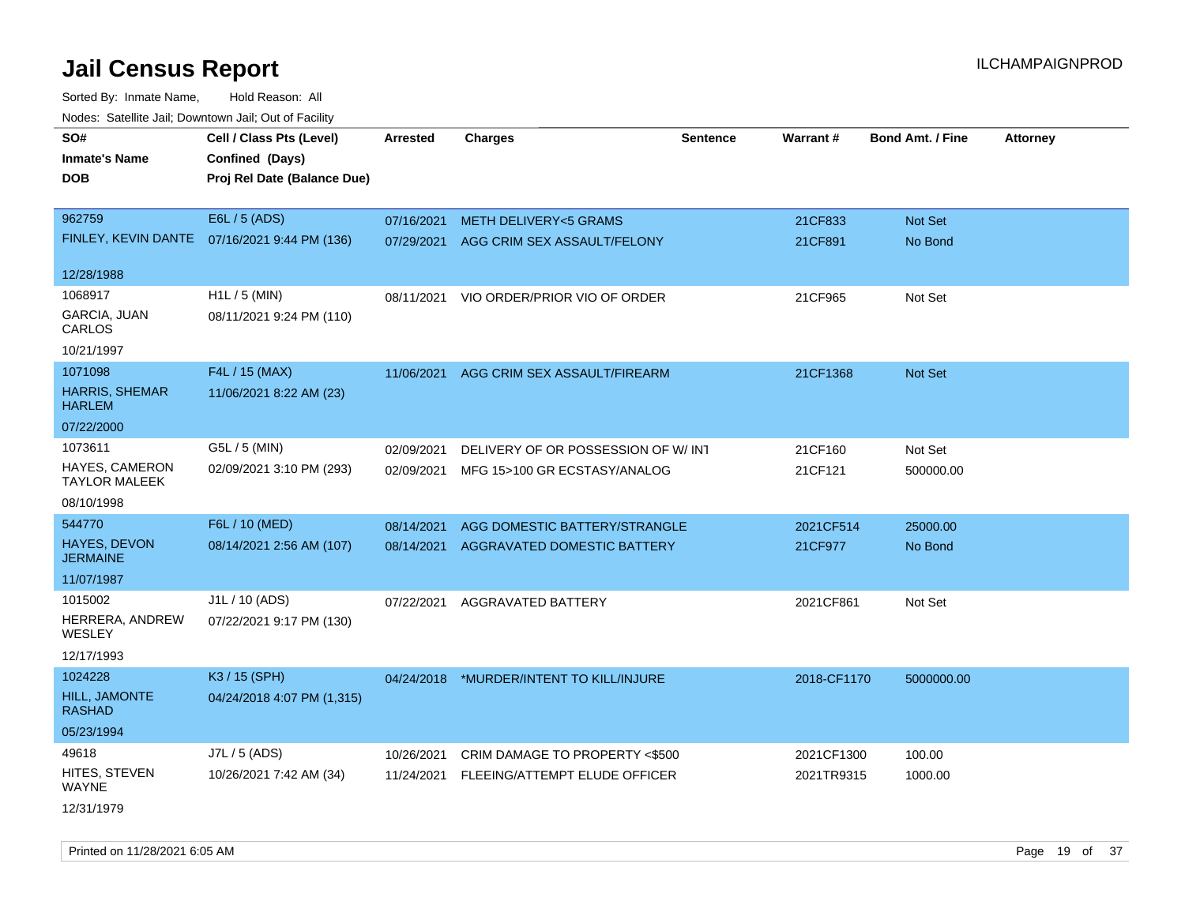Sorted By: Inmate Name, Hold Reason: All Nodes: Satellite Jail; Downtown Jail; Out of Facility

| roacs. Catellite Jall, Downtown Jall, Out of Facility |                                                                            |                 |                                          |                 |             |                         |                 |
|-------------------------------------------------------|----------------------------------------------------------------------------|-----------------|------------------------------------------|-----------------|-------------|-------------------------|-----------------|
| SO#<br><b>Inmate's Name</b><br><b>DOB</b>             | Cell / Class Pts (Level)<br>Confined (Days)<br>Proj Rel Date (Balance Due) | <b>Arrested</b> | <b>Charges</b>                           | <b>Sentence</b> | Warrant#    | <b>Bond Amt. / Fine</b> | <b>Attorney</b> |
| 962759                                                | E6L / 5 (ADS)                                                              | 07/16/2021      | <b>METH DELIVERY&lt;5 GRAMS</b>          |                 | 21CF833     | Not Set                 |                 |
|                                                       | FINLEY, KEVIN DANTE 07/16/2021 9:44 PM (136)                               | 07/29/2021      | AGG CRIM SEX ASSAULT/FELONY              |                 | 21CF891     | No Bond                 |                 |
| 12/28/1988                                            |                                                                            |                 |                                          |                 |             |                         |                 |
| 1068917                                               | $H1L / 5$ (MIN)                                                            | 08/11/2021      | VIO ORDER/PRIOR VIO OF ORDER             |                 | 21CF965     | Not Set                 |                 |
| GARCIA, JUAN<br>CARLOS                                | 08/11/2021 9:24 PM (110)                                                   |                 |                                          |                 |             |                         |                 |
| 10/21/1997                                            |                                                                            |                 |                                          |                 |             |                         |                 |
| 1071098                                               | F4L / 15 (MAX)                                                             | 11/06/2021      | AGG CRIM SEX ASSAULT/FIREARM             |                 | 21CF1368    | Not Set                 |                 |
| <b>HARRIS, SHEMAR</b><br><b>HARLEM</b>                | 11/06/2021 8:22 AM (23)                                                    |                 |                                          |                 |             |                         |                 |
| 07/22/2000                                            |                                                                            |                 |                                          |                 |             |                         |                 |
| 1073611                                               | G5L / 5 (MIN)                                                              | 02/09/2021      | DELIVERY OF OR POSSESSION OF W/INT       |                 | 21CF160     | Not Set                 |                 |
| <b>HAYES, CAMERON</b><br><b>TAYLOR MALEEK</b>         | 02/09/2021 3:10 PM (293)                                                   | 02/09/2021      | MFG 15>100 GR ECSTASY/ANALOG             |                 | 21CF121     | 500000.00               |                 |
| 08/10/1998                                            |                                                                            |                 |                                          |                 |             |                         |                 |
| 544770                                                | F6L / 10 (MED)                                                             | 08/14/2021      | AGG DOMESTIC BATTERY/STRANGLE            |                 | 2021CF514   | 25000.00                |                 |
| <b>HAYES, DEVON</b><br><b>JERMAINE</b>                | 08/14/2021 2:56 AM (107)                                                   | 08/14/2021      | AGGRAVATED DOMESTIC BATTERY              |                 | 21CF977     | No Bond                 |                 |
| 11/07/1987                                            |                                                                            |                 |                                          |                 |             |                         |                 |
| 1015002                                               | J1L / 10 (ADS)                                                             | 07/22/2021      | AGGRAVATED BATTERY                       |                 | 2021CF861   | Not Set                 |                 |
| HERRERA, ANDREW<br>WESLEY                             | 07/22/2021 9:17 PM (130)                                                   |                 |                                          |                 |             |                         |                 |
| 12/17/1993                                            |                                                                            |                 |                                          |                 |             |                         |                 |
| 1024228                                               | K3 / 15 (SPH)                                                              |                 | 04/24/2018 *MURDER/INTENT TO KILL/INJURE |                 | 2018-CF1170 | 5000000.00              |                 |
| HILL, JAMONTE<br><b>RASHAD</b>                        | 04/24/2018 4:07 PM (1,315)                                                 |                 |                                          |                 |             |                         |                 |
| 05/23/1994                                            |                                                                            |                 |                                          |                 |             |                         |                 |
| 49618                                                 | J7L / 5 (ADS)                                                              | 10/26/2021      | CRIM DAMAGE TO PROPERTY <\$500           |                 | 2021CF1300  | 100.00                  |                 |
| HITES, STEVEN<br><b>WAYNE</b>                         | 10/26/2021 7:42 AM (34)                                                    | 11/24/2021      | FLEEING/ATTEMPT ELUDE OFFICER            |                 | 2021TR9315  | 1000.00                 |                 |
| 12/31/1979                                            |                                                                            |                 |                                          |                 |             |                         |                 |

Printed on 11/28/2021 6:05 AM **Page 19 of 37** Printed on 11/28/2021 6:05 AM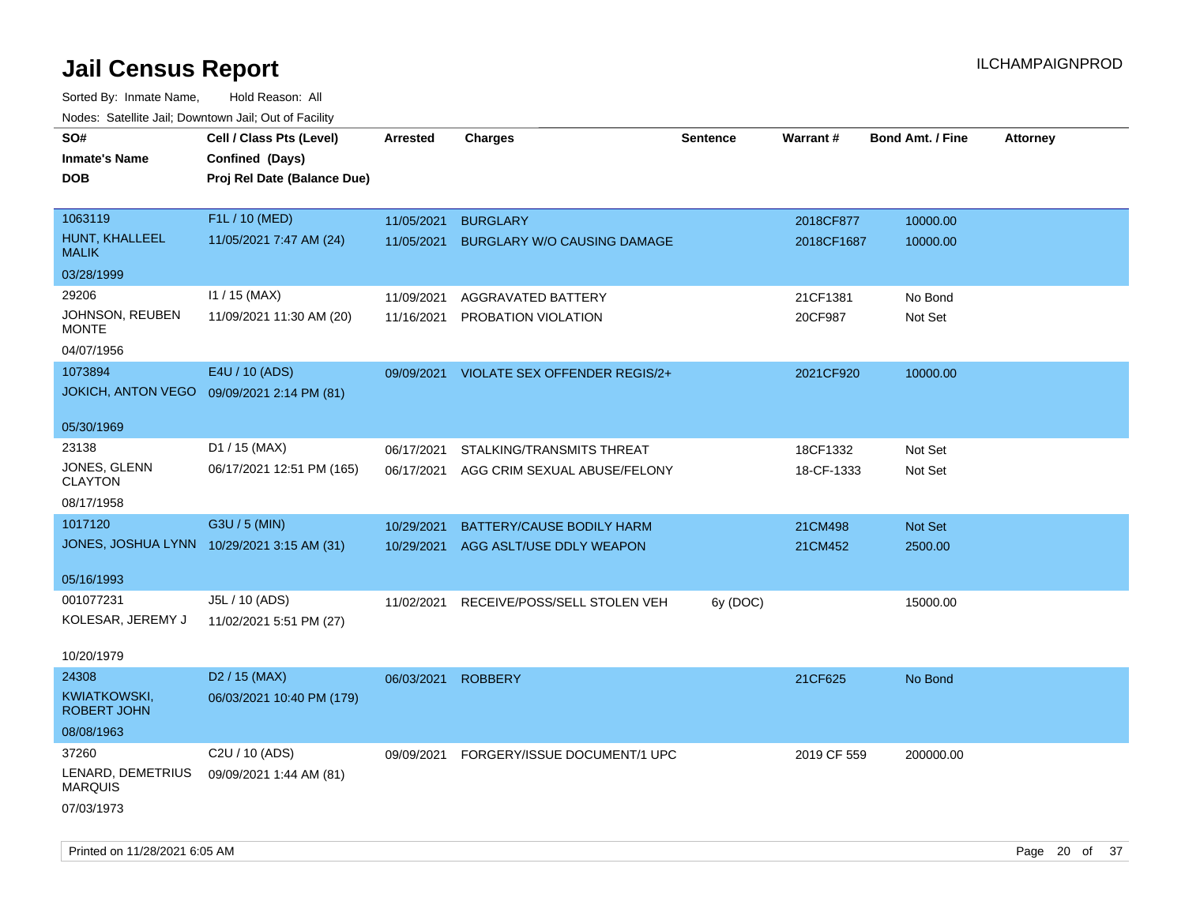Sorted By: Inmate Name, Hold Reason: All Nodes: Satellite Jail; Downtown Jail; Out of Facility

| Nuuts. Saltiille Jall, Downlown Jall, Oul of Facility |                                            |                 |                                    |                 |             |                         |                 |
|-------------------------------------------------------|--------------------------------------------|-----------------|------------------------------------|-----------------|-------------|-------------------------|-----------------|
| SO#                                                   | Cell / Class Pts (Level)                   | <b>Arrested</b> | <b>Charges</b>                     | <b>Sentence</b> | Warrant#    | <b>Bond Amt. / Fine</b> | <b>Attorney</b> |
| <b>Inmate's Name</b>                                  | Confined (Days)                            |                 |                                    |                 |             |                         |                 |
| <b>DOB</b>                                            | Proj Rel Date (Balance Due)                |                 |                                    |                 |             |                         |                 |
|                                                       |                                            |                 |                                    |                 |             |                         |                 |
| 1063119                                               | F1L / 10 (MED)                             | 11/05/2021      | <b>BURGLARY</b>                    |                 | 2018CF877   | 10000.00                |                 |
| HUNT, KHALLEEL<br><b>MALIK</b>                        | 11/05/2021 7:47 AM (24)                    | 11/05/2021      | <b>BURGLARY W/O CAUSING DAMAGE</b> |                 | 2018CF1687  | 10000.00                |                 |
| 03/28/1999                                            |                                            |                 |                                    |                 |             |                         |                 |
| 29206                                                 | $11 / 15$ (MAX)                            | 11/09/2021      | AGGRAVATED BATTERY                 |                 | 21CF1381    | No Bond                 |                 |
| JOHNSON, REUBEN<br><b>MONTE</b>                       | 11/09/2021 11:30 AM (20)                   | 11/16/2021      | PROBATION VIOLATION                |                 | 20CF987     | Not Set                 |                 |
| 04/07/1956                                            |                                            |                 |                                    |                 |             |                         |                 |
| 1073894                                               | E4U / 10 (ADS)                             | 09/09/2021      | VIOLATE SEX OFFENDER REGIS/2+      |                 | 2021CF920   | 10000.00                |                 |
| <b>JOKICH, ANTON VEGO</b>                             | 09/09/2021 2:14 PM (81)                    |                 |                                    |                 |             |                         |                 |
|                                                       |                                            |                 |                                    |                 |             |                         |                 |
| 05/30/1969                                            |                                            |                 |                                    |                 |             |                         |                 |
| 23138                                                 | D1 / 15 (MAX)                              | 06/17/2021      | STALKING/TRANSMITS THREAT          |                 | 18CF1332    | Not Set                 |                 |
| JONES, GLENN                                          | 06/17/2021 12:51 PM (165)                  | 06/17/2021      | AGG CRIM SEXUAL ABUSE/FELONY       |                 | 18-CF-1333  | Not Set                 |                 |
| <b>CLAYTON</b>                                        |                                            |                 |                                    |                 |             |                         |                 |
| 08/17/1958                                            |                                            |                 |                                    |                 |             |                         |                 |
| 1017120                                               | G3U / 5 (MIN)                              | 10/29/2021      | BATTERY/CAUSE BODILY HARM          |                 | 21CM498     | Not Set                 |                 |
|                                                       | JONES, JOSHUA LYNN 10/29/2021 3:15 AM (31) | 10/29/2021      | AGG ASLT/USE DDLY WEAPON           |                 | 21CM452     | 2500.00                 |                 |
| 05/16/1993                                            |                                            |                 |                                    |                 |             |                         |                 |
| 001077231                                             | J5L / 10 (ADS)                             | 11/02/2021      | RECEIVE/POSS/SELL STOLEN VEH       | 6y (DOC)        |             | 15000.00                |                 |
| KOLESAR, JEREMY J                                     | 11/02/2021 5:51 PM (27)                    |                 |                                    |                 |             |                         |                 |
|                                                       |                                            |                 |                                    |                 |             |                         |                 |
| 10/20/1979                                            |                                            |                 |                                    |                 |             |                         |                 |
| 24308                                                 | D <sub>2</sub> / 15 (MAX)                  | 06/03/2021      | <b>ROBBERY</b>                     |                 | 21CF625     | No Bond                 |                 |
| KWIATKOWSKI,<br><b>ROBERT JOHN</b>                    | 06/03/2021 10:40 PM (179)                  |                 |                                    |                 |             |                         |                 |
| 08/08/1963                                            |                                            |                 |                                    |                 |             |                         |                 |
| 37260                                                 | C2U / 10 (ADS)                             | 09/09/2021      | FORGERY/ISSUE DOCUMENT/1 UPC       |                 | 2019 CF 559 | 200000.00               |                 |
| LENARD, DEMETRIUS<br><b>MARQUIS</b>                   | 09/09/2021 1:44 AM (81)                    |                 |                                    |                 |             |                         |                 |
| 07/03/1973                                            |                                            |                 |                                    |                 |             |                         |                 |
|                                                       |                                            |                 |                                    |                 |             |                         |                 |

Printed on 11/28/2021 6:05 AM **Page 20 of 37**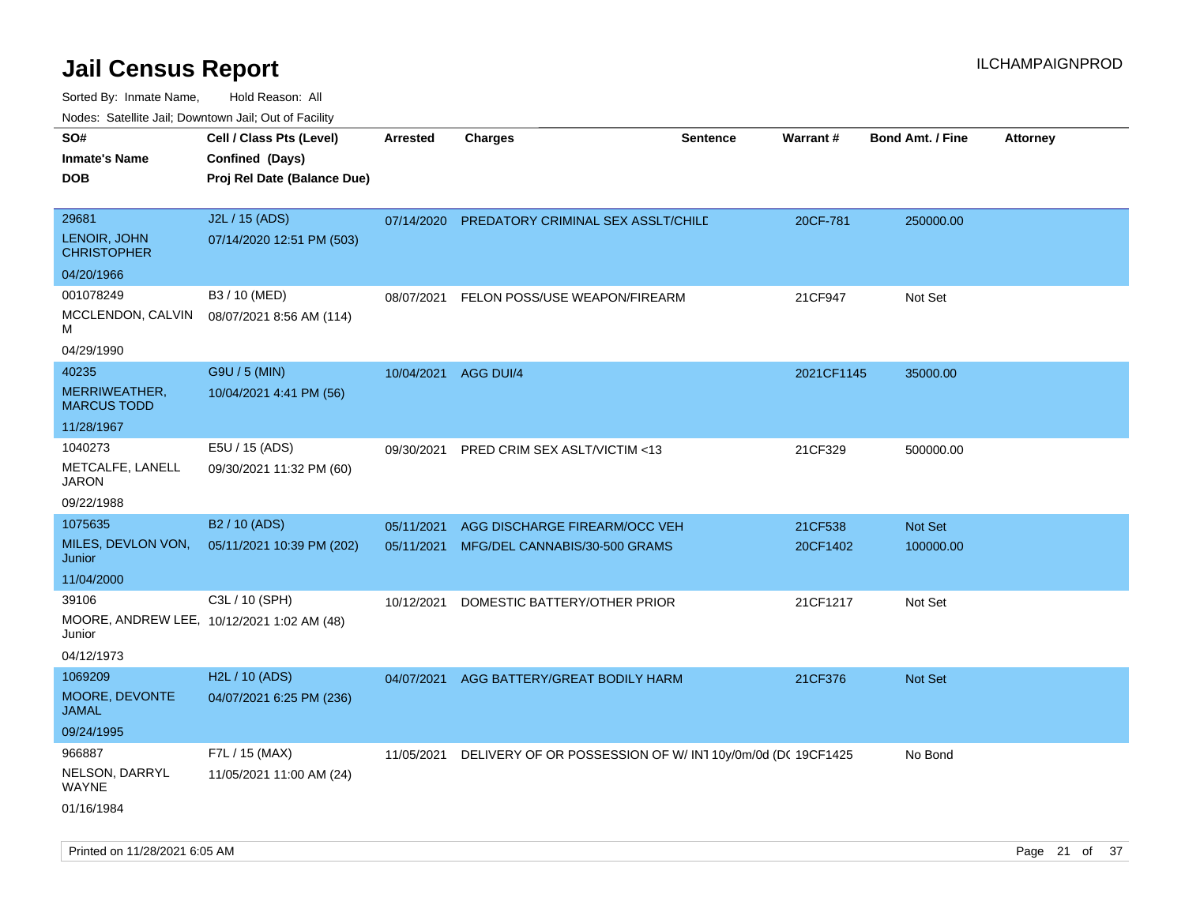| 10000. Catolino can, Domntonn can, Oat or I domt<br>SO#<br><b>Inmate's Name</b> | Cell / Class Pts (Level)<br>Confined (Days)                  | <b>Arrested</b>      | <b>Charges</b>                                             | <b>Sentence</b> | Warrant#   | <b>Bond Amt. / Fine</b> | <b>Attorney</b> |
|---------------------------------------------------------------------------------|--------------------------------------------------------------|----------------------|------------------------------------------------------------|-----------------|------------|-------------------------|-----------------|
| <b>DOB</b>                                                                      | Proj Rel Date (Balance Due)                                  |                      |                                                            |                 |            |                         |                 |
| 29681<br>LENOIR, JOHN<br>CHRISTOPHER                                            | J2L / 15 (ADS)<br>07/14/2020 12:51 PM (503)                  | 07/14/2020           | PREDATORY CRIMINAL SEX ASSLT/CHILD                         |                 | 20CF-781   | 250000.00               |                 |
| 04/20/1966                                                                      |                                                              |                      |                                                            |                 |            |                         |                 |
| 001078249                                                                       | B3 / 10 (MED)                                                | 08/07/2021           | FELON POSS/USE WEAPON/FIREARM                              |                 | 21CF947    | Not Set                 |                 |
| MCCLENDON, CALVIN<br>М                                                          | 08/07/2021 8:56 AM (114)                                     |                      |                                                            |                 |            |                         |                 |
| 04/29/1990                                                                      |                                                              |                      |                                                            |                 |            |                         |                 |
| 40235                                                                           | G9U / 5 (MIN)                                                | 10/04/2021 AGG DUI/4 |                                                            |                 | 2021CF1145 | 35000.00                |                 |
| MERRIWEATHER,<br>MARCUS TODD                                                    | 10/04/2021 4:41 PM (56)                                      |                      |                                                            |                 |            |                         |                 |
| 11/28/1967                                                                      |                                                              |                      |                                                            |                 |            |                         |                 |
| 1040273<br>METCALFE, LANELL<br>JARON                                            | E5U / 15 (ADS)<br>09/30/2021 11:32 PM (60)                   | 09/30/2021           | PRED CRIM SEX ASLT/VICTIM <13                              |                 | 21CF329    | 500000.00               |                 |
| 09/22/1988                                                                      |                                                              |                      |                                                            |                 |            |                         |                 |
| 1075635                                                                         | B <sub>2</sub> / 10 (ADS)                                    | 05/11/2021           | AGG DISCHARGE FIREARM/OCC VEH                              |                 | 21CF538    | Not Set                 |                 |
| MILES, DEVLON VON,<br>Junior                                                    | 05/11/2021 10:39 PM (202)                                    | 05/11/2021           | MFG/DEL CANNABIS/30-500 GRAMS                              |                 | 20CF1402   | 100000.00               |                 |
| 11/04/2000                                                                      |                                                              |                      |                                                            |                 |            |                         |                 |
| 39106<br>Junior                                                                 | C3L / 10 (SPH)<br>MOORE, ANDREW LEE, 10/12/2021 1:02 AM (48) | 10/12/2021           | DOMESTIC BATTERY/OTHER PRIOR                               |                 | 21CF1217   | Not Set                 |                 |
| 04/12/1973                                                                      |                                                              |                      |                                                            |                 |            |                         |                 |
| 1069209                                                                         | H2L / 10 (ADS)                                               | 04/07/2021           | AGG BATTERY/GREAT BODILY HARM                              |                 | 21CF376    | <b>Not Set</b>          |                 |
| MOORE, DEVONTE<br>JAMAL                                                         | 04/07/2021 6:25 PM (236)                                     |                      |                                                            |                 |            |                         |                 |
| 09/24/1995                                                                      |                                                              |                      |                                                            |                 |            |                         |                 |
| 966887                                                                          | F7L / 15 (MAX)                                               | 11/05/2021           | DELIVERY OF OR POSSESSION OF W/ IN1 10y/0m/0d (DC 19CF1425 |                 |            | No Bond                 |                 |
| NELSON, DARRYL<br>WAYNE                                                         | 11/05/2021 11:00 AM (24)                                     |                      |                                                            |                 |            |                         |                 |
| 01/16/1984                                                                      |                                                              |                      |                                                            |                 |            |                         |                 |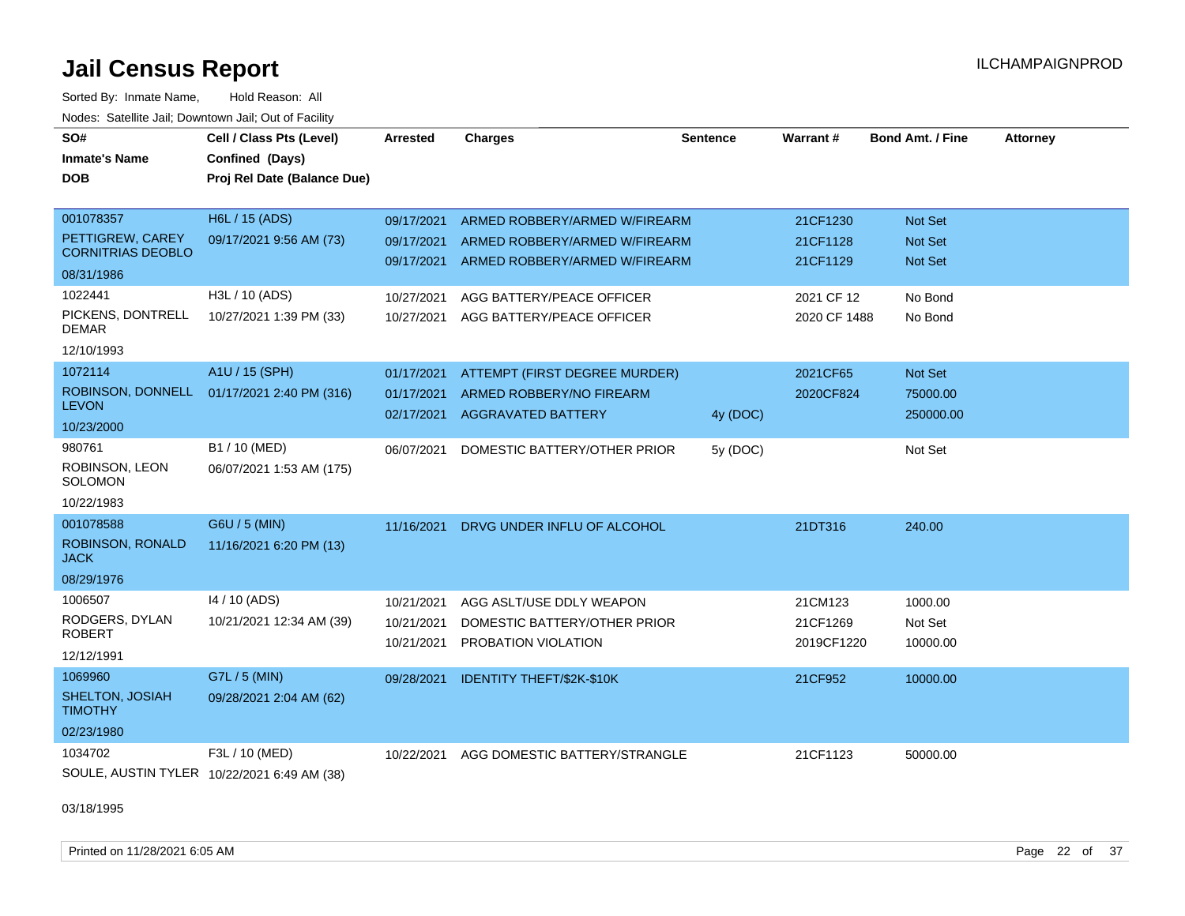Sorted By: Inmate Name, Hold Reason: All Nodes: Satellite Jail; Downtown Jail; Out of Facility

| SO#<br><b>Inmate's Name</b><br><b>DOB</b>                               | Cell / Class Pts (Level)<br>Confined (Days)<br>Proj Rel Date (Balance Due) | <b>Arrested</b>                        | <b>Charges</b>                                                                                  | <b>Sentence</b> | Warrant #                         | <b>Bond Amt. / Fine</b>          | <b>Attorney</b> |
|-------------------------------------------------------------------------|----------------------------------------------------------------------------|----------------------------------------|-------------------------------------------------------------------------------------------------|-----------------|-----------------------------------|----------------------------------|-----------------|
| 001078357<br>PETTIGREW, CAREY<br><b>CORNITRIAS DEOBLO</b><br>08/31/1986 | H6L / 15 (ADS)<br>09/17/2021 9:56 AM (73)                                  | 09/17/2021<br>09/17/2021<br>09/17/2021 | ARMED ROBBERY/ARMED W/FIREARM<br>ARMED ROBBERY/ARMED W/FIREARM<br>ARMED ROBBERY/ARMED W/FIREARM |                 | 21CF1230<br>21CF1128<br>21CF1129  | Not Set<br>Not Set<br>Not Set    |                 |
| 1022441<br>PICKENS, DONTRELL<br><b>DEMAR</b><br>12/10/1993              | H3L / 10 (ADS)<br>10/27/2021 1:39 PM (33)                                  | 10/27/2021<br>10/27/2021               | AGG BATTERY/PEACE OFFICER<br>AGG BATTERY/PEACE OFFICER                                          |                 | 2021 CF 12<br>2020 CF 1488        | No Bond<br>No Bond               |                 |
| 1072114<br>ROBINSON, DONNELL<br><b>LEVON</b><br>10/23/2000              | A1U / 15 (SPH)<br>01/17/2021 2:40 PM (316)                                 | 01/17/2021<br>01/17/2021<br>02/17/2021 | ATTEMPT (FIRST DEGREE MURDER)<br>ARMED ROBBERY/NO FIREARM<br>AGGRAVATED BATTERY                 | 4y (DOC)        | 2021CF65<br>2020CF824             | Not Set<br>75000.00<br>250000.00 |                 |
| 980761<br>ROBINSON, LEON<br><b>SOLOMON</b><br>10/22/1983                | B1 / 10 (MED)<br>06/07/2021 1:53 AM (175)                                  | 06/07/2021                             | DOMESTIC BATTERY/OTHER PRIOR                                                                    | 5y (DOC)        |                                   | Not Set                          |                 |
| 001078588<br>ROBINSON, RONALD<br><b>JACK</b><br>08/29/1976              | G6U / 5 (MIN)<br>11/16/2021 6:20 PM (13)                                   | 11/16/2021                             | DRVG UNDER INFLU OF ALCOHOL                                                                     |                 | 21DT316                           | 240.00                           |                 |
| 1006507<br>RODGERS, DYLAN<br><b>ROBERT</b><br>12/12/1991                | 14 / 10 (ADS)<br>10/21/2021 12:34 AM (39)                                  | 10/21/2021<br>10/21/2021<br>10/21/2021 | AGG ASLT/USE DDLY WEAPON<br>DOMESTIC BATTERY/OTHER PRIOR<br>PROBATION VIOLATION                 |                 | 21CM123<br>21CF1269<br>2019CF1220 | 1000.00<br>Not Set<br>10000.00   |                 |
| 1069960<br>SHELTON, JOSIAH<br><b>TIMOTHY</b><br>02/23/1980              | G7L / 5 (MIN)<br>09/28/2021 2:04 AM (62)                                   | 09/28/2021                             | <b>IDENTITY THEFT/\$2K-\$10K</b>                                                                |                 | 21CF952                           | 10000.00                         |                 |
| 1034702                                                                 | F3L / 10 (MED)<br>SOULE, AUSTIN TYLER 10/22/2021 6:49 AM (38)              | 10/22/2021                             | AGG DOMESTIC BATTERY/STRANGLE                                                                   |                 | 21CF1123                          | 50000.00                         |                 |

03/18/1995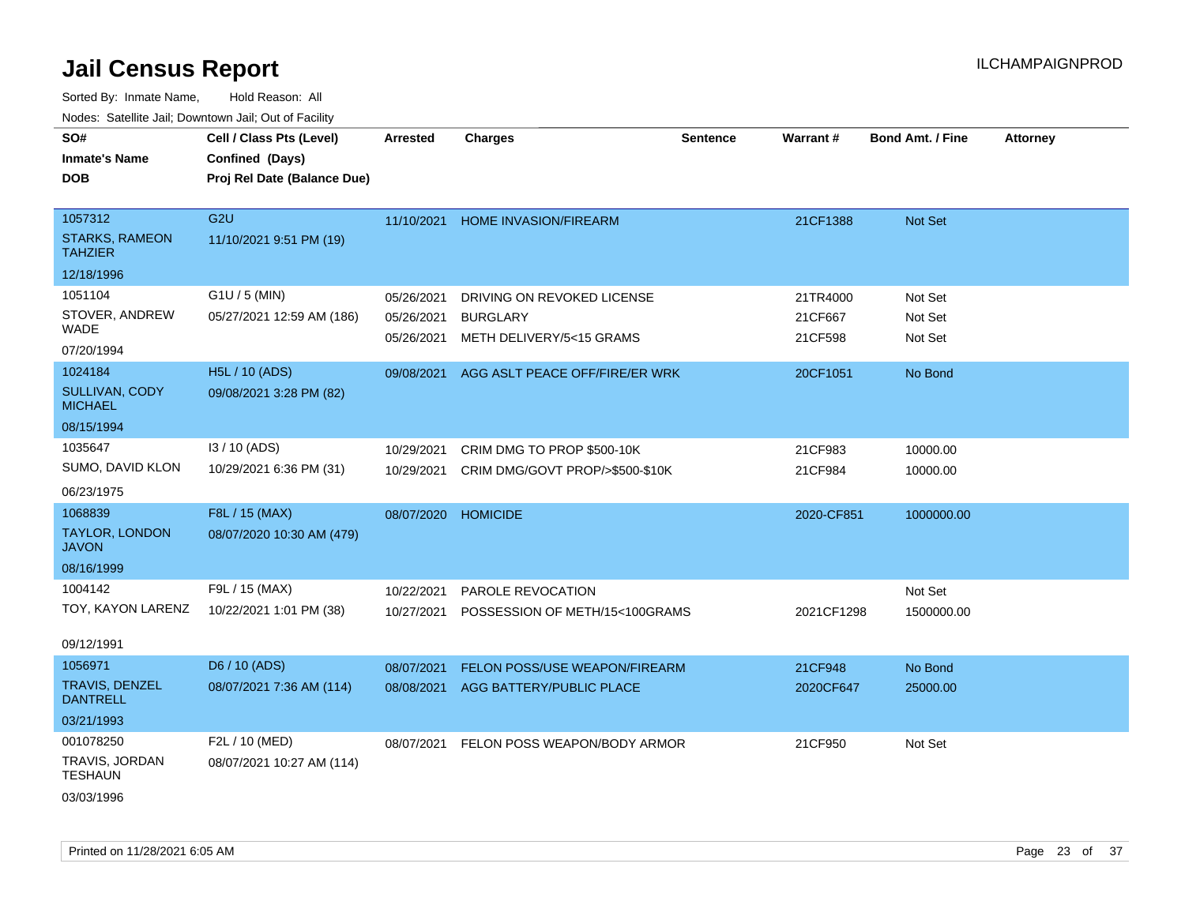| SO#<br><b>Inmate's Name</b><br><b>DOB</b>          | Cell / Class Pts (Level)<br>Confined (Days)<br>Proj Rel Date (Balance Due) | Arrested                 | <b>Charges</b>                              | <b>Sentence</b> | <b>Warrant#</b>    | <b>Bond Amt. / Fine</b> | <b>Attorney</b> |
|----------------------------------------------------|----------------------------------------------------------------------------|--------------------------|---------------------------------------------|-----------------|--------------------|-------------------------|-----------------|
| 1057312<br><b>STARKS, RAMEON</b><br><b>TAHZIER</b> | G <sub>2U</sub><br>11/10/2021 9:51 PM (19)                                 |                          | 11/10/2021 HOME INVASION/FIREARM            |                 | 21CF1388           | Not Set                 |                 |
| 12/18/1996                                         |                                                                            |                          |                                             |                 |                    |                         |                 |
| 1051104                                            | G1U / 5 (MIN)                                                              | 05/26/2021               | DRIVING ON REVOKED LICENSE                  |                 | 21TR4000           | Not Set                 |                 |
| STOVER, ANDREW<br><b>WADE</b>                      | 05/27/2021 12:59 AM (186)                                                  | 05/26/2021<br>05/26/2021 | <b>BURGLARY</b><br>METH DELIVERY/5<15 GRAMS |                 | 21CF667<br>21CF598 | Not Set<br>Not Set      |                 |
| 07/20/1994                                         |                                                                            |                          |                                             |                 |                    |                         |                 |
| 1024184                                            | H5L / 10 (ADS)                                                             | 09/08/2021               | AGG ASLT PEACE OFF/FIRE/ER WRK              |                 | 20CF1051           | No Bond                 |                 |
| SULLIVAN, CODY<br><b>MICHAEL</b>                   | 09/08/2021 3:28 PM (82)                                                    |                          |                                             |                 |                    |                         |                 |
| 08/15/1994                                         |                                                                            |                          |                                             |                 |                    |                         |                 |
| 1035647                                            | I3 / 10 (ADS)                                                              | 10/29/2021               | CRIM DMG TO PROP \$500-10K                  |                 | 21CF983            | 10000.00                |                 |
| SUMO, DAVID KLON                                   | 10/29/2021 6:36 PM (31)                                                    | 10/29/2021               | CRIM DMG/GOVT PROP/>\$500-\$10K             |                 | 21CF984            | 10000.00                |                 |
| 06/23/1975                                         |                                                                            |                          |                                             |                 |                    |                         |                 |
| 1068839                                            | F8L / 15 (MAX)                                                             |                          | 08/07/2020 HOMICIDE                         |                 | 2020-CF851         | 1000000.00              |                 |
| TAYLOR, LONDON<br><b>JAVON</b>                     | 08/07/2020 10:30 AM (479)                                                  |                          |                                             |                 |                    |                         |                 |
| 08/16/1999                                         |                                                                            |                          |                                             |                 |                    |                         |                 |
| 1004142                                            | F9L / 15 (MAX)                                                             | 10/22/2021               | PAROLE REVOCATION                           |                 |                    | Not Set                 |                 |
| TOY, KAYON LARENZ                                  | 10/22/2021 1:01 PM (38)                                                    |                          | 10/27/2021 POSSESSION OF METH/15<100GRAMS   |                 | 2021CF1298         | 1500000.00              |                 |
| 09/12/1991                                         |                                                                            |                          |                                             |                 |                    |                         |                 |
| 1056971                                            | D6 / 10 (ADS)                                                              | 08/07/2021               | FELON POSS/USE WEAPON/FIREARM               |                 | 21CF948            | No Bond                 |                 |
| TRAVIS, DENZEL<br><b>DANTRELL</b>                  | 08/07/2021 7:36 AM (114)                                                   |                          | 08/08/2021 AGG BATTERY/PUBLIC PLACE         |                 | 2020CF647          | 25000.00                |                 |
| 03/21/1993                                         |                                                                            |                          |                                             |                 |                    |                         |                 |
| 001078250                                          | F2L / 10 (MED)                                                             |                          | 08/07/2021 FELON POSS WEAPON/BODY ARMOR     |                 | 21CF950            | Not Set                 |                 |
| TRAVIS, JORDAN<br><b>TESHAUN</b>                   | 08/07/2021 10:27 AM (114)                                                  |                          |                                             |                 |                    |                         |                 |
| 03/03/1996                                         |                                                                            |                          |                                             |                 |                    |                         |                 |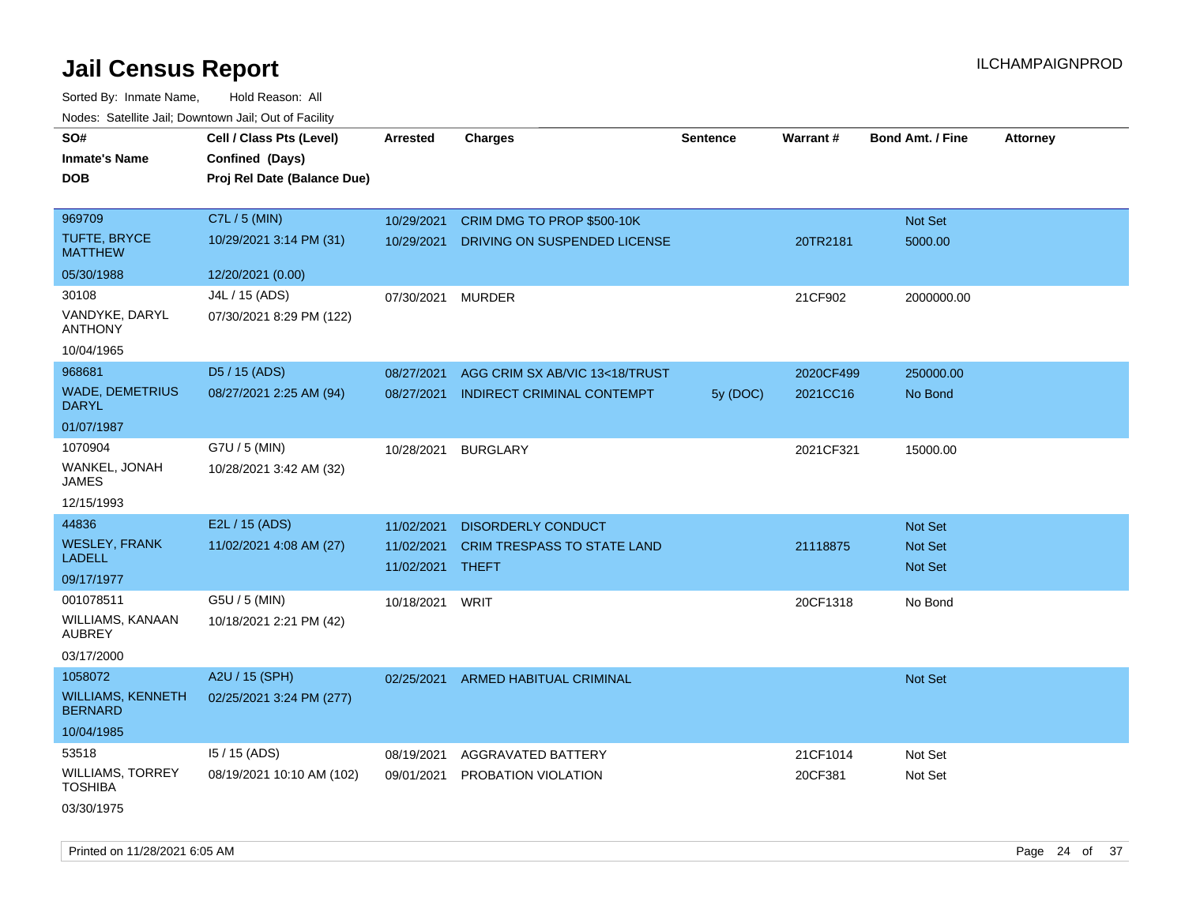| SO#                                 | Cell / Class Pts (Level)    | <b>Arrested</b> | <b>Charges</b>                     | <b>Sentence</b> | Warrant#  | <b>Bond Amt. / Fine</b> | <b>Attorney</b> |
|-------------------------------------|-----------------------------|-----------------|------------------------------------|-----------------|-----------|-------------------------|-----------------|
| Inmate's Name                       | Confined (Days)             |                 |                                    |                 |           |                         |                 |
| <b>DOB</b>                          | Proj Rel Date (Balance Due) |                 |                                    |                 |           |                         |                 |
|                                     |                             |                 |                                    |                 |           |                         |                 |
| 969709                              | C7L / 5 (MIN)               | 10/29/2021      | CRIM DMG TO PROP \$500-10K         |                 |           | Not Set                 |                 |
| <b>TUFTE, BRYCE</b><br>MATTHEW      | 10/29/2021 3:14 PM (31)     | 10/29/2021      | DRIVING ON SUSPENDED LICENSE       |                 | 20TR2181  | 5000.00                 |                 |
| 05/30/1988                          | 12/20/2021 (0.00)           |                 |                                    |                 |           |                         |                 |
| 30108                               | J4L / 15 (ADS)              | 07/30/2021      | <b>MURDER</b>                      |                 | 21CF902   | 2000000.00              |                 |
| VANDYKE, DARYL<br>ANTHONY           | 07/30/2021 8:29 PM (122)    |                 |                                    |                 |           |                         |                 |
| 10/04/1965                          |                             |                 |                                    |                 |           |                         |                 |
| 968681                              | D5 / 15 (ADS)               | 08/27/2021      | AGG CRIM SX AB/VIC 13<18/TRUST     |                 | 2020CF499 | 250000.00               |                 |
| <b>WADE, DEMETRIUS</b><br>DARYL     | 08/27/2021 2:25 AM (94)     | 08/27/2021      | INDIRECT CRIMINAL CONTEMPT         | 5y (DOC)        | 2021CC16  | No Bond                 |                 |
| 01/07/1987                          |                             |                 |                                    |                 |           |                         |                 |
| 1070904                             | G7U / 5 (MIN)               | 10/28/2021      | <b>BURGLARY</b>                    |                 | 2021CF321 | 15000.00                |                 |
| WANKEL, JONAH<br>JAMES              | 10/28/2021 3:42 AM (32)     |                 |                                    |                 |           |                         |                 |
| 12/15/1993                          |                             |                 |                                    |                 |           |                         |                 |
| 44836                               | E2L / 15 (ADS)              | 11/02/2021      | <b>DISORDERLY CONDUCT</b>          |                 |           | Not Set                 |                 |
| <b>WESLEY, FRANK</b>                | 11/02/2021 4:08 AM (27)     | 11/02/2021      | <b>CRIM TRESPASS TO STATE LAND</b> |                 | 21118875  | <b>Not Set</b>          |                 |
| LADELL                              |                             | 11/02/2021      | <b>THEFT</b>                       |                 |           | <b>Not Set</b>          |                 |
| 09/17/1977                          |                             |                 |                                    |                 |           |                         |                 |
| 001078511                           | G5U / 5 (MIN)               | 10/18/2021      | WRIT                               |                 | 20CF1318  | No Bond                 |                 |
| WILLIAMS, KANAAN<br>AUBREY          | 10/18/2021 2:21 PM (42)     |                 |                                    |                 |           |                         |                 |
| 03/17/2000                          |                             |                 |                                    |                 |           |                         |                 |
| 1058072                             | A2U / 15 (SPH)              | 02/25/2021      | <b>ARMED HABITUAL CRIMINAL</b>     |                 |           | Not Set                 |                 |
| WILLIAMS, KENNETH<br><b>BERNARD</b> | 02/25/2021 3:24 PM (277)    |                 |                                    |                 |           |                         |                 |
| 10/04/1985                          |                             |                 |                                    |                 |           |                         |                 |
| 53518                               | $15/15$ (ADS)               | 08/19/2021      | <b>AGGRAVATED BATTERY</b>          |                 | 21CF1014  | Not Set                 |                 |
| WILLIAMS, TORREY<br>TOSHIBA         | 08/19/2021 10:10 AM (102)   | 09/01/2021      | PROBATION VIOLATION                |                 | 20CF381   | Not Set                 |                 |
| 03/30/1975                          |                             |                 |                                    |                 |           |                         |                 |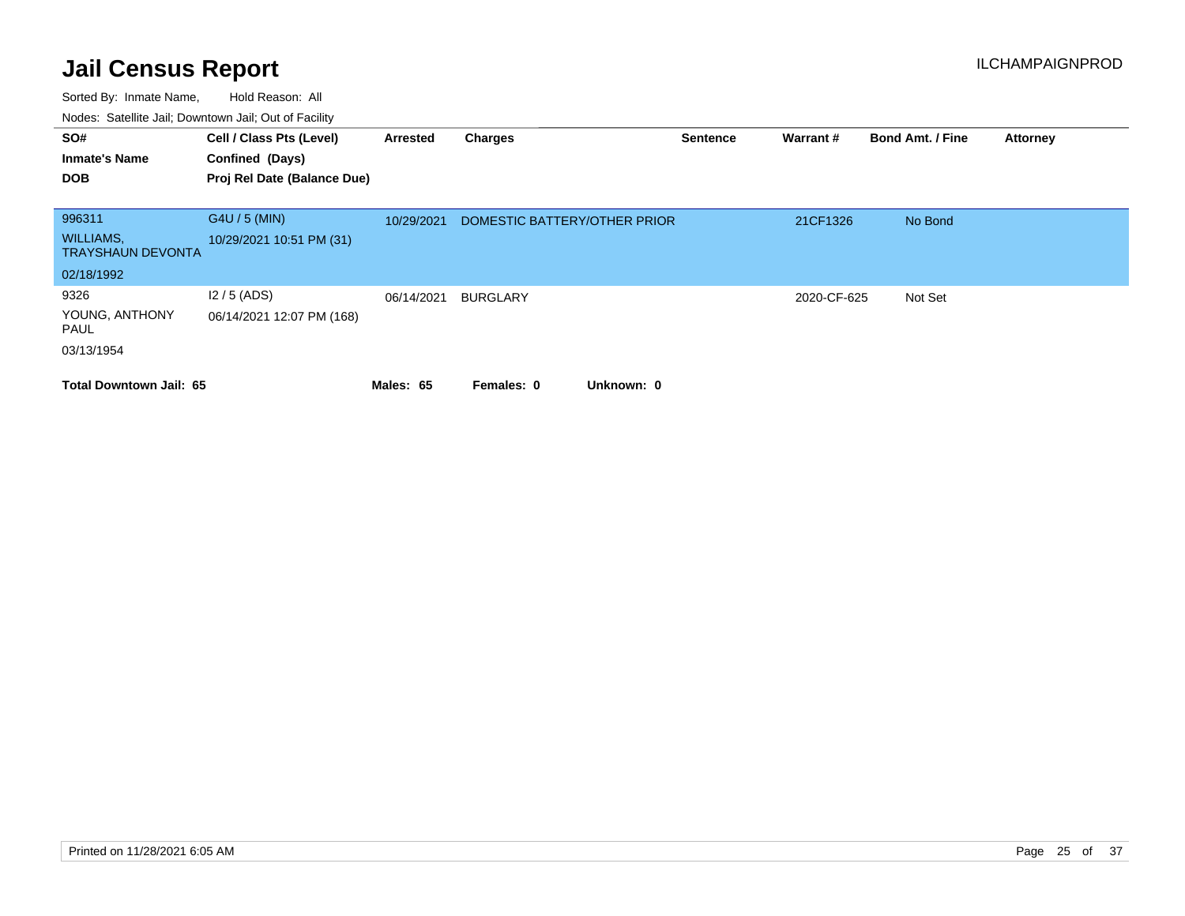| SO#                                          | Cell / Class Pts (Level)    | Arrested   | Charges                      | Sentence | Warrant#    | <b>Bond Amt. / Fine</b> | <b>Attorney</b> |
|----------------------------------------------|-----------------------------|------------|------------------------------|----------|-------------|-------------------------|-----------------|
| <b>Inmate's Name</b>                         | Confined (Days)             |            |                              |          |             |                         |                 |
| <b>DOB</b>                                   | Proj Rel Date (Balance Due) |            |                              |          |             |                         |                 |
|                                              |                             |            |                              |          |             |                         |                 |
| 996311                                       | G4U / 5 (MIN)               | 10/29/2021 | DOMESTIC BATTERY/OTHER PRIOR |          | 21CF1326    | No Bond                 |                 |
| <b>WILLIAMS,</b><br><b>TRAYSHAUN DEVONTA</b> | 10/29/2021 10:51 PM (31)    |            |                              |          |             |                         |                 |
| 02/18/1992                                   |                             |            |                              |          |             |                         |                 |
| 9326                                         | $12/5$ (ADS)                | 06/14/2021 | <b>BURGLARY</b>              |          | 2020-CF-625 | Not Set                 |                 |
| YOUNG, ANTHONY<br>PAUL                       | 06/14/2021 12:07 PM (168)   |            |                              |          |             |                         |                 |
| 03/13/1954                                   |                             |            |                              |          |             |                         |                 |
| <b>Total Downtown Jail: 65</b>               |                             | Males: 65  | Unknown: 0<br>Females: 0     |          |             |                         |                 |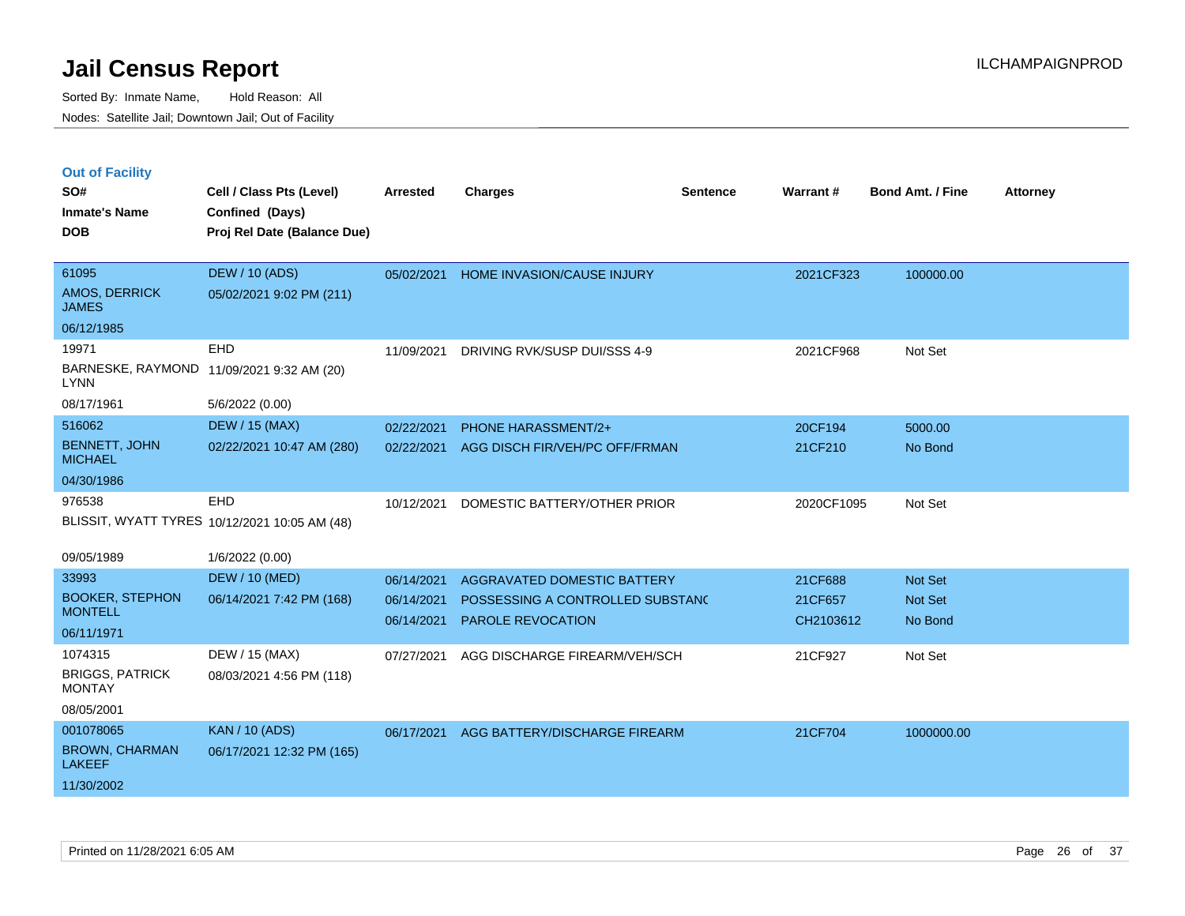|  | <b>Out of Facility</b> |  |
|--|------------------------|--|
|  |                        |  |
|  |                        |  |

| SO#<br><b>Inmate's Name</b><br><b>DOB</b> | Cell / Class Pts (Level)<br>Confined (Days)<br>Proj Rel Date (Balance Due) | <b>Arrested</b> | <b>Charges</b>                   | <b>Sentence</b> | <b>Warrant#</b> | Bond Amt. / Fine | <b>Attorney</b> |
|-------------------------------------------|----------------------------------------------------------------------------|-----------------|----------------------------------|-----------------|-----------------|------------------|-----------------|
| 61095<br>AMOS, DERRICK<br><b>JAMES</b>    | <b>DEW / 10 (ADS)</b><br>05/02/2021 9:02 PM (211)                          | 05/02/2021      | HOME INVASION/CAUSE INJURY       |                 | 2021CF323       | 100000.00        |                 |
| 06/12/1985                                |                                                                            |                 |                                  |                 |                 |                  |                 |
| 19971                                     | EHD                                                                        | 11/09/2021      | DRIVING RVK/SUSP DUI/SSS 4-9     |                 | 2021CF968       | Not Set          |                 |
| <b>LYNN</b>                               | BARNESKE, RAYMOND 11/09/2021 9:32 AM (20)                                  |                 |                                  |                 |                 |                  |                 |
| 08/17/1961                                | 5/6/2022 (0.00)                                                            |                 |                                  |                 |                 |                  |                 |
| 516062                                    | <b>DEW / 15 (MAX)</b>                                                      | 02/22/2021      | <b>PHONE HARASSMENT/2+</b>       |                 | 20CF194         | 5000.00          |                 |
| <b>BENNETT, JOHN</b><br><b>MICHAEL</b>    | 02/22/2021 10:47 AM (280)                                                  | 02/22/2021      | AGG DISCH FIR/VEH/PC OFF/FRMAN   |                 | 21CF210         | No Bond          |                 |
| 04/30/1986                                |                                                                            |                 |                                  |                 |                 |                  |                 |
| 976538                                    | EHD                                                                        | 10/12/2021      | DOMESTIC BATTERY/OTHER PRIOR     |                 | 2020CF1095      | Not Set          |                 |
|                                           | BLISSIT, WYATT TYRES 10/12/2021 10:05 AM (48)                              |                 |                                  |                 |                 |                  |                 |
| 09/05/1989                                | 1/6/2022 (0.00)                                                            |                 |                                  |                 |                 |                  |                 |
| 33993                                     | <b>DEW / 10 (MED)</b>                                                      | 06/14/2021      | AGGRAVATED DOMESTIC BATTERY      |                 | 21CF688         | Not Set          |                 |
| <b>BOOKER, STEPHON</b>                    | 06/14/2021 7:42 PM (168)                                                   | 06/14/2021      | POSSESSING A CONTROLLED SUBSTAND |                 | 21CF657         | Not Set          |                 |
| <b>MONTELL</b>                            |                                                                            | 06/14/2021      | PAROLE REVOCATION                |                 | CH2103612       | No Bond          |                 |
| 06/11/1971                                |                                                                            |                 |                                  |                 |                 |                  |                 |
| 1074315                                   | DEW / 15 (MAX)                                                             | 07/27/2021      | AGG DISCHARGE FIREARM/VEH/SCH    |                 | 21CF927         | Not Set          |                 |
| <b>BRIGGS, PATRICK</b><br><b>MONTAY</b>   | 08/03/2021 4:56 PM (118)                                                   |                 |                                  |                 |                 |                  |                 |
| 08/05/2001                                |                                                                            |                 |                                  |                 |                 |                  |                 |
| 001078065                                 | <b>KAN / 10 (ADS)</b>                                                      | 06/17/2021      | AGG BATTERY/DISCHARGE FIREARM    |                 | 21CF704         | 1000000.00       |                 |
| <b>BROWN, CHARMAN</b><br><b>LAKEEF</b>    | 06/17/2021 12:32 PM (165)                                                  |                 |                                  |                 |                 |                  |                 |
| 11/30/2002                                |                                                                            |                 |                                  |                 |                 |                  |                 |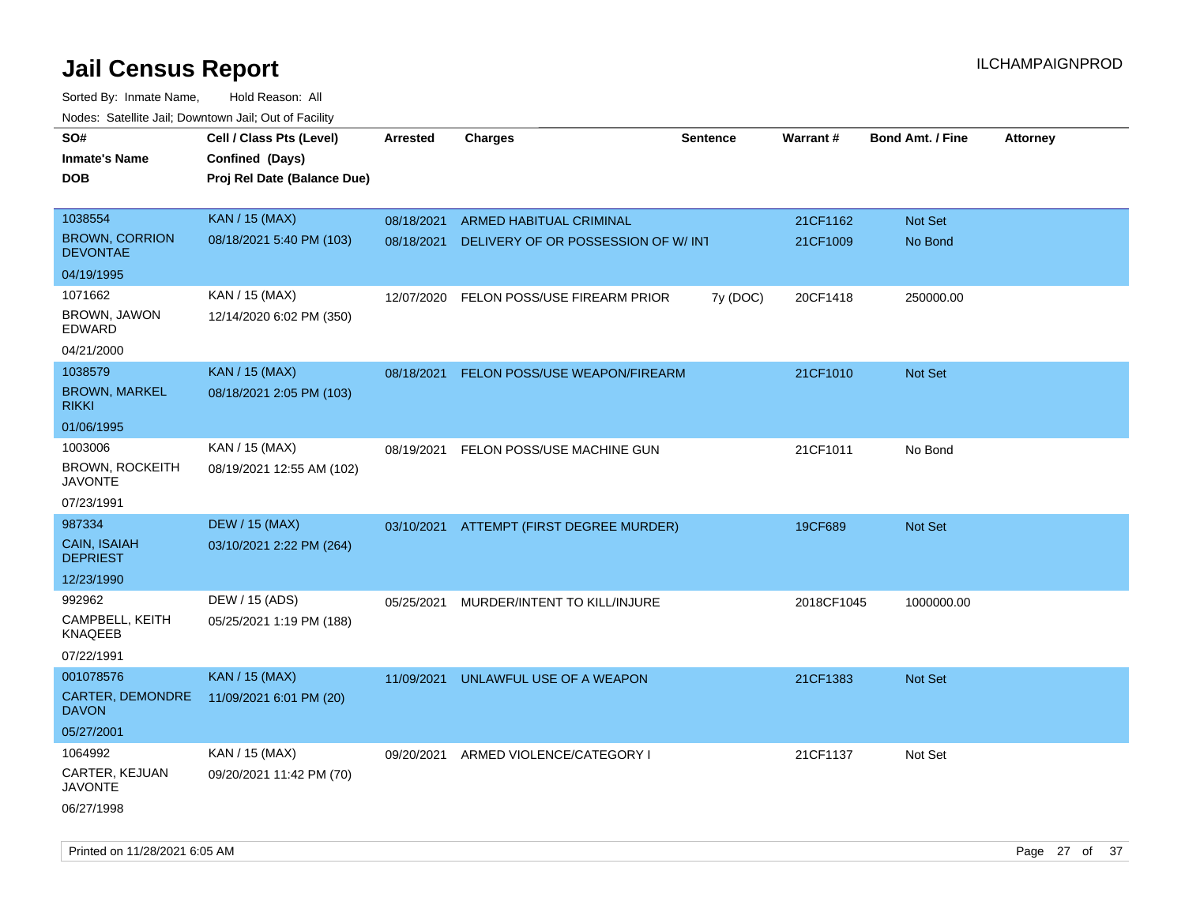| roaco. Catolino dall, Downtown dall, Out of Fability |                             |            |                                          |                 |                 |                         |                 |
|------------------------------------------------------|-----------------------------|------------|------------------------------------------|-----------------|-----------------|-------------------------|-----------------|
| SO#                                                  | Cell / Class Pts (Level)    | Arrested   | <b>Charges</b>                           | <b>Sentence</b> | <b>Warrant#</b> | <b>Bond Amt. / Fine</b> | <b>Attorney</b> |
| <b>Inmate's Name</b>                                 | Confined (Days)             |            |                                          |                 |                 |                         |                 |
| <b>DOB</b>                                           | Proj Rel Date (Balance Due) |            |                                          |                 |                 |                         |                 |
|                                                      |                             |            |                                          |                 |                 |                         |                 |
| 1038554                                              | <b>KAN / 15 (MAX)</b>       | 08/18/2021 | ARMED HABITUAL CRIMINAL                  |                 | 21CF1162        | Not Set                 |                 |
| <b>BROWN, CORRION</b><br><b>DEVONTAE</b>             | 08/18/2021 5:40 PM (103)    | 08/18/2021 | DELIVERY OF OR POSSESSION OF W/ INT      |                 | 21CF1009        | No Bond                 |                 |
| 04/19/1995                                           |                             |            |                                          |                 |                 |                         |                 |
| 1071662                                              | KAN / 15 (MAX)              | 12/07/2020 | FELON POSS/USE FIREARM PRIOR             | 7y (DOC)        | 20CF1418        | 250000.00               |                 |
| BROWN, JAWON<br>EDWARD                               | 12/14/2020 6:02 PM (350)    |            |                                          |                 |                 |                         |                 |
| 04/21/2000                                           |                             |            |                                          |                 |                 |                         |                 |
| 1038579                                              | <b>KAN / 15 (MAX)</b>       | 08/18/2021 | <b>FELON POSS/USE WEAPON/FIREARM</b>     |                 | 21CF1010        | Not Set                 |                 |
| <b>BROWN, MARKEL</b><br><b>RIKKI</b>                 | 08/18/2021 2:05 PM (103)    |            |                                          |                 |                 |                         |                 |
| 01/06/1995                                           |                             |            |                                          |                 |                 |                         |                 |
| 1003006                                              | KAN / 15 (MAX)              | 08/19/2021 | FELON POSS/USE MACHINE GUN               |                 | 21CF1011        | No Bond                 |                 |
| <b>BROWN, ROCKEITH</b><br><b>JAVONTE</b>             | 08/19/2021 12:55 AM (102)   |            |                                          |                 |                 |                         |                 |
| 07/23/1991                                           |                             |            |                                          |                 |                 |                         |                 |
| 987334                                               | <b>DEW / 15 (MAX)</b>       |            | 03/10/2021 ATTEMPT (FIRST DEGREE MURDER) |                 | 19CF689         | Not Set                 |                 |
| CAIN, ISAIAH<br><b>DEPRIEST</b>                      | 03/10/2021 2:22 PM (264)    |            |                                          |                 |                 |                         |                 |
| 12/23/1990                                           |                             |            |                                          |                 |                 |                         |                 |
| 992962                                               | DEW / 15 (ADS)              | 05/25/2021 | MURDER/INTENT TO KILL/INJURE             |                 | 2018CF1045      | 1000000.00              |                 |
| CAMPBELL, KEITH<br>KNAQEEB                           | 05/25/2021 1:19 PM (188)    |            |                                          |                 |                 |                         |                 |
| 07/22/1991                                           |                             |            |                                          |                 |                 |                         |                 |
| 001078576                                            | <b>KAN / 15 (MAX)</b>       | 11/09/2021 | UNLAWFUL USE OF A WEAPON                 |                 | 21CF1383        | <b>Not Set</b>          |                 |
| CARTER, DEMONDRE<br><b>DAVON</b>                     | 11/09/2021 6:01 PM (20)     |            |                                          |                 |                 |                         |                 |
| 05/27/2001                                           |                             |            |                                          |                 |                 |                         |                 |
| 1064992                                              | KAN / 15 (MAX)              | 09/20/2021 | ARMED VIOLENCE/CATEGORY I                |                 | 21CF1137        | Not Set                 |                 |
| CARTER, KEJUAN<br>JAVONTE                            | 09/20/2021 11:42 PM (70)    |            |                                          |                 |                 |                         |                 |
| 06/27/1998                                           |                             |            |                                          |                 |                 |                         |                 |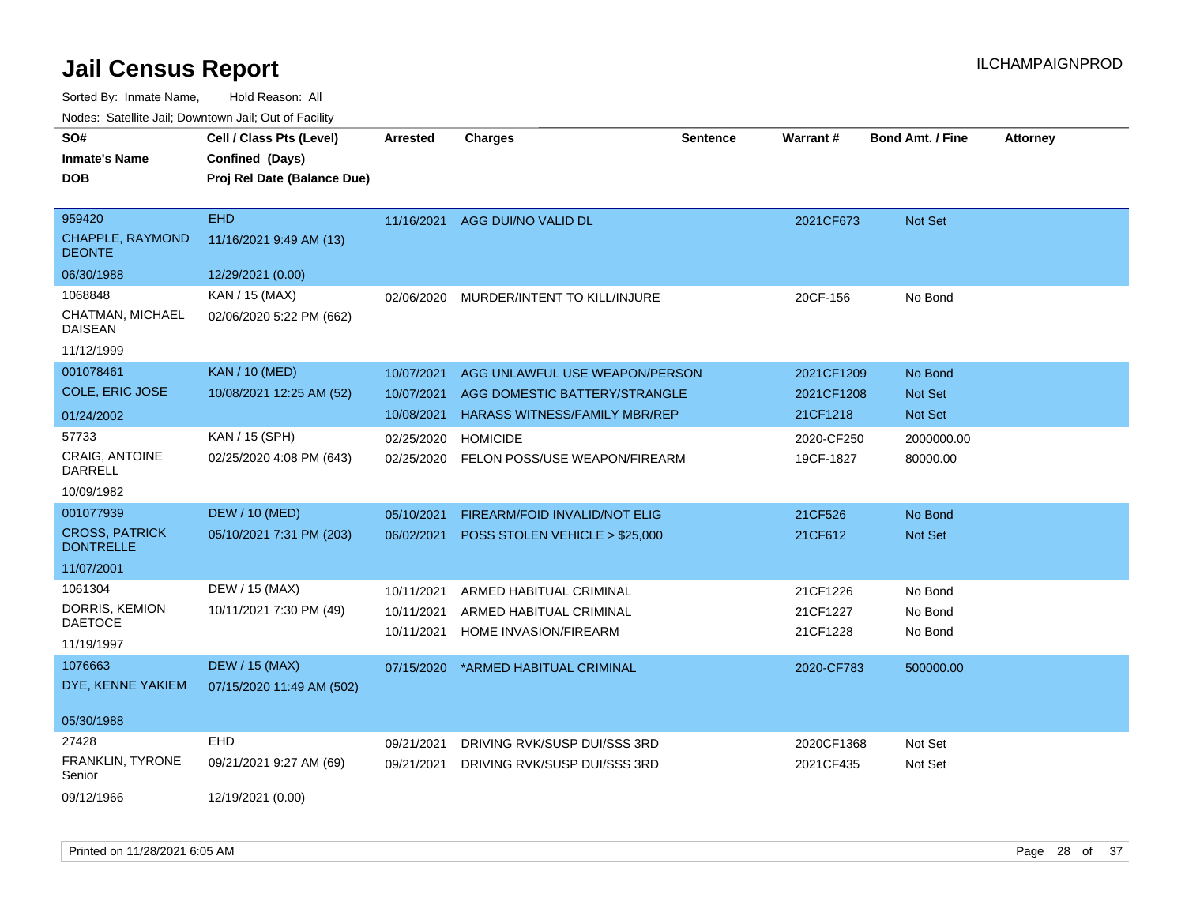| SO#                                       | Cell / Class Pts (Level)    | Arrested   | <b>Charges</b>                           | <b>Sentence</b> | <b>Warrant#</b> | <b>Bond Amt. / Fine</b> | <b>Attorney</b> |
|-------------------------------------------|-----------------------------|------------|------------------------------------------|-----------------|-----------------|-------------------------|-----------------|
| <b>Inmate's Name</b>                      | Confined (Days)             |            |                                          |                 |                 |                         |                 |
| <b>DOB</b>                                | Proj Rel Date (Balance Due) |            |                                          |                 |                 |                         |                 |
|                                           |                             |            |                                          |                 |                 |                         |                 |
| 959420                                    | <b>EHD</b>                  | 11/16/2021 | AGG DUI/NO VALID DL                      |                 | 2021CF673       | Not Set                 |                 |
| <b>CHAPPLE, RAYMOND</b><br><b>DEONTE</b>  | 11/16/2021 9:49 AM (13)     |            |                                          |                 |                 |                         |                 |
| 06/30/1988                                | 12/29/2021 (0.00)           |            |                                          |                 |                 |                         |                 |
| 1068848                                   | KAN / 15 (MAX)              | 02/06/2020 | MURDER/INTENT TO KILL/INJURE             |                 | 20CF-156        | No Bond                 |                 |
| CHATMAN, MICHAEL<br><b>DAISEAN</b>        | 02/06/2020 5:22 PM (662)    |            |                                          |                 |                 |                         |                 |
| 11/12/1999                                |                             |            |                                          |                 |                 |                         |                 |
| 001078461                                 | <b>KAN / 10 (MED)</b>       | 10/07/2021 | AGG UNLAWFUL USE WEAPON/PERSON           |                 | 2021CF1209      | No Bond                 |                 |
| COLE, ERIC JOSE                           | 10/08/2021 12:25 AM (52)    | 10/07/2021 | AGG DOMESTIC BATTERY/STRANGLE            |                 | 2021CF1208      | Not Set                 |                 |
| 01/24/2002                                |                             | 10/08/2021 | <b>HARASS WITNESS/FAMILY MBR/REP</b>     |                 | 21CF1218        | Not Set                 |                 |
| 57733                                     | KAN / 15 (SPH)              | 02/25/2020 | <b>HOMICIDE</b>                          |                 | 2020-CF250      | 2000000.00              |                 |
| <b>CRAIG. ANTOINE</b><br><b>DARRELL</b>   | 02/25/2020 4:08 PM (643)    |            | 02/25/2020 FELON POSS/USE WEAPON/FIREARM |                 | 19CF-1827       | 80000.00                |                 |
| 10/09/1982                                |                             |            |                                          |                 |                 |                         |                 |
| 001077939                                 | <b>DEW / 10 (MED)</b>       | 05/10/2021 | FIREARM/FOID INVALID/NOT ELIG            |                 | 21CF526         | No Bond                 |                 |
| <b>CROSS, PATRICK</b><br><b>DONTRELLE</b> | 05/10/2021 7:31 PM (203)    | 06/02/2021 | POSS STOLEN VEHICLE > \$25,000           |                 | 21CF612         | Not Set                 |                 |
| 11/07/2001                                |                             |            |                                          |                 |                 |                         |                 |
| 1061304                                   | DEW / 15 (MAX)              | 10/11/2021 | ARMED HABITUAL CRIMINAL                  |                 | 21CF1226        | No Bond                 |                 |
| DORRIS, KEMION                            | 10/11/2021 7:30 PM (49)     | 10/11/2021 | ARMED HABITUAL CRIMINAL                  |                 | 21CF1227        | No Bond                 |                 |
| <b>DAETOCE</b>                            |                             | 10/11/2021 | HOME INVASION/FIREARM                    |                 | 21CF1228        | No Bond                 |                 |
| 11/19/1997                                |                             |            |                                          |                 |                 |                         |                 |
| 1076663                                   | <b>DEW / 15 (MAX)</b>       | 07/15/2020 | *ARMED HABITUAL CRIMINAL                 |                 | 2020-CF783      | 500000.00               |                 |
| DYE, KENNE YAKIEM                         | 07/15/2020 11:49 AM (502)   |            |                                          |                 |                 |                         |                 |
| 05/30/1988                                |                             |            |                                          |                 |                 |                         |                 |
| 27428                                     | EHD                         | 09/21/2021 | DRIVING RVK/SUSP DUI/SSS 3RD             |                 | 2020CF1368      | Not Set                 |                 |
| <b>FRANKLIN, TYRONE</b><br>Senior         | 09/21/2021 9:27 AM (69)     | 09/21/2021 | DRIVING RVK/SUSP DUI/SSS 3RD             |                 | 2021CF435       | Not Set                 |                 |
| 09/12/1966                                | 12/19/2021 (0.00)           |            |                                          |                 |                 |                         |                 |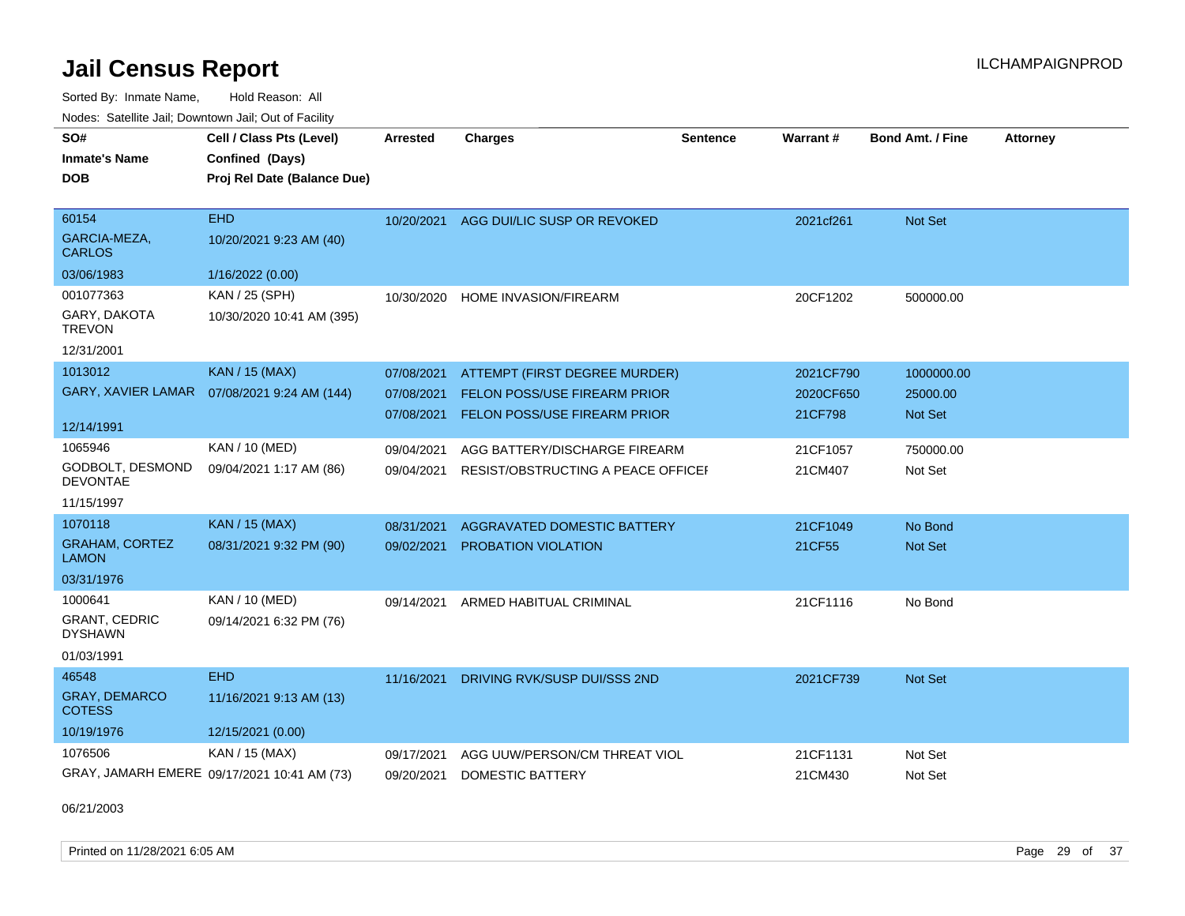Sorted By: Inmate Name, Hold Reason: All

|                                        | Nodes: Satellite Jail; Downtown Jail; Out of Facility |                 |                                    |                 |           |                         |                 |  |  |  |
|----------------------------------------|-------------------------------------------------------|-----------------|------------------------------------|-----------------|-----------|-------------------------|-----------------|--|--|--|
| SO#                                    | Cell / Class Pts (Level)                              | <b>Arrested</b> | <b>Charges</b>                     | <b>Sentence</b> | Warrant#  | <b>Bond Amt. / Fine</b> | <b>Attorney</b> |  |  |  |
| <b>Inmate's Name</b>                   | Confined (Days)                                       |                 |                                    |                 |           |                         |                 |  |  |  |
| <b>DOB</b>                             | Proj Rel Date (Balance Due)                           |                 |                                    |                 |           |                         |                 |  |  |  |
|                                        |                                                       |                 |                                    |                 |           |                         |                 |  |  |  |
| 60154                                  | <b>EHD</b>                                            | 10/20/2021      | AGG DUI/LIC SUSP OR REVOKED        |                 | 2021cf261 | Not Set                 |                 |  |  |  |
| GARCIA-MEZA,<br><b>CARLOS</b>          | 10/20/2021 9:23 AM (40)                               |                 |                                    |                 |           |                         |                 |  |  |  |
| 03/06/1983                             | 1/16/2022 (0.00)                                      |                 |                                    |                 |           |                         |                 |  |  |  |
| 001077363                              | KAN / 25 (SPH)                                        | 10/30/2020      | <b>HOME INVASION/FIREARM</b>       |                 | 20CF1202  | 500000.00               |                 |  |  |  |
| GARY, DAKOTA<br><b>TREVON</b>          | 10/30/2020 10:41 AM (395)                             |                 |                                    |                 |           |                         |                 |  |  |  |
| 12/31/2001                             |                                                       |                 |                                    |                 |           |                         |                 |  |  |  |
| 1013012                                | <b>KAN / 15 (MAX)</b>                                 | 07/08/2021      | ATTEMPT (FIRST DEGREE MURDER)      |                 | 2021CF790 | 1000000.00              |                 |  |  |  |
| <b>GARY, XAVIER LAMAR</b>              | 07/08/2021 9:24 AM (144)                              | 07/08/2021      | FELON POSS/USE FIREARM PRIOR       |                 | 2020CF650 | 25000.00                |                 |  |  |  |
|                                        |                                                       | 07/08/2021      | FELON POSS/USE FIREARM PRIOR       |                 | 21CF798   | <b>Not Set</b>          |                 |  |  |  |
| 12/14/1991                             |                                                       |                 |                                    |                 |           |                         |                 |  |  |  |
| 1065946                                | KAN / 10 (MED)                                        | 09/04/2021      | AGG BATTERY/DISCHARGE FIREARM      |                 | 21CF1057  | 750000.00               |                 |  |  |  |
| GODBOLT, DESMOND<br><b>DEVONTAE</b>    | 09/04/2021 1:17 AM (86)                               | 09/04/2021      | RESIST/OBSTRUCTING A PEACE OFFICEF |                 | 21CM407   | Not Set                 |                 |  |  |  |
| 11/15/1997                             |                                                       |                 |                                    |                 |           |                         |                 |  |  |  |
| 1070118                                | <b>KAN / 15 (MAX)</b>                                 | 08/31/2021      | AGGRAVATED DOMESTIC BATTERY        |                 | 21CF1049  | No Bond                 |                 |  |  |  |
| <b>GRAHAM, CORTEZ</b><br><b>LAMON</b>  | 08/31/2021 9:32 PM (90)                               | 09/02/2021      | PROBATION VIOLATION                |                 | 21CF55    | Not Set                 |                 |  |  |  |
| 03/31/1976                             |                                                       |                 |                                    |                 |           |                         |                 |  |  |  |
| 1000641                                | KAN / 10 (MED)                                        | 09/14/2021      | ARMED HABITUAL CRIMINAL            |                 | 21CF1116  | No Bond                 |                 |  |  |  |
| <b>GRANT, CEDRIC</b><br><b>DYSHAWN</b> | 09/14/2021 6:32 PM (76)                               |                 |                                    |                 |           |                         |                 |  |  |  |
| 01/03/1991                             |                                                       |                 |                                    |                 |           |                         |                 |  |  |  |
| 46548                                  | <b>EHD</b>                                            | 11/16/2021      | DRIVING RVK/SUSP DUI/SSS 2ND       |                 | 2021CF739 | <b>Not Set</b>          |                 |  |  |  |
| <b>GRAY, DEMARCO</b><br><b>COTESS</b>  | 11/16/2021 9:13 AM (13)                               |                 |                                    |                 |           |                         |                 |  |  |  |
| 10/19/1976                             | 12/15/2021 (0.00)                                     |                 |                                    |                 |           |                         |                 |  |  |  |
| 1076506                                | KAN / 15 (MAX)                                        | 09/17/2021      | AGG UUW/PERSON/CM THREAT VIOL      |                 | 21CF1131  | Not Set                 |                 |  |  |  |
|                                        | GRAY, JAMARH EMERE 09/17/2021 10:41 AM (73)           | 09/20/2021      | <b>DOMESTIC BATTERY</b>            |                 | 21CM430   | Not Set                 |                 |  |  |  |

06/21/2003

Printed on 11/28/2021 6:05 AM **Page 29 of 37**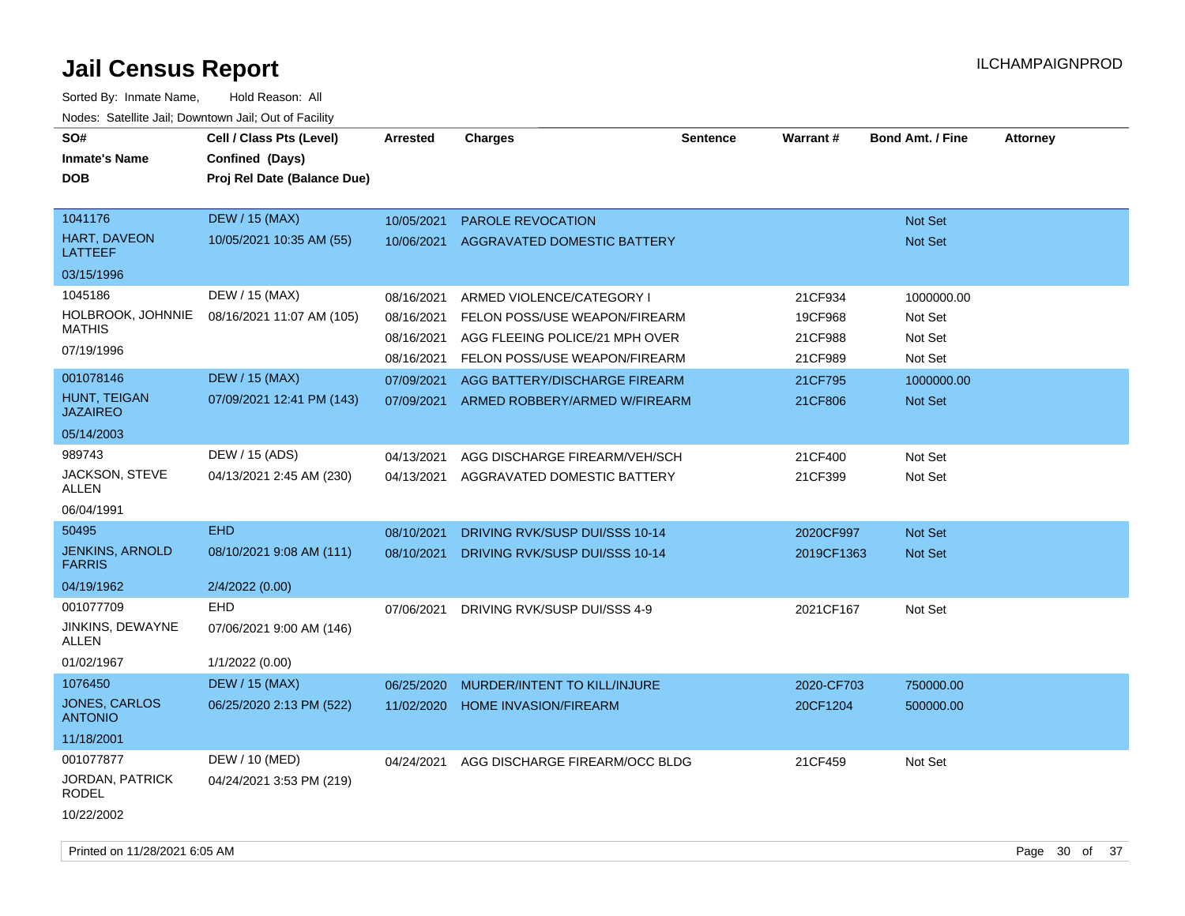| SO#<br><b>Inmate's Name</b><br><b>DOB</b>        | Cell / Class Pts (Level)<br>Confined (Days)<br>Proj Rel Date (Balance Due) | <b>Arrested</b>          | <b>Charges</b>                                                  | <b>Sentence</b> | <b>Warrant#</b>    | <b>Bond Amt. / Fine</b>   | <b>Attorney</b> |
|--------------------------------------------------|----------------------------------------------------------------------------|--------------------------|-----------------------------------------------------------------|-----------------|--------------------|---------------------------|-----------------|
| 1041176<br><b>HART, DAVEON</b><br><b>LATTEEF</b> | <b>DEW / 15 (MAX)</b><br>10/05/2021 10:35 AM (55)                          | 10/05/2021<br>10/06/2021 | <b>PAROLE REVOCATION</b><br>AGGRAVATED DOMESTIC BATTERY         |                 |                    | Not Set<br><b>Not Set</b> |                 |
| 03/15/1996                                       |                                                                            |                          |                                                                 |                 |                    |                           |                 |
| 1045186                                          | DEW / 15 (MAX)                                                             | 08/16/2021               | ARMED VIOLENCE/CATEGORY I                                       |                 | 21CF934            | 1000000.00                |                 |
| <b>HOLBROOK, JOHNNIE</b><br><b>MATHIS</b>        | 08/16/2021 11:07 AM (105)                                                  | 08/16/2021<br>08/16/2021 | FELON POSS/USE WEAPON/FIREARM<br>AGG FLEEING POLICE/21 MPH OVER |                 | 19CF968<br>21CF988 | Not Set<br>Not Set        |                 |
| 07/19/1996                                       |                                                                            | 08/16/2021               | <b>FELON POSS/USE WEAPON/FIREARM</b>                            |                 | 21CF989            | Not Set                   |                 |
| 001078146                                        | <b>DEW / 15 (MAX)</b>                                                      | 07/09/2021               | AGG BATTERY/DISCHARGE FIREARM                                   |                 | 21CF795            | 1000000.00                |                 |
| <b>HUNT, TEIGAN</b><br><b>JAZAIREO</b>           | 07/09/2021 12:41 PM (143)                                                  | 07/09/2021               | ARMED ROBBERY/ARMED W/FIREARM                                   |                 | 21CF806            | Not Set                   |                 |
| 05/14/2003                                       |                                                                            |                          |                                                                 |                 |                    |                           |                 |
| 989743                                           | DEW / 15 (ADS)                                                             | 04/13/2021               | AGG DISCHARGE FIREARM/VEH/SCH                                   |                 | 21CF400            | Not Set                   |                 |
| JACKSON, STEVE<br>ALLEN                          | 04/13/2021 2:45 AM (230)                                                   | 04/13/2021               | AGGRAVATED DOMESTIC BATTERY                                     |                 | 21CF399            | Not Set                   |                 |
| 06/04/1991                                       |                                                                            |                          |                                                                 |                 |                    |                           |                 |
| 50495                                            | <b>EHD</b>                                                                 | 08/10/2021               | DRIVING RVK/SUSP DUI/SSS 10-14                                  |                 | 2020CF997          | Not Set                   |                 |
| <b>JENKINS, ARNOLD</b><br><b>FARRIS</b>          | 08/10/2021 9:08 AM (111)                                                   | 08/10/2021               | DRIVING RVK/SUSP DUI/SSS 10-14                                  |                 | 2019CF1363         | Not Set                   |                 |
| 04/19/1962                                       | 2/4/2022 (0.00)                                                            |                          |                                                                 |                 |                    |                           |                 |
| 001077709                                        | <b>EHD</b>                                                                 | 07/06/2021               | DRIVING RVK/SUSP DUI/SSS 4-9                                    |                 | 2021CF167          | Not Set                   |                 |
| JINKINS, DEWAYNE<br>ALLEN                        | 07/06/2021 9:00 AM (146)                                                   |                          |                                                                 |                 |                    |                           |                 |
| 01/02/1967                                       | 1/1/2022 (0.00)                                                            |                          |                                                                 |                 |                    |                           |                 |
| 1076450                                          | <b>DEW / 15 (MAX)</b>                                                      | 06/25/2020               | MURDER/INTENT TO KILL/INJURE                                    |                 | 2020-CF703         | 750000.00                 |                 |
| <b>JONES, CARLOS</b><br><b>ANTONIO</b>           | 06/25/2020 2:13 PM (522)                                                   | 11/02/2020               | <b>HOME INVASION/FIREARM</b>                                    |                 | 20CF1204           | 500000.00                 |                 |
| 11/18/2001                                       |                                                                            |                          |                                                                 |                 |                    |                           |                 |
| 001077877                                        | DEW / 10 (MED)                                                             | 04/24/2021               | AGG DISCHARGE FIREARM/OCC BLDG                                  |                 | 21CF459            | Not Set                   |                 |
| JORDAN, PATRICK<br><b>RODEL</b>                  | 04/24/2021 3:53 PM (219)                                                   |                          |                                                                 |                 |                    |                           |                 |
| 10/22/2002                                       |                                                                            |                          |                                                                 |                 |                    |                           |                 |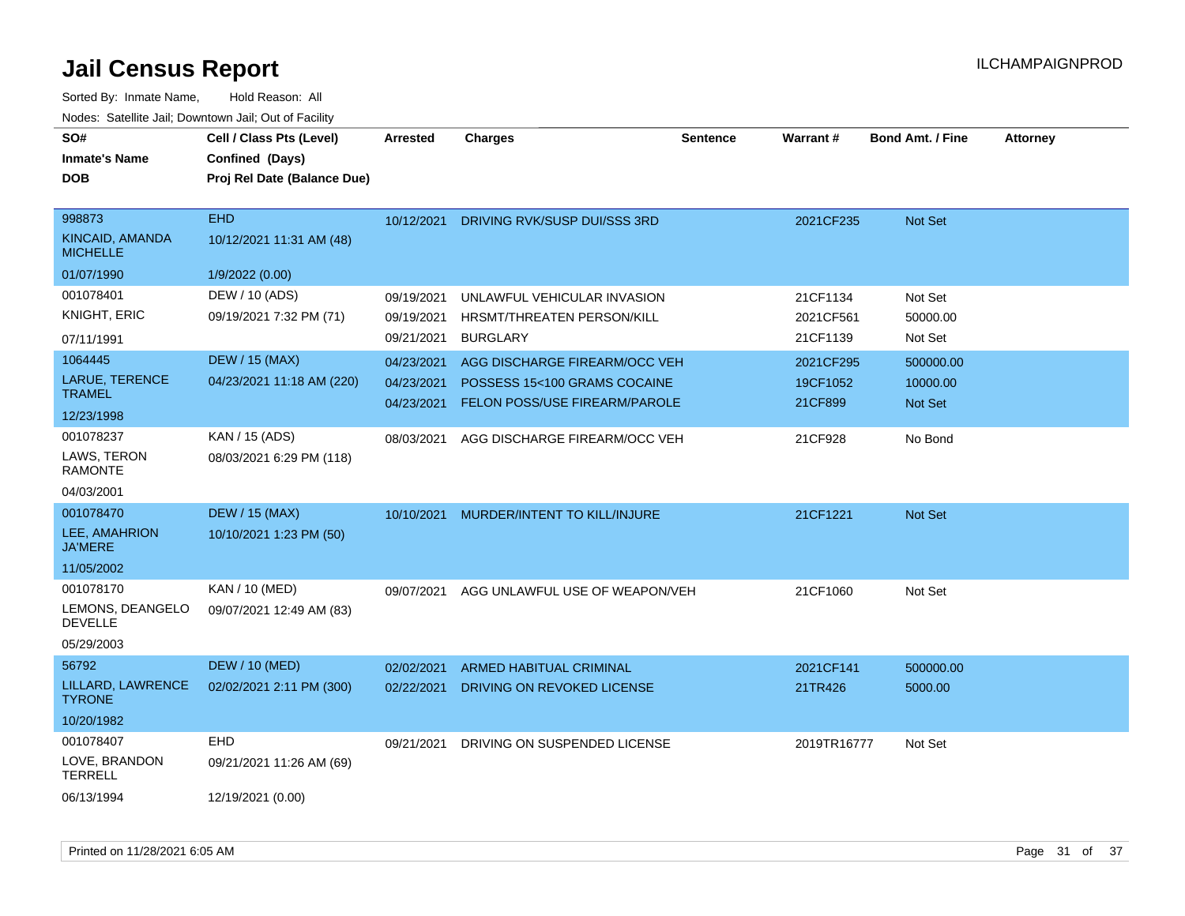| SO#<br><b>Inmate's Name</b><br><b>DOB</b>       | Cell / Class Pts (Level)<br>Confined (Days)<br>Proj Rel Date (Balance Due) | <b>Arrested</b> | <b>Charges</b>                    | <b>Sentence</b> | <b>Warrant#</b> | <b>Bond Amt. / Fine</b> | <b>Attorney</b> |
|-------------------------------------------------|----------------------------------------------------------------------------|-----------------|-----------------------------------|-----------------|-----------------|-------------------------|-----------------|
| 998873<br>KINCAID, AMANDA<br><b>MICHELLE</b>    | <b>EHD</b><br>10/12/2021 11:31 AM (48)                                     | 10/12/2021      | DRIVING RVK/SUSP DUI/SSS 3RD      |                 | 2021CF235       | Not Set                 |                 |
| 01/07/1990                                      | 1/9/2022 (0.00)                                                            |                 |                                   |                 |                 |                         |                 |
| 001078401                                       | DEW / 10 (ADS)                                                             | 09/19/2021      | UNLAWFUL VEHICULAR INVASION       |                 | 21CF1134        | Not Set                 |                 |
| <b>KNIGHT, ERIC</b>                             | 09/19/2021 7:32 PM (71)                                                    | 09/19/2021      | <b>HRSMT/THREATEN PERSON/KILL</b> |                 | 2021CF561       | 50000.00                |                 |
| 07/11/1991                                      |                                                                            | 09/21/2021      | <b>BURGLARY</b>                   |                 | 21CF1139        | Not Set                 |                 |
| 1064445                                         | <b>DEW / 15 (MAX)</b>                                                      | 04/23/2021      | AGG DISCHARGE FIREARM/OCC VEH     |                 | 2021CF295       | 500000.00               |                 |
| LARUE, TERENCE                                  | 04/23/2021 11:18 AM (220)                                                  | 04/23/2021      | POSSESS 15<100 GRAMS COCAINE      |                 | 19CF1052        | 10000.00                |                 |
| <b>TRAMEL</b>                                   |                                                                            | 04/23/2021      | FELON POSS/USE FIREARM/PAROLE     |                 | 21CF899         | Not Set                 |                 |
| 12/23/1998                                      |                                                                            |                 |                                   |                 |                 |                         |                 |
| 001078237                                       | KAN / 15 (ADS)                                                             | 08/03/2021      | AGG DISCHARGE FIREARM/OCC VEH     |                 | 21CF928         | No Bond                 |                 |
| LAWS, TERON<br><b>RAMONTE</b>                   | 08/03/2021 6:29 PM (118)                                                   |                 |                                   |                 |                 |                         |                 |
| 04/03/2001                                      |                                                                            |                 |                                   |                 |                 |                         |                 |
| 001078470                                       | <b>DEW / 15 (MAX)</b>                                                      | 10/10/2021      | MURDER/INTENT TO KILL/INJURE      |                 | 21CF1221        | Not Set                 |                 |
| LEE, AMAHRION<br><b>JA'MERE</b>                 | 10/10/2021 1:23 PM (50)                                                    |                 |                                   |                 |                 |                         |                 |
| 11/05/2002                                      |                                                                            |                 |                                   |                 |                 |                         |                 |
| 001078170<br>LEMONS, DEANGELO<br><b>DEVELLE</b> | <b>KAN / 10 (MED)</b><br>09/07/2021 12:49 AM (83)                          | 09/07/2021      | AGG UNLAWFUL USE OF WEAPON/VEH    |                 | 21CF1060        | Not Set                 |                 |
| 05/29/2003                                      |                                                                            |                 |                                   |                 |                 |                         |                 |
| 56792                                           | <b>DEW / 10 (MED)</b>                                                      | 02/02/2021      | ARMED HABITUAL CRIMINAL           |                 | 2021CF141       | 500000.00               |                 |
| LILLARD, LAWRENCE<br><b>TYRONE</b>              | 02/02/2021 2:11 PM (300)                                                   | 02/22/2021      | DRIVING ON REVOKED LICENSE        |                 | 21TR426         | 5000.00                 |                 |
| 10/20/1982                                      |                                                                            |                 |                                   |                 |                 |                         |                 |
| 001078407                                       | <b>EHD</b>                                                                 | 09/21/2021      | DRIVING ON SUSPENDED LICENSE      |                 | 2019TR16777     | Not Set                 |                 |
| LOVE, BRANDON<br><b>TERRELL</b>                 | 09/21/2021 11:26 AM (69)                                                   |                 |                                   |                 |                 |                         |                 |
| 06/13/1994                                      | 12/19/2021 (0.00)                                                          |                 |                                   |                 |                 |                         |                 |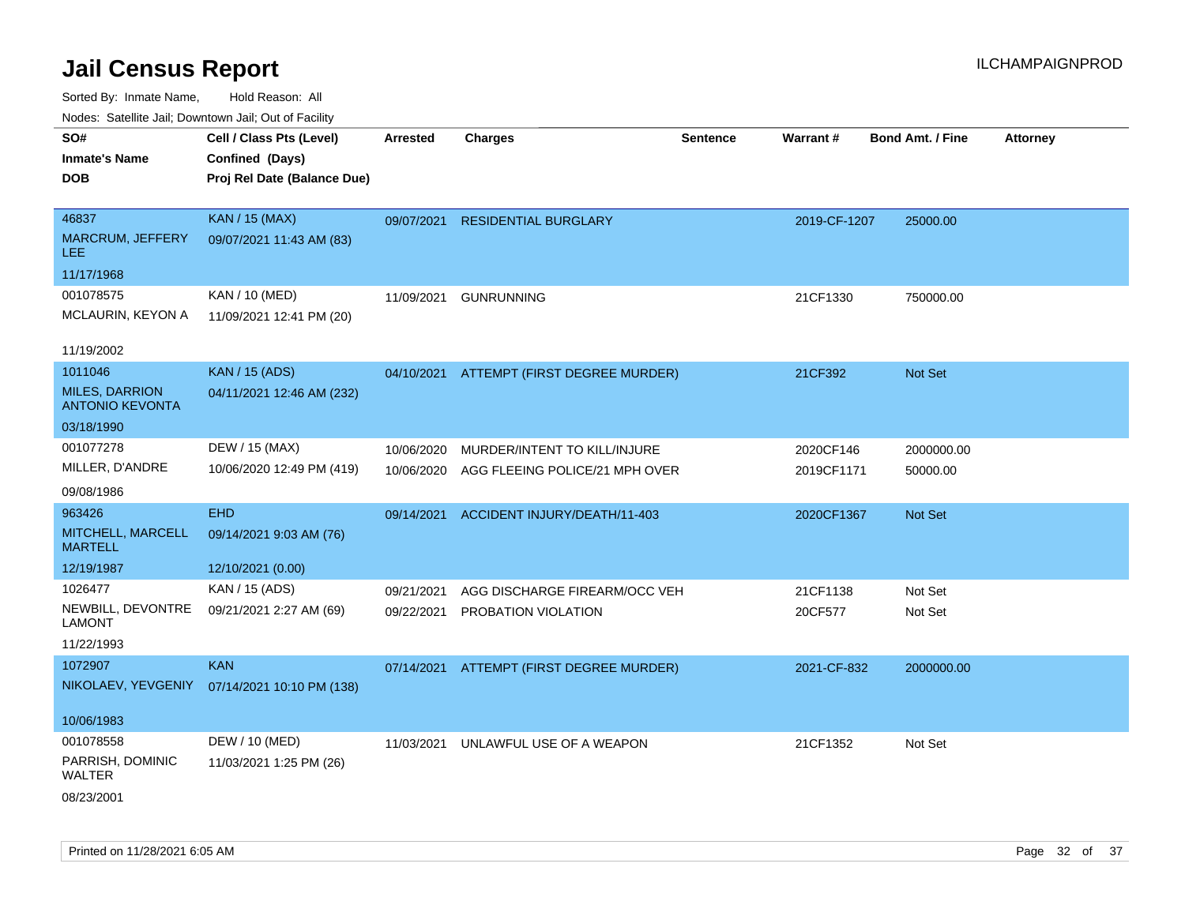| roaco. Odichile Jan, Downtown Jan, Out of Facility |                             |                 |                                          |                 |              |                         |                 |
|----------------------------------------------------|-----------------------------|-----------------|------------------------------------------|-----------------|--------------|-------------------------|-----------------|
| SO#                                                | Cell / Class Pts (Level)    | <b>Arrested</b> | <b>Charges</b>                           | <b>Sentence</b> | Warrant#     | <b>Bond Amt. / Fine</b> | <b>Attorney</b> |
| <b>Inmate's Name</b>                               | Confined (Days)             |                 |                                          |                 |              |                         |                 |
| <b>DOB</b>                                         | Proj Rel Date (Balance Due) |                 |                                          |                 |              |                         |                 |
|                                                    |                             |                 |                                          |                 |              |                         |                 |
| 46837                                              | <b>KAN / 15 (MAX)</b>       | 09/07/2021      | <b>RESIDENTIAL BURGLARY</b>              |                 | 2019-CF-1207 | 25000.00                |                 |
| <b>MARCRUM, JEFFERY</b><br><b>LEE</b>              | 09/07/2021 11:43 AM (83)    |                 |                                          |                 |              |                         |                 |
| 11/17/1968                                         |                             |                 |                                          |                 |              |                         |                 |
| 001078575                                          | KAN / 10 (MED)              | 11/09/2021      | <b>GUNRUNNING</b>                        |                 | 21CF1330     | 750000.00               |                 |
| <b>MCLAURIN, KEYON A</b>                           | 11/09/2021 12:41 PM (20)    |                 |                                          |                 |              |                         |                 |
|                                                    |                             |                 |                                          |                 |              |                         |                 |
| 11/19/2002                                         |                             |                 |                                          |                 |              |                         |                 |
| 1011046                                            | <b>KAN</b> / 15 (ADS)       |                 | 04/10/2021 ATTEMPT (FIRST DEGREE MURDER) |                 | 21CF392      | <b>Not Set</b>          |                 |
| <b>MILES, DARRION</b><br><b>ANTONIO KEVONTA</b>    | 04/11/2021 12:46 AM (232)   |                 |                                          |                 |              |                         |                 |
| 03/18/1990                                         |                             |                 |                                          |                 |              |                         |                 |
| 001077278                                          | DEW / 15 (MAX)              | 10/06/2020      | MURDER/INTENT TO KILL/INJURE             |                 | 2020CF146    | 2000000.00              |                 |
| MILLER, D'ANDRE                                    | 10/06/2020 12:49 PM (419)   | 10/06/2020      | AGG FLEEING POLICE/21 MPH OVER           |                 | 2019CF1171   | 50000.00                |                 |
| 09/08/1986                                         |                             |                 |                                          |                 |              |                         |                 |
| 963426                                             | <b>EHD</b>                  | 09/14/2021      | ACCIDENT INJURY/DEATH/11-403             |                 | 2020CF1367   | Not Set                 |                 |
| MITCHELL, MARCELL                                  | 09/14/2021 9:03 AM (76)     |                 |                                          |                 |              |                         |                 |
| <b>MARTELL</b>                                     |                             |                 |                                          |                 |              |                         |                 |
| 12/19/1987                                         | 12/10/2021 (0.00)           |                 |                                          |                 |              |                         |                 |
| 1026477                                            | KAN / 15 (ADS)              | 09/21/2021      | AGG DISCHARGE FIREARM/OCC VEH            |                 | 21CF1138     | Not Set                 |                 |
| NEWBILL, DEVONTRE                                  | 09/21/2021 2:27 AM (69)     | 09/22/2021      | PROBATION VIOLATION                      |                 | 20CF577      | Not Set                 |                 |
| <b>LAMONT</b>                                      |                             |                 |                                          |                 |              |                         |                 |
| 11/22/1993                                         |                             |                 |                                          |                 |              |                         |                 |
| 1072907                                            | <b>KAN</b>                  |                 | 07/14/2021 ATTEMPT (FIRST DEGREE MURDER) |                 | 2021-CF-832  | 2000000.00              |                 |
| NIKOLAEV, YEVGENIY                                 | 07/14/2021 10:10 PM (138)   |                 |                                          |                 |              |                         |                 |
|                                                    |                             |                 |                                          |                 |              |                         |                 |
| 10/06/1983                                         |                             |                 |                                          |                 |              |                         |                 |
| 001078558                                          | DEW / 10 (MED)              | 11/03/2021      | UNLAWFUL USE OF A WEAPON                 |                 | 21CF1352     | Not Set                 |                 |
| PARRISH, DOMINIC<br><b>WALTER</b>                  | 11/03/2021 1:25 PM (26)     |                 |                                          |                 |              |                         |                 |
| 08/23/2001                                         |                             |                 |                                          |                 |              |                         |                 |
|                                                    |                             |                 |                                          |                 |              |                         |                 |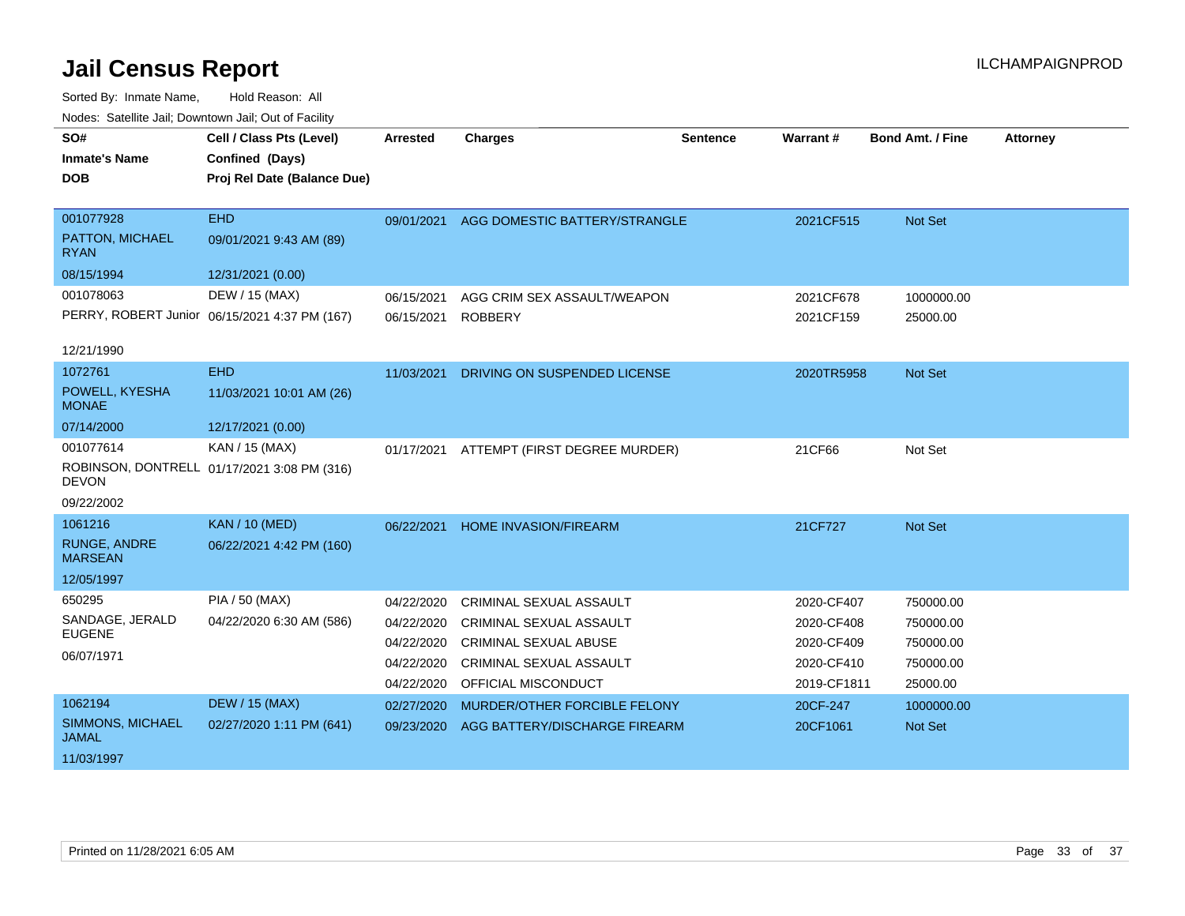| SO#                                   | Cell / Class Pts (Level)                      | <b>Arrested</b> | <b>Charges</b>                 | <b>Sentence</b> | Warrant #   | Bond Amt. / Fine | <b>Attorney</b> |
|---------------------------------------|-----------------------------------------------|-----------------|--------------------------------|-----------------|-------------|------------------|-----------------|
| <b>Inmate's Name</b>                  | Confined (Days)                               |                 |                                |                 |             |                  |                 |
| <b>DOB</b>                            | Proj Rel Date (Balance Due)                   |                 |                                |                 |             |                  |                 |
|                                       |                                               |                 |                                |                 |             |                  |                 |
| 001077928                             | <b>EHD</b>                                    | 09/01/2021      | AGG DOMESTIC BATTERY/STRANGLE  |                 | 2021CF515   | Not Set          |                 |
| PATTON, MICHAEL<br><b>RYAN</b>        | 09/01/2021 9:43 AM (89)                       |                 |                                |                 |             |                  |                 |
| 08/15/1994                            | 12/31/2021 (0.00)                             |                 |                                |                 |             |                  |                 |
| 001078063                             | DEW / 15 (MAX)                                | 06/15/2021      | AGG CRIM SEX ASSAULT/WEAPON    |                 | 2021CF678   | 1000000.00       |                 |
|                                       | PERRY, ROBERT Junior 06/15/2021 4:37 PM (167) | 06/15/2021      | <b>ROBBERY</b>                 |                 | 2021CF159   | 25000.00         |                 |
| 12/21/1990                            |                                               |                 |                                |                 |             |                  |                 |
| 1072761                               | <b>EHD</b>                                    | 11/03/2021      | DRIVING ON SUSPENDED LICENSE   |                 | 2020TR5958  | Not Set          |                 |
| POWELL, KYESHA<br><b>MONAE</b>        | 11/03/2021 10:01 AM (26)                      |                 |                                |                 |             |                  |                 |
| 07/14/2000                            | 12/17/2021 (0.00)                             |                 |                                |                 |             |                  |                 |
| 001077614                             | KAN / 15 (MAX)                                | 01/17/2021      | ATTEMPT (FIRST DEGREE MURDER)  |                 | 21CF66      | Not Set          |                 |
| <b>DEVON</b>                          | ROBINSON, DONTRELL 01/17/2021 3:08 PM (316)   |                 |                                |                 |             |                  |                 |
| 09/22/2002                            |                                               |                 |                                |                 |             |                  |                 |
| 1061216                               | <b>KAN / 10 (MED)</b>                         | 06/22/2021      | <b>HOME INVASION/FIREARM</b>   |                 | 21CF727     | <b>Not Set</b>   |                 |
| <b>RUNGE, ANDRE</b><br><b>MARSEAN</b> | 06/22/2021 4:42 PM (160)                      |                 |                                |                 |             |                  |                 |
| 12/05/1997                            |                                               |                 |                                |                 |             |                  |                 |
| 650295                                | PIA / 50 (MAX)                                | 04/22/2020      | <b>CRIMINAL SEXUAL ASSAULT</b> |                 | 2020-CF407  | 750000.00        |                 |
| SANDAGE, JERALD                       | 04/22/2020 6:30 AM (586)                      | 04/22/2020      | CRIMINAL SEXUAL ASSAULT        |                 | 2020-CF408  | 750000.00        |                 |
| <b>EUGENE</b>                         |                                               | 04/22/2020      | <b>CRIMINAL SEXUAL ABUSE</b>   |                 | 2020-CF409  | 750000.00        |                 |
| 06/07/1971                            |                                               | 04/22/2020      | <b>CRIMINAL SEXUAL ASSAULT</b> |                 | 2020-CF410  | 750000.00        |                 |
|                                       |                                               | 04/22/2020      | OFFICIAL MISCONDUCT            |                 | 2019-CF1811 | 25000.00         |                 |
| 1062194                               | <b>DEW / 15 (MAX)</b>                         | 02/27/2020      | MURDER/OTHER FORCIBLE FELONY   |                 | 20CF-247    | 1000000.00       |                 |
| SIMMONS, MICHAEL<br><b>JAMAL</b>      | 02/27/2020 1:11 PM (641)                      | 09/23/2020      | AGG BATTERY/DISCHARGE FIREARM  |                 | 20CF1061    | Not Set          |                 |
| 11/03/1997                            |                                               |                 |                                |                 |             |                  |                 |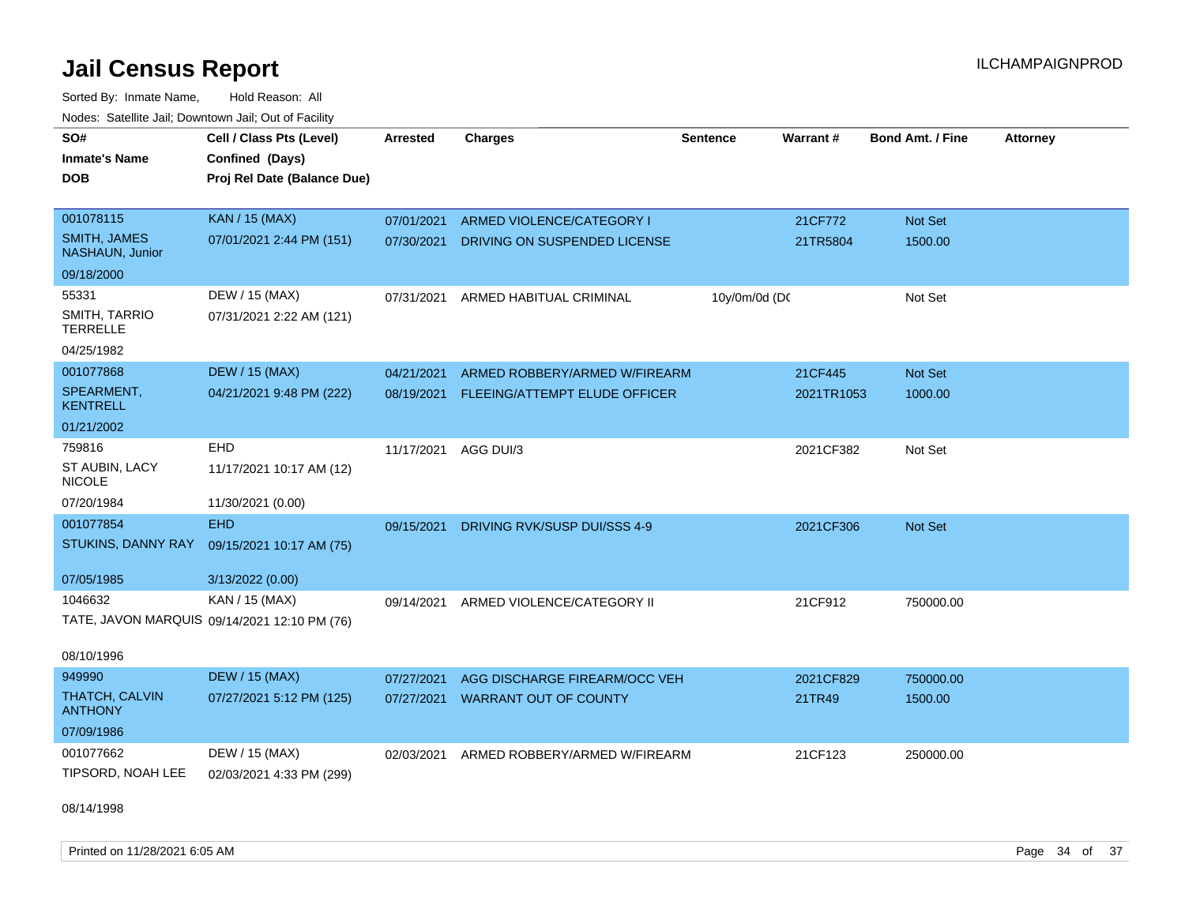| SO#                                     | Cell / Class Pts (Level)                     | Arrested   | <b>Charges</b>                | <b>Sentence</b> | Warrant#   | <b>Bond Amt. / Fine</b> | <b>Attorney</b> |
|-----------------------------------------|----------------------------------------------|------------|-------------------------------|-----------------|------------|-------------------------|-----------------|
| <b>Inmate's Name</b>                    | Confined (Days)                              |            |                               |                 |            |                         |                 |
| <b>DOB</b>                              | Proj Rel Date (Balance Due)                  |            |                               |                 |            |                         |                 |
|                                         |                                              |            |                               |                 |            |                         |                 |
| 001078115                               | KAN / 15 (MAX)                               | 07/01/2021 | ARMED VIOLENCE/CATEGORY I     |                 | 21CF772    | Not Set                 |                 |
| <b>SMITH, JAMES</b><br>NASHAUN, Junior  | 07/01/2021 2:44 PM (151)                     | 07/30/2021 | DRIVING ON SUSPENDED LICENSE  |                 | 21TR5804   | 1500.00                 |                 |
| 09/18/2000                              |                                              |            |                               |                 |            |                         |                 |
| 55331                                   | DEW / 15 (MAX)                               | 07/31/2021 | ARMED HABITUAL CRIMINAL       | 10y/0m/0d (DC   |            | Not Set                 |                 |
| SMITH, TARRIO<br><b>TERRELLE</b>        | 07/31/2021 2:22 AM (121)                     |            |                               |                 |            |                         |                 |
| 04/25/1982                              |                                              |            |                               |                 |            |                         |                 |
| 001077868                               | <b>DEW / 15 (MAX)</b>                        | 04/21/2021 | ARMED ROBBERY/ARMED W/FIREARM |                 | 21CF445    | Not Set                 |                 |
| SPEARMENT,<br><b>KENTRELL</b>           | 04/21/2021 9:48 PM (222)                     | 08/19/2021 | FLEEING/ATTEMPT ELUDE OFFICER |                 | 2021TR1053 | 1000.00                 |                 |
| 01/21/2002                              |                                              |            |                               |                 |            |                         |                 |
| 759816                                  | EHD                                          | 11/17/2021 | AGG DUI/3                     |                 | 2021CF382  | Not Set                 |                 |
| ST AUBIN, LACY<br><b>NICOLE</b>         | 11/17/2021 10:17 AM (12)                     |            |                               |                 |            |                         |                 |
| 07/20/1984                              | 11/30/2021 (0.00)                            |            |                               |                 |            |                         |                 |
| 001077854                               | <b>EHD</b>                                   | 09/15/2021 | DRIVING RVK/SUSP DUI/SSS 4-9  |                 | 2021CF306  | Not Set                 |                 |
| STUKINS, DANNY RAY                      | 09/15/2021 10:17 AM (75)                     |            |                               |                 |            |                         |                 |
| 07/05/1985                              | 3/13/2022 (0.00)                             |            |                               |                 |            |                         |                 |
| 1046632                                 | KAN / 15 (MAX)                               | 09/14/2021 | ARMED VIOLENCE/CATEGORY II    |                 | 21CF912    | 750000.00               |                 |
|                                         | TATE, JAVON MARQUIS 09/14/2021 12:10 PM (76) |            |                               |                 |            |                         |                 |
| 08/10/1996                              |                                              |            |                               |                 |            |                         |                 |
| 949990                                  | <b>DEW / 15 (MAX)</b>                        | 07/27/2021 | AGG DISCHARGE FIREARM/OCC VEH |                 | 2021CF829  | 750000.00               |                 |
| <b>THATCH, CALVIN</b><br><b>ANTHONY</b> | 07/27/2021 5:12 PM (125)                     | 07/27/2021 | <b>WARRANT OUT OF COUNTY</b>  |                 | 21TR49     | 1500.00                 |                 |
| 07/09/1986                              |                                              |            |                               |                 |            |                         |                 |
| 001077662                               | DEW / 15 (MAX)                               | 02/03/2021 | ARMED ROBBERY/ARMED W/FIREARM |                 | 21CF123    | 250000.00               |                 |
| TIPSORD, NOAH LEE                       | 02/03/2021 4:33 PM (299)                     |            |                               |                 |            |                         |                 |
| 08/14/1998                              |                                              |            |                               |                 |            |                         |                 |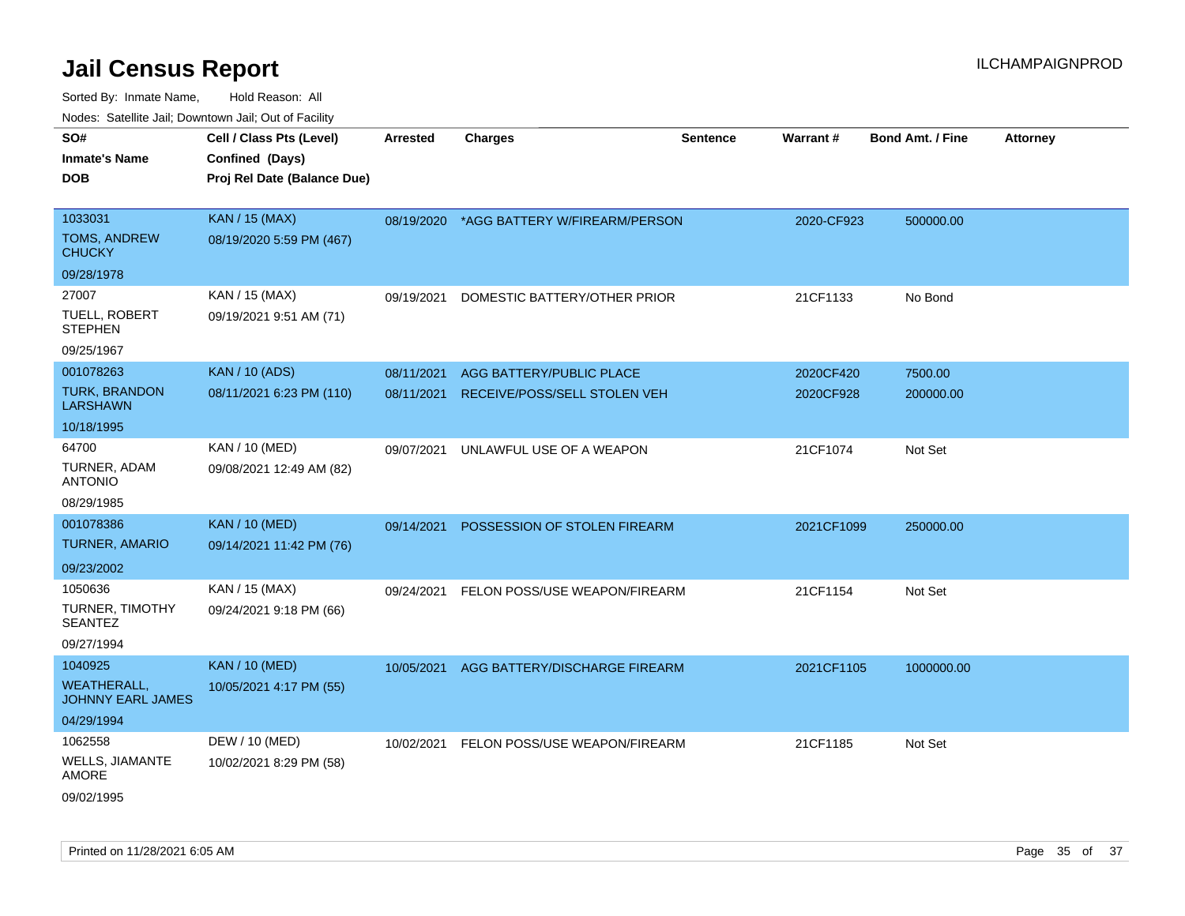| <b>Nedee:</b> Catoline can, Domnomi can, Oat or I domt |                             |            |                                          |                 |            |                         |                 |
|--------------------------------------------------------|-----------------------------|------------|------------------------------------------|-----------------|------------|-------------------------|-----------------|
| SO#                                                    | Cell / Class Pts (Level)    | Arrested   | <b>Charges</b>                           | <b>Sentence</b> | Warrant#   | <b>Bond Amt. / Fine</b> | <b>Attorney</b> |
| Inmate's Name                                          | Confined (Days)             |            |                                          |                 |            |                         |                 |
| <b>DOB</b>                                             | Proj Rel Date (Balance Due) |            |                                          |                 |            |                         |                 |
| 1033031                                                | <b>KAN / 15 (MAX)</b>       |            | 08/19/2020 *AGG BATTERY W/FIREARM/PERSON |                 | 2020-CF923 | 500000.00               |                 |
| TOMS, ANDREW<br><b>CHUCKY</b>                          | 08/19/2020 5:59 PM (467)    |            |                                          |                 |            |                         |                 |
| 09/28/1978                                             |                             |            |                                          |                 |            |                         |                 |
| 27007                                                  | KAN / 15 (MAX)              | 09/19/2021 | DOMESTIC BATTERY/OTHER PRIOR             |                 | 21CF1133   | No Bond                 |                 |
| TUELL, ROBERT<br><b>STEPHEN</b>                        | 09/19/2021 9:51 AM (71)     |            |                                          |                 |            |                         |                 |
| 09/25/1967                                             |                             |            |                                          |                 |            |                         |                 |
| 001078263                                              | <b>KAN / 10 (ADS)</b>       | 08/11/2021 | AGG BATTERY/PUBLIC PLACE                 |                 | 2020CF420  | 7500.00                 |                 |
| <b>TURK, BRANDON</b><br><b>LARSHAWN</b>                | 08/11/2021 6:23 PM (110)    | 08/11/2021 | RECEIVE/POSS/SELL STOLEN VEH             |                 | 2020CF928  | 200000.00               |                 |
| 10/18/1995                                             |                             |            |                                          |                 |            |                         |                 |
| 64700                                                  | KAN / 10 (MED)              | 09/07/2021 | UNLAWFUL USE OF A WEAPON                 |                 | 21CF1074   | Not Set                 |                 |
| TURNER, ADAM<br>ANTONIO                                | 09/08/2021 12:49 AM (82)    |            |                                          |                 |            |                         |                 |
| 08/29/1985                                             |                             |            |                                          |                 |            |                         |                 |
| 001078386                                              | <b>KAN / 10 (MED)</b>       | 09/14/2021 | POSSESSION OF STOLEN FIREARM             |                 | 2021CF1099 | 250000.00               |                 |
| TURNER, AMARIO                                         | 09/14/2021 11:42 PM (76)    |            |                                          |                 |            |                         |                 |
| 09/23/2002                                             |                             |            |                                          |                 |            |                         |                 |
| 1050636                                                | KAN / 15 (MAX)              | 09/24/2021 | FELON POSS/USE WEAPON/FIREARM            |                 | 21CF1154   | Not Set                 |                 |
| TURNER, TIMOTHY<br>SEANTEZ                             | 09/24/2021 9:18 PM (66)     |            |                                          |                 |            |                         |                 |
| 09/27/1994                                             |                             |            |                                          |                 |            |                         |                 |
| 1040925                                                | <b>KAN / 10 (MED)</b>       |            | 10/05/2021 AGG BATTERY/DISCHARGE FIREARM |                 | 2021CF1105 | 1000000.00              |                 |
| <b>WEATHERALL,</b><br>JOHNNY EARL JAMES                | 10/05/2021 4:17 PM (55)     |            |                                          |                 |            |                         |                 |
| 04/29/1994                                             |                             |            |                                          |                 |            |                         |                 |
| 1062558                                                | DEW / 10 (MED)              |            | 10/02/2021 FELON POSS/USE WEAPON/FIREARM |                 | 21CF1185   | Not Set                 |                 |
| WELLS, JIAMANTE<br>AMORE                               | 10/02/2021 8:29 PM (58)     |            |                                          |                 |            |                         |                 |
| 09/02/1995                                             |                             |            |                                          |                 |            |                         |                 |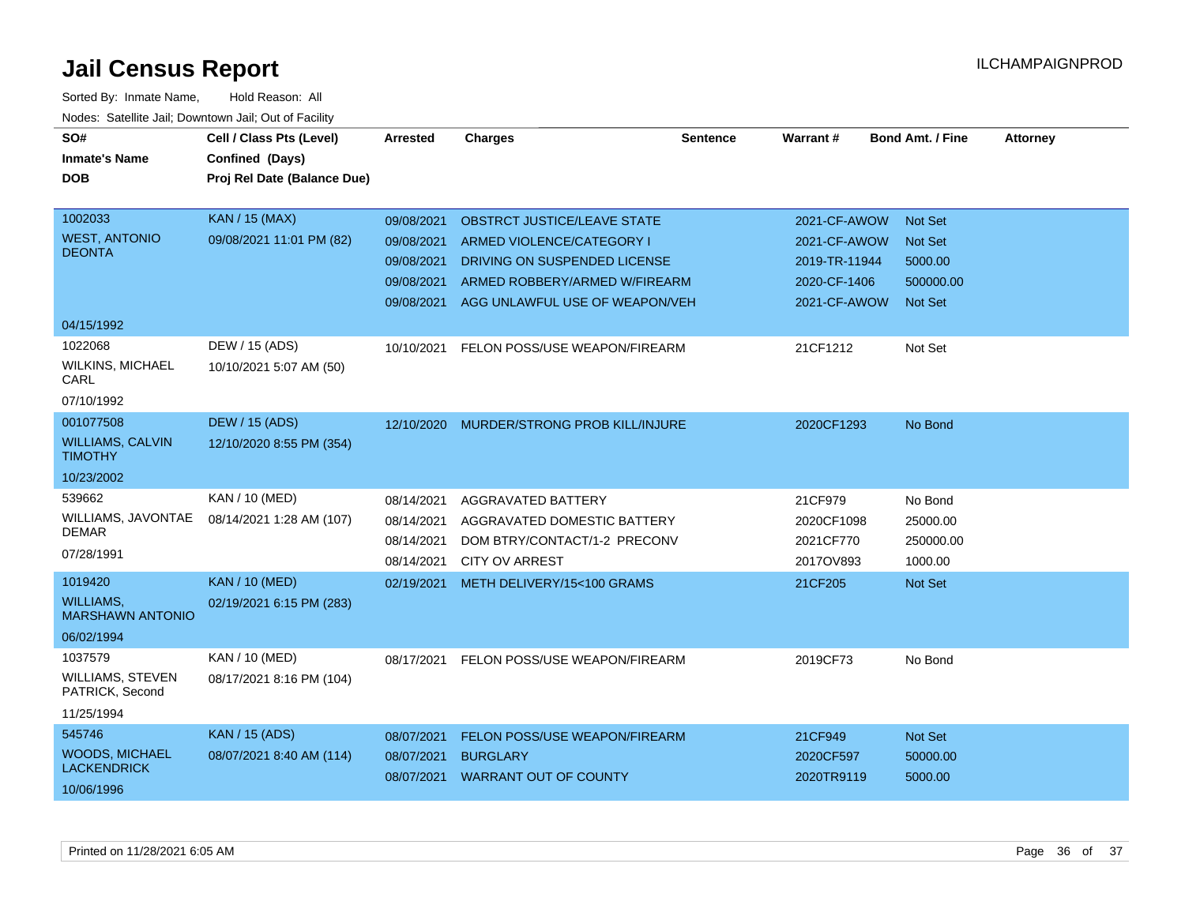| SO#                                         | Cell / Class Pts (Level)    | <b>Arrested</b> | <b>Charges</b>                        | <b>Sentence</b> | Warrant#      | <b>Bond Amt. / Fine</b> | <b>Attorney</b> |
|---------------------------------------------|-----------------------------|-----------------|---------------------------------------|-----------------|---------------|-------------------------|-----------------|
| <b>Inmate's Name</b>                        | Confined (Days)             |                 |                                       |                 |               |                         |                 |
| <b>DOB</b>                                  | Proj Rel Date (Balance Due) |                 |                                       |                 |               |                         |                 |
|                                             |                             |                 |                                       |                 |               |                         |                 |
| 1002033                                     | <b>KAN / 15 (MAX)</b>       | 09/08/2021      | <b>OBSTRCT JUSTICE/LEAVE STATE</b>    |                 | 2021-CF-AWOW  | <b>Not Set</b>          |                 |
| <b>WEST, ANTONIO</b>                        | 09/08/2021 11:01 PM (82)    | 09/08/2021      | ARMED VIOLENCE/CATEGORY I             |                 | 2021-CF-AWOW  | <b>Not Set</b>          |                 |
| <b>DEONTA</b>                               |                             | 09/08/2021      | DRIVING ON SUSPENDED LICENSE          |                 | 2019-TR-11944 | 5000.00                 |                 |
|                                             |                             | 09/08/2021      | ARMED ROBBERY/ARMED W/FIREARM         |                 | 2020-CF-1406  | 500000.00               |                 |
|                                             |                             | 09/08/2021      | AGG UNLAWFUL USE OF WEAPON/VEH        |                 | 2021-CF-AWOW  | <b>Not Set</b>          |                 |
| 04/15/1992                                  |                             |                 |                                       |                 |               |                         |                 |
| 1022068                                     | DEW / 15 (ADS)              | 10/10/2021      | FELON POSS/USE WEAPON/FIREARM         |                 | 21CF1212      | Not Set                 |                 |
| <b>WILKINS, MICHAEL</b><br>CARL             | 10/10/2021 5:07 AM (50)     |                 |                                       |                 |               |                         |                 |
| 07/10/1992                                  |                             |                 |                                       |                 |               |                         |                 |
| 001077508                                   | <b>DEW / 15 (ADS)</b>       | 12/10/2020      | <b>MURDER/STRONG PROB KILL/INJURE</b> |                 | 2020CF1293    | No Bond                 |                 |
| <b>WILLIAMS, CALVIN</b><br><b>TIMOTHY</b>   | 12/10/2020 8:55 PM (354)    |                 |                                       |                 |               |                         |                 |
| 10/23/2002                                  |                             |                 |                                       |                 |               |                         |                 |
| 539662                                      | KAN / 10 (MED)              | 08/14/2021      | AGGRAVATED BATTERY                    |                 | 21CF979       | No Bond                 |                 |
| WILLIAMS, JAVONTAE                          | 08/14/2021 1:28 AM (107)    | 08/14/2021      | AGGRAVATED DOMESTIC BATTERY           |                 | 2020CF1098    | 25000.00                |                 |
| <b>DEMAR</b>                                |                             | 08/14/2021      | DOM BTRY/CONTACT/1-2 PRECONV          |                 | 2021CF770     | 250000.00               |                 |
| 07/28/1991                                  |                             | 08/14/2021      | <b>CITY OV ARREST</b>                 |                 | 2017OV893     | 1000.00                 |                 |
| 1019420                                     | <b>KAN / 10 (MED)</b>       | 02/19/2021      | METH DELIVERY/15<100 GRAMS            |                 | 21CF205       | Not Set                 |                 |
| <b>WILLIAMS,</b><br><b>MARSHAWN ANTONIO</b> | 02/19/2021 6:15 PM (283)    |                 |                                       |                 |               |                         |                 |
| 06/02/1994                                  |                             |                 |                                       |                 |               |                         |                 |
| 1037579                                     | <b>KAN / 10 (MED)</b>       | 08/17/2021      | FELON POSS/USE WEAPON/FIREARM         |                 | 2019CF73      | No Bond                 |                 |
| WILLIAMS, STEVEN<br>PATRICK, Second         | 08/17/2021 8:16 PM (104)    |                 |                                       |                 |               |                         |                 |
| 11/25/1994                                  |                             |                 |                                       |                 |               |                         |                 |
| 545746                                      | <b>KAN / 15 (ADS)</b>       | 08/07/2021      | FELON POSS/USE WEAPON/FIREARM         |                 | 21CF949       | Not Set                 |                 |
| <b>WOODS, MICHAEL</b>                       | 08/07/2021 8:40 AM (114)    | 08/07/2021      | <b>BURGLARY</b>                       |                 | 2020CF597     | 50000.00                |                 |
| <b>LACKENDRICK</b>                          |                             |                 | 08/07/2021 WARRANT OUT OF COUNTY      |                 | 2020TR9119    | 5000.00                 |                 |
| 10/06/1996                                  |                             |                 |                                       |                 |               |                         |                 |